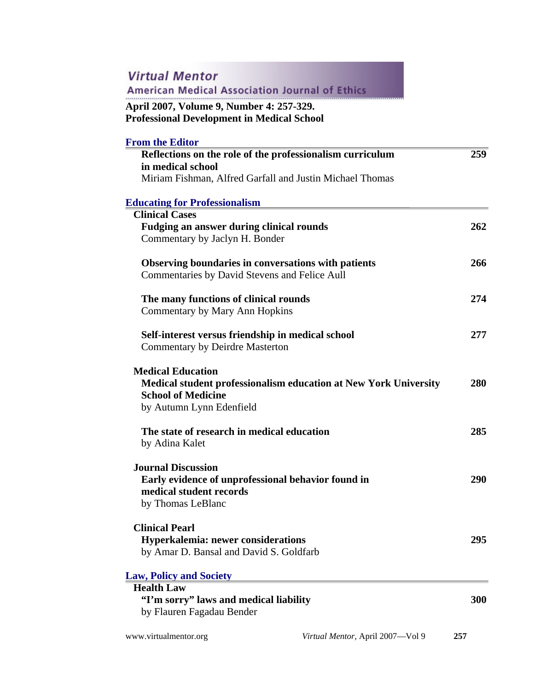| April 2007, Volume 9, Number 4: 257-329.                                      |            |
|-------------------------------------------------------------------------------|------------|
| <b>Professional Development in Medical School</b>                             |            |
| <b>From the Editor</b>                                                        |            |
| Reflections on the role of the professionalism curriculum                     | 259        |
| in medical school<br>Miriam Fishman, Alfred Garfall and Justin Michael Thomas |            |
| <b>Educating for Professionalism</b>                                          |            |
| <b>Clinical Cases</b>                                                         |            |
| <b>Fudging an answer during clinical rounds</b>                               | 262        |
| Commentary by Jaclyn H. Bonder                                                |            |
| <b>Observing boundaries in conversations with patients</b>                    | 266        |
| Commentaries by David Stevens and Felice Aull                                 |            |
| The many functions of clinical rounds                                         | 274        |
| <b>Commentary by Mary Ann Hopkins</b>                                         |            |
| Self-interest versus friendship in medical school                             | 277        |
| <b>Commentary by Deirdre Masterton</b>                                        |            |
| <b>Medical Education</b>                                                      |            |
| Medical student professionalism education at New York University              | 280        |
| <b>School of Medicine</b>                                                     |            |
| by Autumn Lynn Edenfield                                                      |            |
| The state of research in medical education                                    | 285        |
| by Adina Kalet                                                                |            |
| <b>Journal Discussion</b>                                                     |            |
| Early evidence of unprofessional behavior found in                            | 290        |
| medical student records                                                       |            |
| by Thomas LeBlanc                                                             |            |
| <b>Clinical Pearl</b>                                                         |            |
| <b>Hyperkalemia: newer considerations</b>                                     | 295        |
| by Amar D. Bansal and David S. Goldfarb                                       |            |
| <b>Law, Policy and Society</b>                                                |            |
| <b>Health Law</b>                                                             |            |
| "I'm sorry" laws and medical liability                                        | <b>300</b> |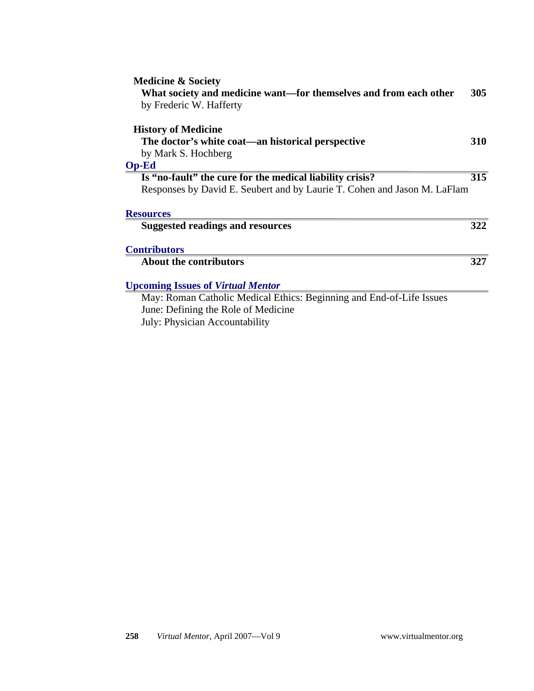| <b>Medicine &amp; Society</b><br>What society and medicine want—for themselves and from each other<br>by Frederic W. Hafferty | 305        |
|-------------------------------------------------------------------------------------------------------------------------------|------------|
| <b>History of Medicine</b>                                                                                                    |            |
| The doctor's white coat—an historical perspective                                                                             | <b>310</b> |
| by Mark S. Hochberg                                                                                                           |            |
| <b>Op-Ed</b>                                                                                                                  |            |
| Is "no-fault" the cure for the medical liability crisis?                                                                      | 315        |
| Responses by David E. Seubert and by Laurie T. Cohen and Jason M. LaFlam                                                      |            |
| <b>Resources</b><br><b>Suggested readings and resources</b>                                                                   | 322        |
| <b>Contributors</b>                                                                                                           |            |
| <b>About the contributors</b>                                                                                                 | 327        |
|                                                                                                                               |            |
| <b>Upcoming Issues of Virtual Mentor</b>                                                                                      |            |
| May: Roman Catholic Medical Ethics: Beginning and End-of-Life Issues                                                          |            |
| June: Defining the Role of Medicine                                                                                           |            |
|                                                                                                                               |            |

July: Physician Accountability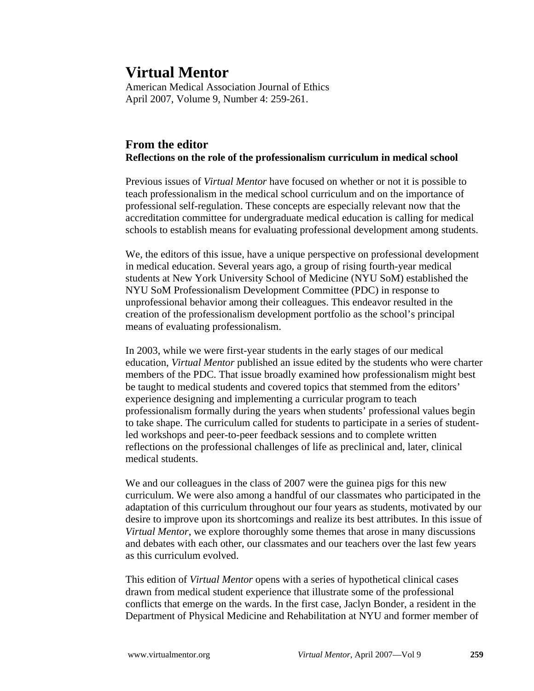**Virtual Mentor**<br>American Medical Association Journal of Ethics April 2007, Volume 9, Number 4: 259-261.

# **From the editor Reflections on the role of the professionalism curriculum in medical school**

Previous issues of *Virtual Mentor* have focused on whether or not it is possible to teach professionalism in the medical school curriculum and on the importance of professional self-regulation. These concepts are especially relevant now that the accreditation committee for undergraduate medical education is calling for medical schools to establish means for evaluating professional development among students.

We, the editors of this issue, have a unique perspective on professional development in medical education. Several years ago, a group of rising fourth-year medical students at New York University School of Medicine (NYU SoM) established the NYU SoM Professionalism Development Committee (PDC) in response to unprofessional behavior among their colleagues. This endeavor resulted in the creation of the professionalism development portfolio as the school's principal means of evaluating professionalism.

In 2003, while we were first-year students in the early stages of our medical education, *Virtual Mentor* published an issue edited by the students who were charter members of the PDC. That issue broadly examined how professionalism might best be taught to medical students and covered topics that stemmed from the editors' experience designing and implementing a curricular program to teach professionalism formally during the years when students' professional values begin to take shape. The curriculum called for students to participate in a series of studentled workshops and peer-to-peer feedback sessions and to complete written reflections on the professional challenges of life as preclinical and, later, clinical medical students.

We and our colleagues in the class of 2007 were the guinea pigs for this new curriculum. We were also among a handful of our classmates who participated in the adaptation of this curriculum throughout our four years as students, motivated by our desire to improve upon its shortcomings and realize its best attributes. In this issue of *Virtual Mentor*, we explore thoroughly some themes that arose in many discussions and debates with each other, our classmates and our teachers over the last few years as this curriculum evolved.

This edition of *Virtual Mentor* opens with a series of hypothetical clinical cases drawn from medical student experience that illustrate some of the professional conflicts that emerge on the wards. In the first case, Jaclyn Bonder, a resident in the Department of Physical Medicine and Rehabilitation at NYU and former member of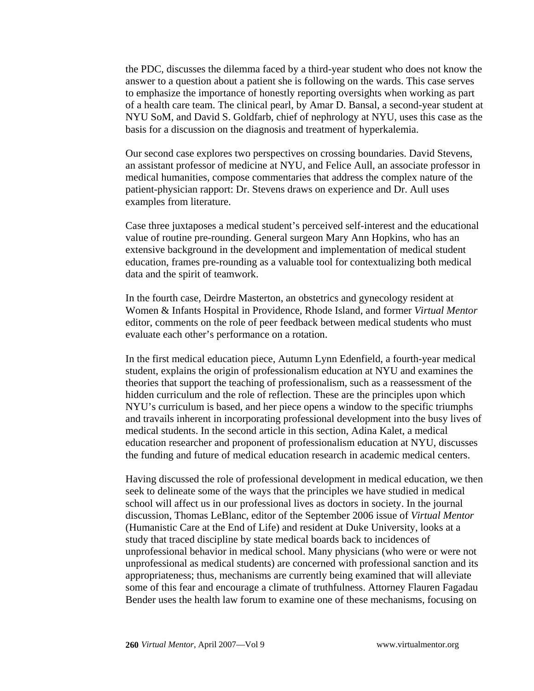the PDC, discusses the dilemma faced by a third-year student who does not know the answer to a question about a patient she is following on the wards. This case serves to emphasize the importance of honestly reporting oversights when working as part of a health care team. The clinical pearl, by Amar D. Bansal, a second-year student at NYU SoM, and David S. Goldfarb, chief of nephrology at NYU, uses this case as the basis for a discussion on the diagnosis and treatment of hyperkalemia.

Our second case explores two perspectives on crossing boundaries. David Stevens, an assistant professor of medicine at NYU, and Felice Aull, an associate professor in medical humanities, compose commentaries that address the complex nature of the patient-physician rapport: Dr. Stevens draws on experience and Dr. Aull uses examples from literature.

Case three juxtaposes a medical student's perceived self-interest and the educational value of routine pre-rounding. General surgeon Mary Ann Hopkins, who has an extensive background in the development and implementation of medical student education, frames pre-rounding as a valuable tool for contextualizing both medical data and the spirit of teamwork.

In the fourth case, Deirdre Masterton, an obstetrics and gynecology resident at Women & Infants Hospital in Providence, Rhode Island, and former *Virtual Mentor* editor, comments on the role of peer feedback between medical students who must evaluate each other's performance on a rotation.

In the first medical education piece, Autumn Lynn Edenfield, a fourth-year medical student, explains the origin of professionalism education at NYU and examines the theories that support the teaching of professionalism, such as a reassessment of the hidden curriculum and the role of reflection. These are the principles upon which NYU's curriculum is based, and her piece opens a window to the specific triumphs and travails inherent in incorporating professional development into the busy lives of medical students. In the second article in this section, Adina Kalet, a medical education researcher and proponent of professionalism education at NYU, discusses the funding and future of medical education research in academic medical centers.

Having discussed the role of professional development in medical education, we then seek to delineate some of the ways that the principles we have studied in medical school will affect us in our professional lives as doctors in society. In the journal discussion, Thomas LeBlanc, editor of the September 2006 issue of *Virtual Mentor* (Humanistic Care at the End of Life) and resident at Duke University, looks at a study that traced discipline by state medical boards back to incidences of unprofessional behavior in medical school. Many physicians (who were or were not unprofessional as medical students) are concerned with professional sanction and its appropriateness; thus, mechanisms are currently being examined that will alleviate some of this fear and encourage a climate of truthfulness. Attorney Flauren Fagadau Bender uses the health law forum to examine one of these mechanisms, focusing on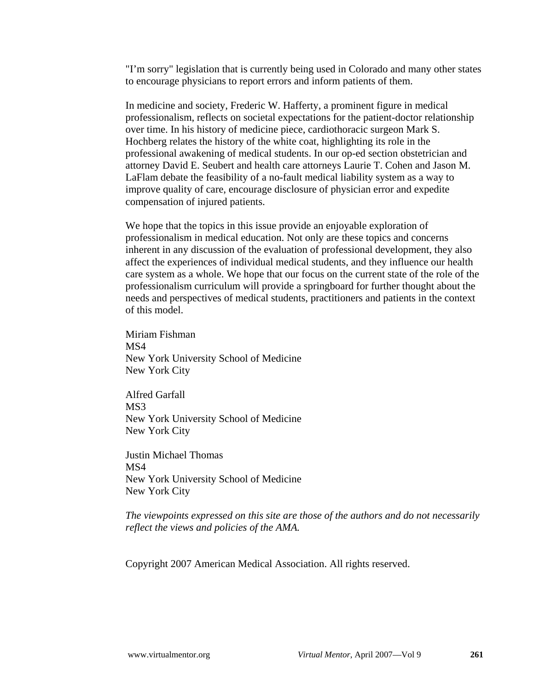"I'm sorry" legislation that is currently being used in Colorado and many other states to encourage physicians to report errors and inform patients of them.

In medicine and society, Frederic W. Hafferty, a prominent figure in medical professionalism, reflects on societal expectations for the patient-doctor relationship over time. In his history of medicine piece, cardiothoracic surgeon Mark S. Hochberg relates the history of the white coat, highlighting its role in the professional awakening of medical students. In our op-ed section obstetrician and attorney David E. Seubert and health care attorneys Laurie T. Cohen and Jason M. LaFlam debate the feasibility of a no-fault medical liability system as a way to improve quality of care, encourage disclosure of physician error and expedite compensation of injured patients.

We hope that the topics in this issue provide an enjoyable exploration of professionalism in medical education. Not only are these topics and concerns inherent in any discussion of the evaluation of professional development, they also affect the experiences of individual medical students, and they influence our health care system as a whole. We hope that our focus on the current state of the role of the professionalism curriculum will provide a springboard for further thought about the needs and perspectives of medical students, practitioners and patients in the context of this model.

Miriam Fishman MS4 New York University School of Medicine New York City

Alfred Garfall M<sub>S</sub>3 New York University School of Medicine New York City

Justin Michael Thomas MS4 New York University School of Medicine New York City

*The viewpoints expressed on this site are those of the authors and do not necessarily reflect the views and policies of the AMA.*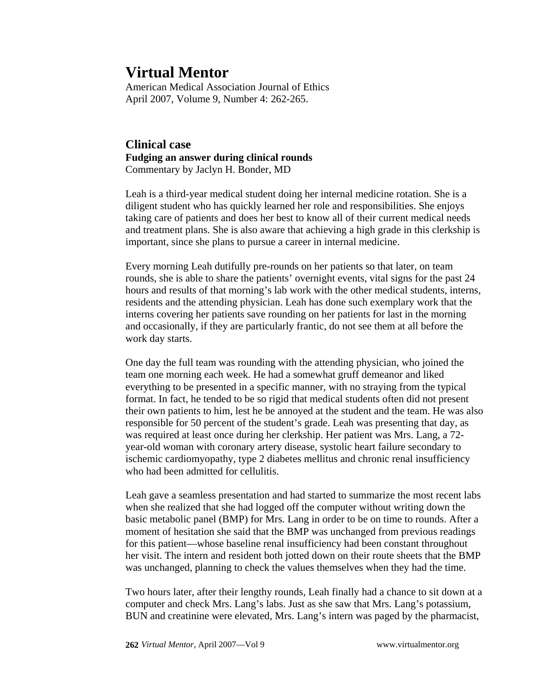**Virtual Mentor**<br>American Medical Association Journal of Ethics April 2007, Volume 9, Number 4: 262-265.

# **Clinical case Fudging an answer during clinical rounds** Commentary by Jaclyn H. Bonder, MD

Leah is a third-year medical student doing her internal medicine rotation. She is a diligent student who has quickly learned her role and responsibilities. She enjoys taking care of patients and does her best to know all of their current medical needs and treatment plans. She is also aware that achieving a high grade in this clerkship is important, since she plans to pursue a career in internal medicine.

Every morning Leah dutifully pre-rounds on her patients so that later, on team rounds, she is able to share the patients' overnight events, vital signs for the past 24 hours and results of that morning's lab work with the other medical students, interns, residents and the attending physician. Leah has done such exemplary work that the interns covering her patients save rounding on her patients for last in the morning and occasionally, if they are particularly frantic, do not see them at all before the work day starts.

One day the full team was rounding with the attending physician, who joined the team one morning each week. He had a somewhat gruff demeanor and liked everything to be presented in a specific manner, with no straying from the typical format. In fact, he tended to be so rigid that medical students often did not present their own patients to him, lest he be annoyed at the student and the team. He was also responsible for 50 percent of the student's grade. Leah was presenting that day, as was required at least once during her clerkship. Her patient was Mrs. Lang, a 72 year-old woman with coronary artery disease, systolic heart failure secondary to ischemic cardiomyopathy, type 2 diabetes mellitus and chronic renal insufficiency who had been admitted for cellulitis.

Leah gave a seamless presentation and had started to summarize the most recent labs when she realized that she had logged off the computer without writing down the basic metabolic panel (BMP) for Mrs. Lang in order to be on time to rounds. After a moment of hesitation she said that the BMP was unchanged from previous readings for this patient—whose baseline renal insufficiency had been constant throughout her visit. The intern and resident both jotted down on their route sheets that the BMP was unchanged, planning to check the values themselves when they had the time.

Two hours later, after their lengthy rounds, Leah finally had a chance to sit down at a computer and check Mrs. Lang's labs. Just as she saw that Mrs. Lang's potassium, BUN and creatinine were elevated, Mrs. Lang's intern was paged by the pharmacist,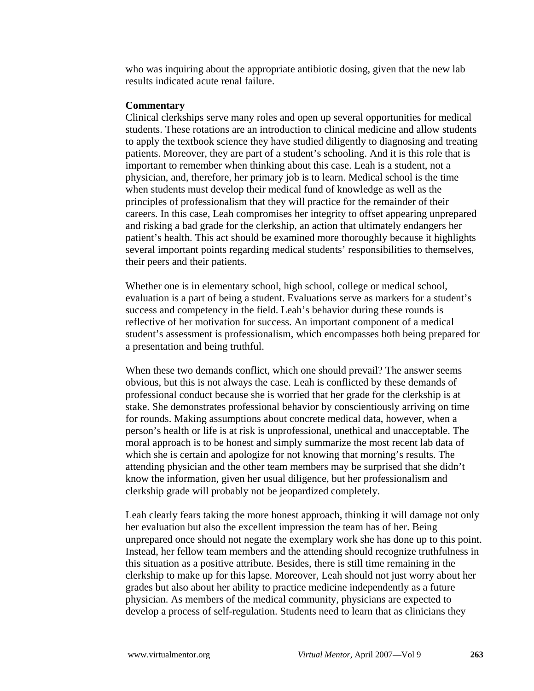who was inquiring about the appropriate antibiotic dosing, given that the new lab results indicated acute renal failure.

### **Commentary**

Clinical clerkships serve many roles and open up several opportunities for medical students. These rotations are an introduction to clinical medicine and allow students to apply the textbook science they have studied diligently to diagnosing and treating patients. Moreover, they are part of a student's schooling. And it is this role that is important to remember when thinking about this case. Leah is a student, not a physician, and, therefore, her primary job is to learn. Medical school is the time when students must develop their medical fund of knowledge as well as the principles of professionalism that they will practice for the remainder of their careers. In this case, Leah compromises her integrity to offset appearing unprepared and risking a bad grade for the clerkship, an action that ultimately endangers her patient's health. This act should be examined more thoroughly because it highlights several important points regarding medical students' responsibilities to themselves, their peers and their patients.

Whether one is in elementary school, high school, college or medical school, evaluation is a part of being a student. Evaluations serve as markers for a student's success and competency in the field. Leah's behavior during these rounds is reflective of her motivation for success. An important component of a medical student's assessment is professionalism, which encompasses both being prepared for a presentation and being truthful.

When these two demands conflict, which one should prevail? The answer seems obvious, but this is not always the case. Leah is conflicted by these demands of professional conduct because she is worried that her grade for the clerkship is at stake. She demonstrates professional behavior by conscientiously arriving on time for rounds. Making assumptions about concrete medical data, however, when a person's health or life is at risk is unprofessional, unethical and unacceptable. The moral approach is to be honest and simply summarize the most recent lab data of which she is certain and apologize for not knowing that morning's results. The attending physician and the other team members may be surprised that she didn't know the information, given her usual diligence, but her professionalism and clerkship grade will probably not be jeopardized completely.

Leah clearly fears taking the more honest approach, thinking it will damage not only her evaluation but also the excellent impression the team has of her. Being unprepared once should not negate the exemplary work she has done up to this point. Instead, her fellow team members and the attending should recognize truthfulness in this situation as a positive attribute. Besides, there is still time remaining in the clerkship to make up for this lapse. Moreover, Leah should not just worry about her grades but also about her ability to practice medicine independently as a future physician. As members of the medical community, physicians are expected to develop a process of self-regulation. Students need to learn that as clinicians they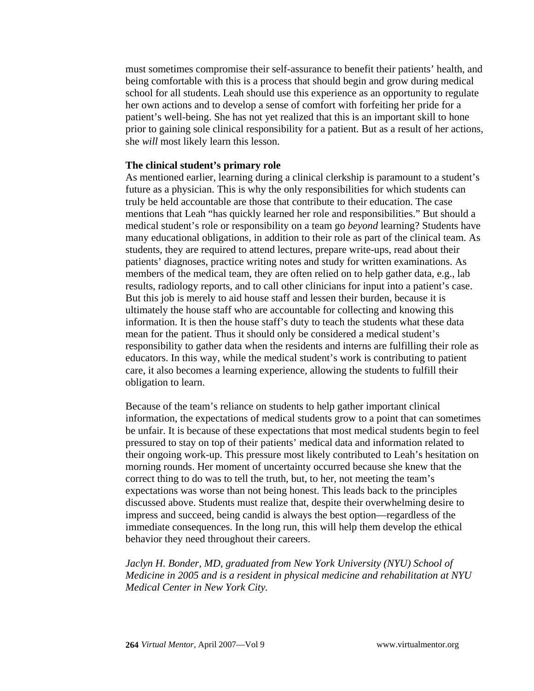must sometimes compromise their self-assurance to benefit their patients' health, and being comfortable with this is a process that should begin and grow during medical school for all students. Leah should use this experience as an opportunity to regulate her own actions and to develop a sense of comfort with forfeiting her pride for a patient's well-being. She has not yet realized that this is an important skill to hone prior to gaining sole clinical responsibility for a patient. But as a result of her actions, she *will* most likely learn this lesson.

### **The clinical student's primary role**

As mentioned earlier, learning during a clinical clerkship is paramount to a student's future as a physician. This is why the only responsibilities for which students can truly be held accountable are those that contribute to their education. The case mentions that Leah "has quickly learned her role and responsibilities." But should a medical student's role or responsibility on a team go *beyond* learning? Students have many educational obligations, in addition to their role as part of the clinical team. As students, they are required to attend lectures, prepare write-ups, read about their patients' diagnoses, practice writing notes and study for written examinations. As members of the medical team, they are often relied on to help gather data, e.g., lab results, radiology reports, and to call other clinicians for input into a patient's case. But this job is merely to aid house staff and lessen their burden, because it is ultimately the house staff who are accountable for collecting and knowing this information. It is then the house staff's duty to teach the students what these data mean for the patient. Thus it should only be considered a medical student's responsibility to gather data when the residents and interns are fulfilling their role as educators. In this way, while the medical student's work is contributing to patient care, it also becomes a learning experience, allowing the students to fulfill their obligation to learn.

Because of the team's reliance on students to help gather important clinical information, the expectations of medical students grow to a point that can sometimes be unfair. It is because of these expectations that most medical students begin to feel pressured to stay on top of their patients' medical data and information related to their ongoing work-up. This pressure most likely contributed to Leah's hesitation on morning rounds. Her moment of uncertainty occurred because she knew that the correct thing to do was to tell the truth, but, to her, not meeting the team's expectations was worse than not being honest. This leads back to the principles discussed above. Students must realize that, despite their overwhelming desire to impress and succeed, being candid is always the best option—regardless of the immediate consequences. In the long run, this will help them develop the ethical behavior they need throughout their careers.

*Jaclyn H. Bonder, MD, graduated from New York University (NYU) School of Medicine in 2005 and is a resident in physical medicine and rehabilitation at NYU Medical Center in New York City.*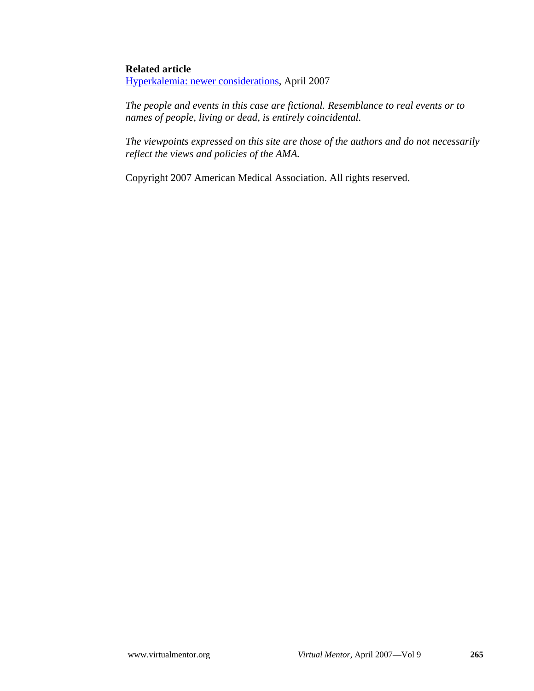## **Related article**

[Hyperkalemia: newer considerations,](http://www.ama-assn.org/ama/pub/category/17404.html) April 2007

*The people and events in this case are fictional. Resemblance to real events or to names of people, living or dead, is entirely coincidental.*

*The viewpoints expressed on this site are those of the authors and do not necessarily reflect the views and policies of the AMA.*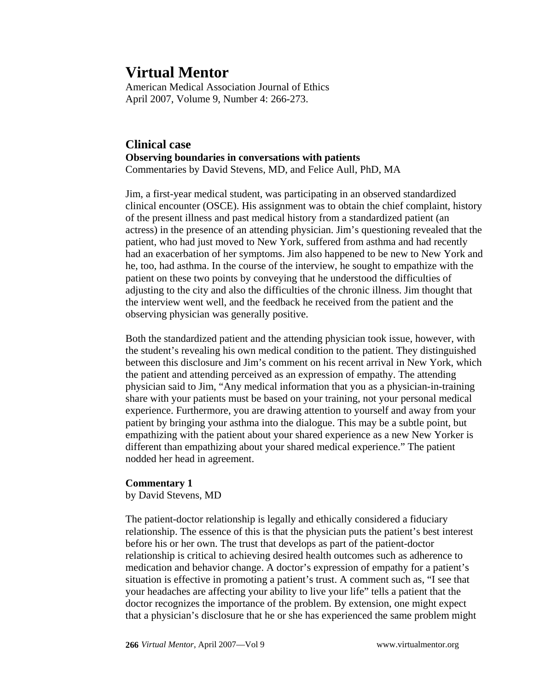**Virtual Mentor**<br>American Medical Association Journal of Ethics April 2007, Volume 9, Number 4: 266-273.

# **Clinical case Observing boundaries in conversations with patients** Commentaries by David Stevens, MD, and Felice Aull, PhD, MA

Jim, a first-year medical student, was participating in an observed standardized clinical encounter (OSCE). His assignment was to obtain the chief complaint, history of the present illness and past medical history from a standardized patient (an actress) in the presence of an attending physician. Jim's questioning revealed that the patient, who had just moved to New York, suffered from asthma and had recently had an exacerbation of her symptoms. Jim also happened to be new to New York and he, too, had asthma. In the course of the interview, he sought to empathize with the patient on these two points by conveying that he understood the difficulties of adjusting to the city and also the difficulties of the chronic illness. Jim thought that the interview went well, and the feedback he received from the patient and the observing physician was generally positive.

Both the standardized patient and the attending physician took issue, however, with the student's revealing his own medical condition to the patient. They distinguished between this disclosure and Jim's comment on his recent arrival in New York, which the patient and attending perceived as an expression of empathy. The attending physician said to Jim, "Any medical information that you as a physician-in-training share with your patients must be based on your training, not your personal medical experience. Furthermore, you are drawing attention to yourself and away from your patient by bringing your asthma into the dialogue. This may be a subtle point, but empathizing with the patient about your shared experience as a new New Yorker is different than empathizing about your shared medical experience." The patient nodded her head in agreement.

## **Commentary 1**

by David Stevens, MD

The patient-doctor relationship is legally and ethically considered a fiduciary relationship. The essence of this is that the physician puts the patient's best interest before his or her own. The trust that develops as part of the patient-doctor relationship is critical to achieving desired health outcomes such as adherence to medication and behavior change. A doctor's expression of empathy for a patient's situation is effective in promoting a patient's trust. A comment such as, "I see that your headaches are affecting your ability to live your life" tells a patient that the doctor recognizes the importance of the problem. By extension, one might expect that a physician's disclosure that he or she has experienced the same problem might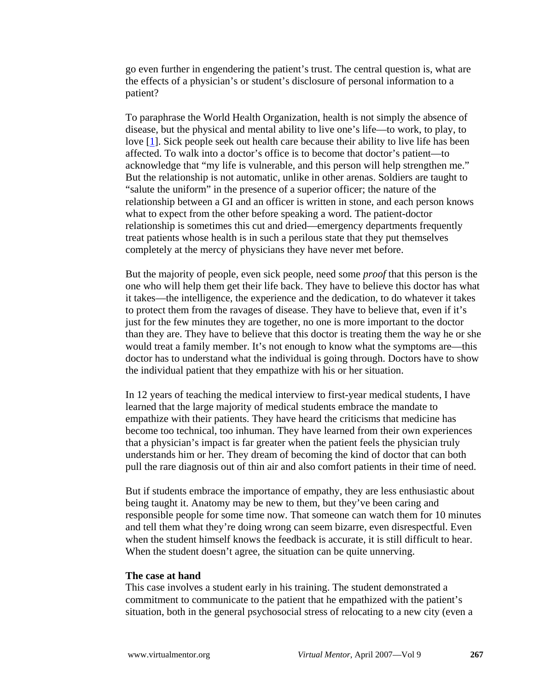go even further in engendering the patient's trust. The central question is, what are the effects of a physician's or student's disclosure of personal information to a patient?

To paraphrase the World Health Organization, health is not simply the absence of disease, but the physical and mental ability to live one's life—to work, to play, to love [1]. Sick people seek out health care because their ability to live life has been affected. To walk into a doctor's office is to become that doctor's patient—to acknowledge that "my life is vulnerable, and this person will help strengthen me." But the relationship is not automatic, unlike in other arenas. Soldiers are taught to "salute the uniform" in the presence of a superior officer; the nature of the relationship between a GI and an officer is written in stone, and each person knows what to expect from the other before speaking a word. The patient-doctor relationship is sometimes this cut and dried—emergency departments frequently treat patients whose health is in such a perilous state that they put themselves completely at the mercy of physicians they have never met before.

But the majority of people, even sick people, need some *proof* that this person is the one who will help them get their life back. They have to believe this doctor has what it takes—the intelligence, the experience and the dedication, to do whatever it takes to protect them from the ravages of disease. They have to believe that, even if it's just for the few minutes they are together, no one is more important to the doctor than they are. They have to believe that this doctor is treating them the way he or she would treat a family member. It's not enough to know what the symptoms are—this doctor has to understand what the individual is going through. Doctors have to show the individual patient that they empathize with his or her situation.

In 12 years of teaching the medical interview to first-year medical students, I have learned that the large majority of medical students embrace the mandate to empathize with their patients. They have heard the criticisms that medicine has become too technical, too inhuman. They have learned from their own experiences that a physician's impact is far greater when the patient feels the physician truly understands him or her. They dream of becoming the kind of doctor that can both pull the rare diagnosis out of thin air and also comfort patients in their time of need.

But if students embrace the importance of empathy, they are less enthusiastic about being taught it. Anatomy may be new to them, but they've been caring and responsible people for some time now. That someone can watch them for 10 minutes and tell them what they're doing wrong can seem bizarre, even disrespectful. Even when the student himself knows the feedback is accurate, it is still difficult to hear. When the student doesn't agree, the situation can be quite unnerving.

## **The case at hand**

This case involves a student early in his training. The student demonstrated a commitment to communicate to the patient that he empathized with the patient's situation, both in the general psychosocial stress of relocating to a new city (even a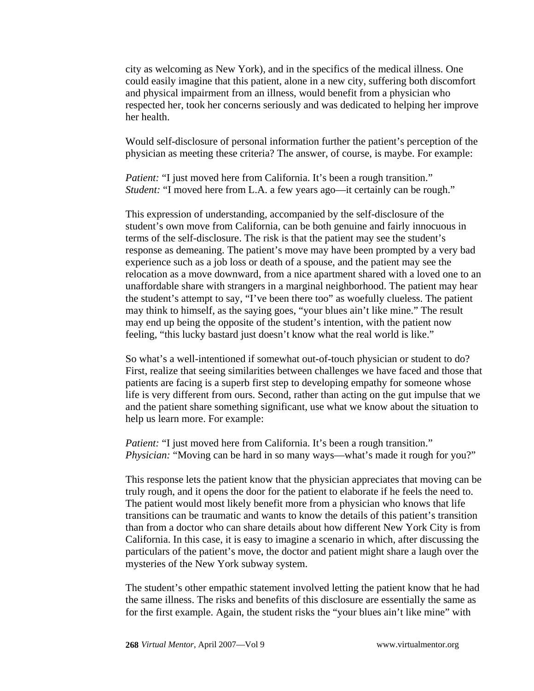city as welcoming as New York), and in the specifics of the medical illness. One could easily imagine that this patient, alone in a new city, suffering both discomfort and physical impairment from an illness, would benefit from a physician who respected her, took her concerns seriously and was dedicated to helping her improve her health.

Would self-disclosure of personal information further the patient's perception of the physician as meeting these criteria? The answer, of course, is maybe. For example:

*Patient:* "I just moved here from California. It's been a rough transition." *Student:* "I moved here from L.A. a few years ago—it certainly can be rough."

This expression of understanding, accompanied by the self-disclosure of the student's own move from California, can be both genuine and fairly innocuous in terms of the self-disclosure. The risk is that the patient may see the student's response as demeaning. The patient's move may have been prompted by a very bad experience such as a job loss or death of a spouse, and the patient may see the relocation as a move downward, from a nice apartment shared with a loved one to an unaffordable share with strangers in a marginal neighborhood. The patient may hear the student's attempt to say, "I've been there too" as woefully clueless. The patient may think to himself, as the saying goes, "your blues ain't like mine." The result may end up being the opposite of the student's intention, with the patient now feeling, "this lucky bastard just doesn't know what the real world is like."

So what's a well-intentioned if somewhat out-of-touch physician or student to do? First, realize that seeing similarities between challenges we have faced and those that patients are facing is a superb first step to developing empathy for someone whose life is very different from ours. Second, rather than acting on the gut impulse that we and the patient share something significant, use what we know about the situation to help us learn more. For example:

*Patient:* "I just moved here from California. It's been a rough transition." *Physician:* "Moving can be hard in so many ways—what's made it rough for you?"

This response lets the patient know that the physician appreciates that moving can be truly rough, and it opens the door for the patient to elaborate if he feels the need to. The patient would most likely benefit more from a physician who knows that life transitions can be traumatic and wants to know the details of this patient's transition than from a doctor who can share details about how different New York City is from California. In this case, it is easy to imagine a scenario in which, after discussing the particulars of the patient's move, the doctor and patient might share a laugh over the mysteries of the New York subway system.

The student's other empathic statement involved letting the patient know that he had the same illness. The risks and benefits of this disclosure are essentially the same as for the first example. Again, the student risks the "your blues ain't like mine" with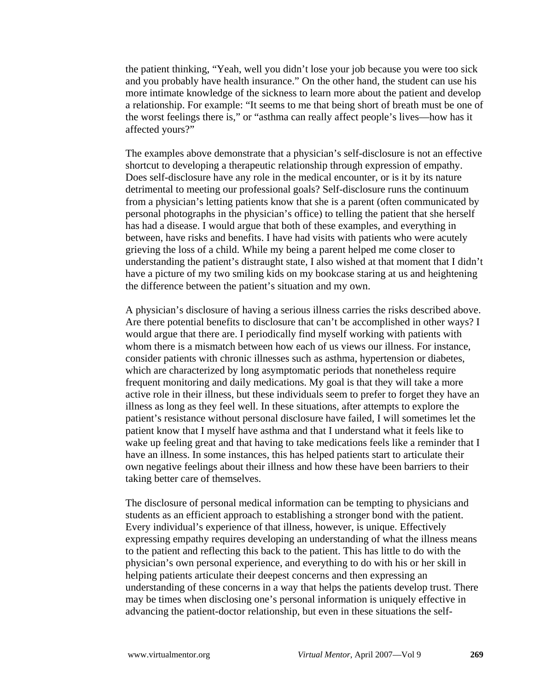the patient thinking, "Yeah, well you didn't lose your job because you were too sick and you probably have health insurance." On the other hand, the student can use his more intimate knowledge of the sickness to learn more about the patient and develop a relationship. For example: "It seems to me that being short of breath must be one of the worst feelings there is," or "asthma can really affect people's lives—how has it affected yours?"

The examples above demonstrate that a physician's self-disclosure is not an effective shortcut to developing a therapeutic relationship through expression of empathy. Does self-disclosure have any role in the medical encounter, or is it by its nature detrimental to meeting our professional goals? Self-disclosure runs the continuum from a physician's letting patients know that she is a parent (often communicated by personal photographs in the physician's office) to telling the patient that she herself has had a disease. I would argue that both of these examples, and everything in between, have risks and benefits. I have had visits with patients who were acutely grieving the loss of a child. While my being a parent helped me come closer to understanding the patient's distraught state, I also wished at that moment that I didn't have a picture of my two smiling kids on my bookcase staring at us and heightening the difference between the patient's situation and my own.

A physician's disclosure of having a serious illness carries the risks described above. Are there potential benefits to disclosure that can't be accomplished in other ways? I would argue that there are. I periodically find myself working with patients with whom there is a mismatch between how each of us views our illness. For instance, consider patients with chronic illnesses such as asthma, hypertension or diabetes, which are characterized by long asymptomatic periods that nonetheless require frequent monitoring and daily medications. My goal is that they will take a more active role in their illness, but these individuals seem to prefer to forget they have an illness as long as they feel well. In these situations, after attempts to explore the patient's resistance without personal disclosure have failed, I will sometimes let the patient know that I myself have asthma and that I understand what it feels like to wake up feeling great and that having to take medications feels like a reminder that I have an illness. In some instances, this has helped patients start to articulate their own negative feelings about their illness and how these have been barriers to their taking better care of themselves.

The disclosure of personal medical information can be tempting to physicians and students as an efficient approach to establishing a stronger bond with the patient. Every individual's experience of that illness, however, is unique. Effectively expressing empathy requires developing an understanding of what the illness means to the patient and reflecting this back to the patient. This has little to do with the physician's own personal experience, and everything to do with his or her skill in helping patients articulate their deepest concerns and then expressing an understanding of these concerns in a way that helps the patients develop trust. There may be times when disclosing one's personal information is uniquely effective in advancing the patient-doctor relationship, but even in these situations the self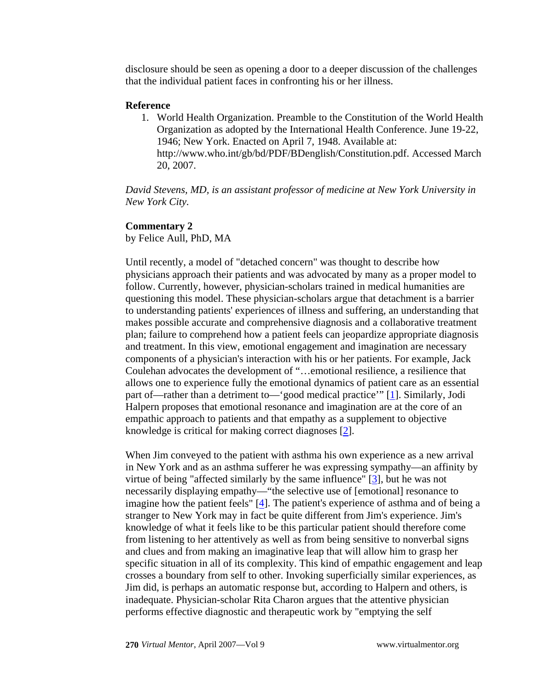disclosure should be seen as opening a door to a deeper discussion of the challenges that the individual patient faces in confronting his or her illness.

## **Reference**

1. World Health Organization. Preamble to the Constitution of the World Health Organization as adopted by the International Health Conference. June 19-22, 1946; New York. Enacted on April 7, 1948. Available at: http://www.who.int/gb/bd/PDF/BDenglish/Constitution.pdf. Accessed March 20, 2007.

*David Stevens, MD, is an assistant professor of medicine at New York University in New York City.*

### **Commentary 2**

by Felice Aull, PhD, MA

Until recently, a model of "detached concern" was thought to describe how physicians approach their patients and was advocated by many as a proper model to follow. Currently, however, physician-scholars trained in medical humanities are questioning this model. These physician-scholars argue that detachment is a barrier to understanding patients' experiences of illness and suffering, an understanding that makes possible accurate and comprehensive diagnosis and a collaborative treatment plan; failure to comprehend how a patient feels can jeopardize appropriate diagnosis and treatment. In this view, emotional engagement and imagination are necessary components of a physician's interaction with his or her patients. For example, Jack Coulehan advocates the development of "…emotional resilience, a resilience that allows one to experience fully the emotional dynamics of patient care as an essential part of—rather than a detriment to—'good medical practice'" [1]. Similarly, Jodi Halpern proposes that emotional resonance and imagination are at the core of an empathic approach to patients and that empathy as a supplement to objective knowledge is critical for making correct diagnoses [2].

When Jim conveyed to the patient with asthma his own experience as a new arrival in New York and as an asthma sufferer he was expressing sympathy—an affinity by virtue of being "affected similarly by the same influence" [3], but he was not necessarily displaying empathy—"the selective use of [emotional] resonance to imagine how the patient feels" [4]. The patient's experience of asthma and of being a stranger to New York may in fact be quite different from Jim's experience. Jim's knowledge of what it feels like to be this particular patient should therefore come from listening to her attentively as well as from being sensitive to nonverbal signs and clues and from making an imaginative leap that will allow him to grasp her specific situation in all of its complexity. This kind of empathic engagement and leap crosses a boundary from self to other. Invoking superficially similar experiences, as Jim did, is perhaps an automatic response but, according to Halpern and others, is inadequate. Physician-scholar Rita Charon argues that the attentive physician performs effective diagnostic and therapeutic work by "emptying the self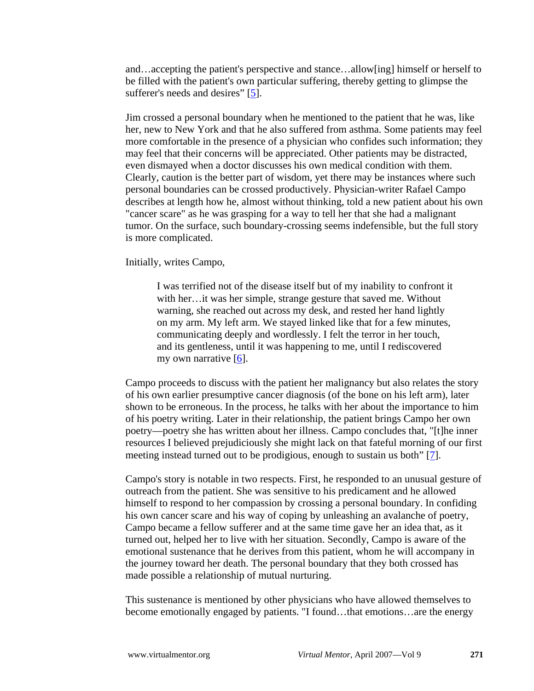and…accepting the patient's perspective and stance…allow[ing] himself or herself to be filled with the patient's own particular suffering, thereby getting to glimpse the sufferer's needs and desires" [5].

Jim crossed a personal boundary when he mentioned to the patient that he was, like her, new to New York and that he also suffered from asthma. Some patients may feel more comfortable in the presence of a physician who confides such information; they may feel that their concerns will be appreciated. Other patients may be distracted, even dismayed when a doctor discusses his own medical condition with them. Clearly, caution is the better part of wisdom, yet there may be instances where such personal boundaries can be crossed productively. Physician-writer Rafael Campo describes at length how he, almost without thinking, told a new patient about his own "cancer scare" as he was grasping for a way to tell her that she had a malignant tumor. On the surface, such boundary-crossing seems indefensible, but the full story is more complicated.

Initially, writes Campo,

I was terrified not of the disease itself but of my inability to confront it with her…it was her simple, strange gesture that saved me. Without warning, she reached out across my desk, and rested her hand lightly on my arm. My left arm. We stayed linked like that for a few minutes, communicating deeply and wordlessly. I felt the terror in her touch, and its gentleness, until it was happening to me, until I rediscovered my own narrative [6].

Campo proceeds to discuss with the patient her malignancy but also relates the story of his own earlier presumptive cancer diagnosis (of the bone on his left arm), later shown to be erroneous. In the process, he talks with her about the importance to him of his poetry writing. Later in their relationship, the patient brings Campo her own poetry—poetry she has written about her illness. Campo concludes that, "[t]he inner resources I believed prejudiciously she might lack on that fateful morning of our first meeting instead turned out to be prodigious, enough to sustain us both" [7].

Campo's story is notable in two respects. First, he responded to an unusual gesture of outreach from the patient. She was sensitive to his predicament and he allowed himself to respond to her compassion by crossing a personal boundary. In confiding his own cancer scare and his way of coping by unleashing an avalanche of poetry, Campo became a fellow sufferer and at the same time gave her an idea that, as it turned out, helped her to live with her situation. Secondly, Campo is aware of the emotional sustenance that he derives from this patient, whom he will accompany in the journey toward her death. The personal boundary that they both crossed has made possible a relationship of mutual nurturing.

This sustenance is mentioned by other physicians who have allowed themselves to become emotionally engaged by patients. "I found...that emotions...are the energy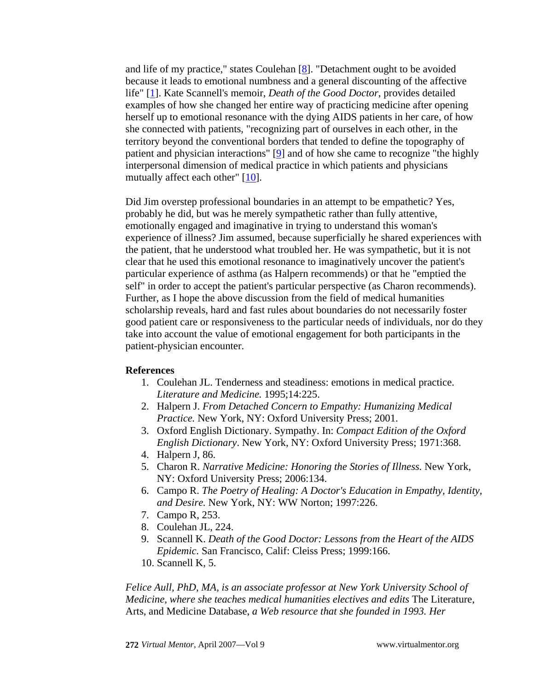and life of my practice," states Coulehan [8]. "Detachment ought to be avoided because it leads to emotional numbness and a general discounting of the affective life" [1]. Kate Scannell's memoir, *Death of the Good Doctor*, provides detailed examples of how she changed her entire way of practicing medicine after opening herself up to emotional resonance with the dying AIDS patients in her care, of how she connected with patients, "recognizing part of ourselves in each other, in the territory beyond the conventional borders that tended to define the topography of patient and physician interactions" [9] and of how she came to recognize "the highly interpersonal dimension of medical practice in which patients and physicians mutually affect each other" [10].

Did Jim overstep professional boundaries in an attempt to be empathetic? Yes, probably he did, but was he merely sympathetic rather than fully attentive, emotionally engaged and imaginative in trying to understand this woman's experience of illness? Jim assumed, because superficially he shared experiences with the patient, that he understood what troubled her. He was sympathetic, but it is not clear that he used this emotional resonance to imaginatively uncover the patient's particular experience of asthma (as Halpern recommends) or that he "emptied the self" in order to accept the patient's particular perspective (as Charon recommends). Further, as I hope the above discussion from the field of medical humanities scholarship reveals, hard and fast rules about boundaries do not necessarily foster good patient care or responsiveness to the particular needs of individuals, nor do they take into account the value of emotional engagement for both participants in the patient-physician encounter.

## **References**

- 1. Coulehan JL. Tenderness and steadiness: emotions in medical practice. *Literature and Medicine.* 1995;14:225.
- 2. Halpern J. *From Detached Concern to Empathy: Humanizing Medical Practice.* New York, NY: Oxford University Press; 2001.
- 3. Oxford English Dictionary. Sympathy. In: *Compact Edition of the Oxford English Dictionary*. New York, NY: Oxford University Press; 1971:368.
- 4. Halpern J, 86.
- 5. Charon R. *Narrative Medicine: Honoring the Stories of Illness.* New York, NY: Oxford University Press; 2006:134.
- 6. Campo R. *The Poetry of Healing: A Doctor's Education in Empathy, Identity, and Desire.* New York, NY: WW Norton; 1997:226.
- 7. Campo R, 253.
- 8. Coulehan JL, 224.
- 9. Scannell K. *Death of the Good Doctor: Lessons from the Heart of the AIDS Epidemic.* San Francisco, Calif: Cleiss Press; 1999:166.
- 10. Scannell K, 5.

*Felice Aull, PhD, MA, is an associate professor at New York University School of Medicine, where she teaches medical humanities electives and edits* The Literature, Arts, and Medicine Database, *a Web resource that she founded in 1993. Her*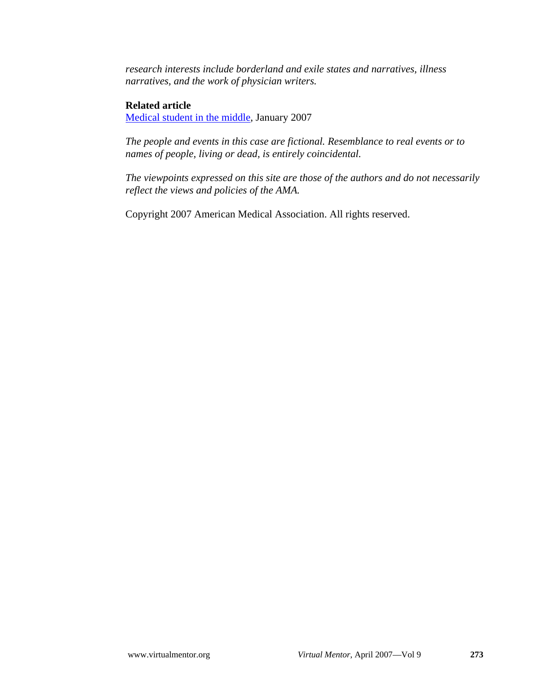*research interests include borderland and exile states and narratives, illness narratives, and the work of physician writers.*

## **Related article**

[Medical student in the middle](http://www.ama-assn.org/ama/pub/category/17133.html), January 2007

*The people and events in this case are fictional. Resemblance to real events or to names of people, living or dead, is entirely coincidental.*

*The viewpoints expressed on this site are those of the authors and do not necessarily reflect the views and policies of the AMA.*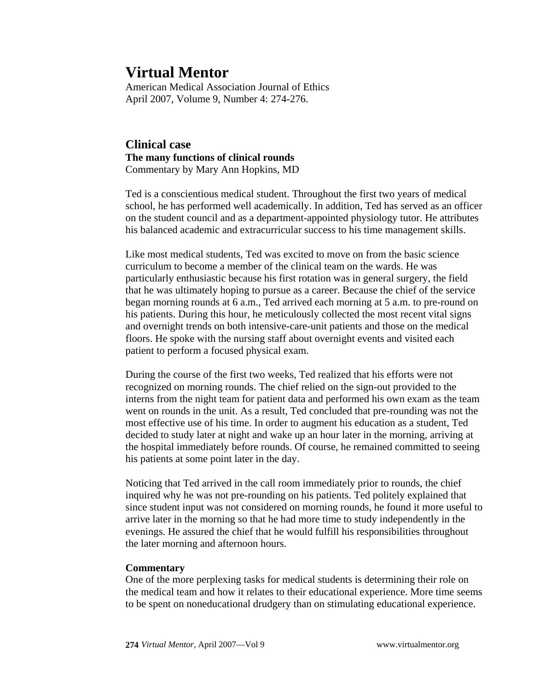**Virtual Mentor**<br>American Medical Association Journal of Ethics April 2007, Volume 9, Number 4: 274-276.

# **Clinical case The many functions of clinical rounds** Commentary by Mary Ann Hopkins, MD

Ted is a conscientious medical student. Throughout the first two years of medical school, he has performed well academically. In addition, Ted has served as an officer on the student council and as a department-appointed physiology tutor. He attributes his balanced academic and extracurricular success to his time management skills.

Like most medical students, Ted was excited to move on from the basic science curriculum to become a member of the clinical team on the wards. He was particularly enthusiastic because his first rotation was in general surgery, the field that he was ultimately hoping to pursue as a career. Because the chief of the service began morning rounds at 6 a.m., Ted arrived each morning at 5 a.m. to pre-round on his patients. During this hour, he meticulously collected the most recent vital signs and overnight trends on both intensive-care-unit patients and those on the medical floors. He spoke with the nursing staff about overnight events and visited each patient to perform a focused physical exam.

During the course of the first two weeks, Ted realized that his efforts were not recognized on morning rounds. The chief relied on the sign-out provided to the interns from the night team for patient data and performed his own exam as the team went on rounds in the unit. As a result, Ted concluded that pre-rounding was not the most effective use of his time. In order to augment his education as a student, Ted decided to study later at night and wake up an hour later in the morning, arriving at the hospital immediately before rounds. Of course, he remained committed to seeing his patients at some point later in the day.

Noticing that Ted arrived in the call room immediately prior to rounds, the chief inquired why he was not pre-rounding on his patients. Ted politely explained that since student input was not considered on morning rounds, he found it more useful to arrive later in the morning so that he had more time to study independently in the evenings. He assured the chief that he would fulfill his responsibilities throughout the later morning and afternoon hours.

## **Commentary**

One of the more perplexing tasks for medical students is determining their role on the medical team and how it relates to their educational experience. More time seems to be spent on noneducational drudgery than on stimulating educational experience.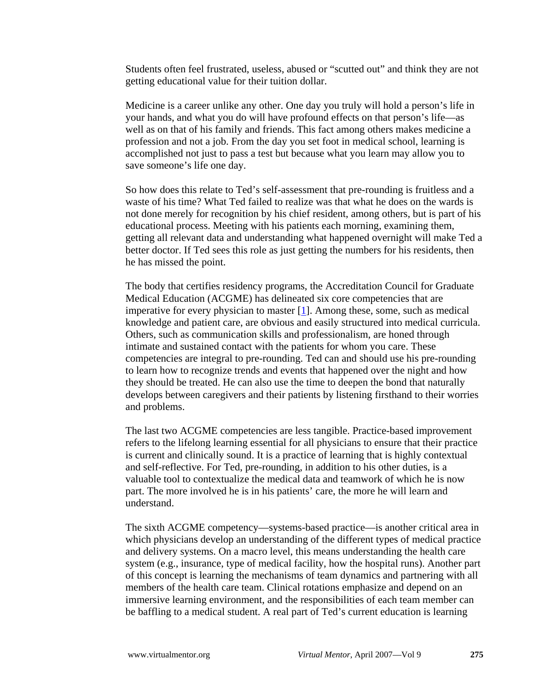Students often feel frustrated, useless, abused or "scutted out" and think they are not getting educational value for their tuition dollar.

Medicine is a career unlike any other. One day you truly will hold a person's life in your hands, and what you do will have profound effects on that person's life—as well as on that of his family and friends. This fact among others makes medicine a profession and not a job. From the day you set foot in medical school, learning is accomplished not just to pass a test but because what you learn may allow you to save someone's life one day.

So how does this relate to Ted's self-assessment that pre-rounding is fruitless and a waste of his time? What Ted failed to realize was that what he does on the wards is not done merely for recognition by his chief resident, among others, but is part of his educational process. Meeting with his patients each morning, examining them, getting all relevant data and understanding what happened overnight will make Ted a better doctor. If Ted sees this role as just getting the numbers for his residents, then he has missed the point.

The body that certifies residency programs, the Accreditation Council for Graduate Medical Education (ACGME) has delineated six core competencies that are imperative for every physician to master [1]. Among these, some, such as medical knowledge and patient care, are obvious and easily structured into medical curricula. Others, such as communication skills and professionalism, are honed through intimate and sustained contact with the patients for whom you care. These competencies are integral to pre-rounding. Ted can and should use his pre-rounding to learn how to recognize trends and events that happened over the night and how they should be treated. He can also use the time to deepen the bond that naturally develops between caregivers and their patients by listening firsthand to their worries and problems.

The last two ACGME competencies are less tangible. Practice-based improvement refers to the lifelong learning essential for all physicians to ensure that their practice is current and clinically sound. It is a practice of learning that is highly contextual and self-reflective. For Ted, pre-rounding, in addition to his other duties, is a valuable tool to contextualize the medical data and teamwork of which he is now part. The more involved he is in his patients' care, the more he will learn and understand.

The sixth ACGME competency—systems-based practice—is another critical area in which physicians develop an understanding of the different types of medical practice and delivery systems. On a macro level, this means understanding the health care system (e.g., insurance, type of medical facility, how the hospital runs). Another part of this concept is learning the mechanisms of team dynamics and partnering with all members of the health care team. Clinical rotations emphasize and depend on an immersive learning environment, and the responsibilities of each team member can be baffling to a medical student. A real part of Ted's current education is learning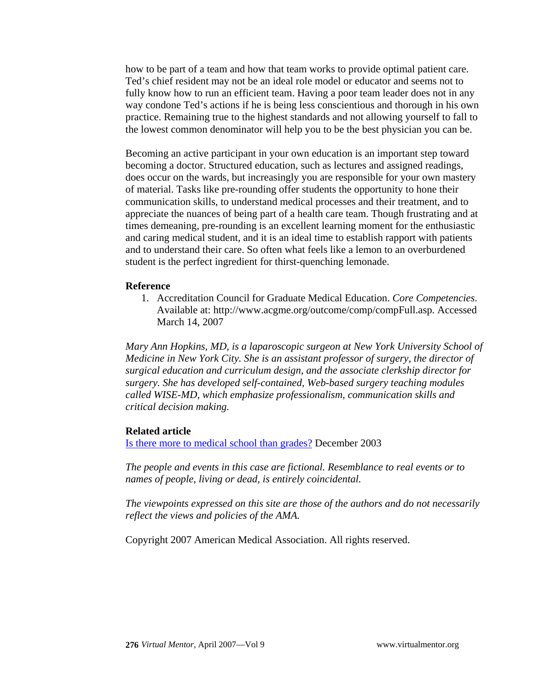how to be part of a team and how that team works to provide optimal patient care. Ted's chief resident may not be an ideal role model or educator and seems not to fully know how to run an efficient team. Having a poor team leader does not in any way condone Ted's actions if he is being less conscientious and thorough in his own practice. Remaining true to the highest standards and not allowing yourself to fall to the lowest common denominator will help you to be the best physician you can be.

Becoming an active participant in your own education is an important step toward becoming a doctor. Structured education, such as lectures and assigned readings, does occur on the wards, but increasingly you are responsible for your own mastery of material. Tasks like pre-rounding offer students the opportunity to hone their communication skills, to understand medical processes and their treatment, and to appreciate the nuances of being part of a health care team. Though frustrating and at times demeaning, pre-rounding is an excellent learning moment for the enthusiastic and caring medical student, and it is an ideal time to establish rapport with patients and to understand their care. So often what feels like a lemon to an overburdened student is the perfect ingredient for thirst-quenching lemonade.

### **Reference**

1. Accreditation Council for Graduate Medical Education. *Core Competencies*. Available at: http://www.acgme.org/outcome/comp/compFull.asp. Accessed March 14, 2007

*Mary Ann Hopkins, MD, is a laparoscopic surgeon at New York University School of Medicine in New York City. She is an assistant professor of surgery, the director of surgical education and curriculum design, and the associate clerkship director for surgery. She has developed self-contained, Web-based surgery teaching modules called WISE-MD, which emphasize professionalism, communication skills and critical decision making.*

### **Related article**

[Is there more to medical school than grades?](http://www.ama-assn.org/ama/pub/category/11706.html) December 2003

*The people and events in this case are fictional. Resemblance to real events or to names of people, living or dead, is entirely coincidental.*

*The viewpoints expressed on this site are those of the authors and do not necessarily reflect the views and policies of the AMA.*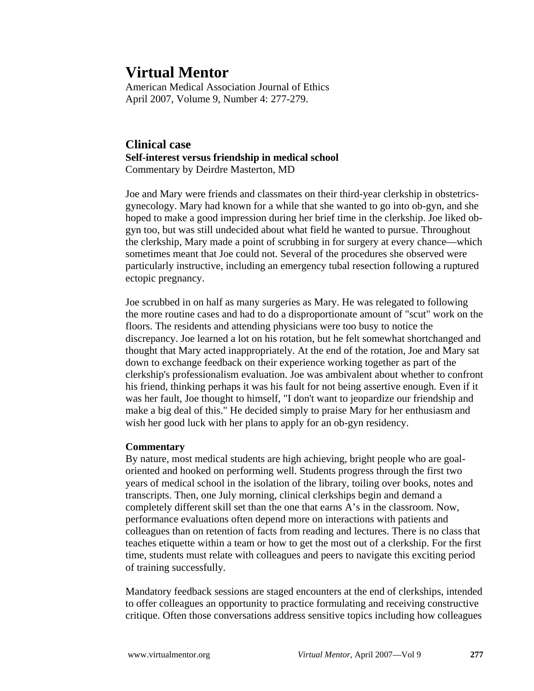**Virtual Mentor**<br>American Medical Association Journal of Ethics April 2007, Volume 9, Number 4: 277-279.

# **Clinical case Self-interest versus friendship in medical school** Commentary by Deirdre Masterton, MD

Joe and Mary were friends and classmates on their third-year clerkship in obstetricsgynecology. Mary had known for a while that she wanted to go into ob-gyn, and she hoped to make a good impression during her brief time in the clerkship. Joe liked obgyn too, but was still undecided about what field he wanted to pursue. Throughout the clerkship, Mary made a point of scrubbing in for surgery at every chance—which sometimes meant that Joe could not. Several of the procedures she observed were particularly instructive, including an emergency tubal resection following a ruptured ectopic pregnancy.

Joe scrubbed in on half as many surgeries as Mary. He was relegated to following the more routine cases and had to do a disproportionate amount of "scut" work on the floors. The residents and attending physicians were too busy to notice the discrepancy. Joe learned a lot on his rotation, but he felt somewhat shortchanged and thought that Mary acted inappropriately. At the end of the rotation, Joe and Mary sat down to exchange feedback on their experience working together as part of the clerkship's professionalism evaluation. Joe was ambivalent about whether to confront his friend, thinking perhaps it was his fault for not being assertive enough. Even if it was her fault, Joe thought to himself, "I don't want to jeopardize our friendship and make a big deal of this." He decided simply to praise Mary for her enthusiasm and wish her good luck with her plans to apply for an ob-gyn residency.

## **Commentary**

By nature, most medical students are high achieving, bright people who are goaloriented and hooked on performing well. Students progress through the first two years of medical school in the isolation of the library, toiling over books, notes and transcripts. Then, one July morning, clinical clerkships begin and demand a completely different skill set than the one that earns A's in the classroom. Now, performance evaluations often depend more on interactions with patients and colleagues than on retention of facts from reading and lectures. There is no class that teaches etiquette within a team or how to get the most out of a clerkship. For the first time, students must relate with colleagues and peers to navigate this exciting period of training successfully.

Mandatory feedback sessions are staged encounters at the end of clerkships, intended to offer colleagues an opportunity to practice formulating and receiving constructive critique. Often those conversations address sensitive topics including how colleagues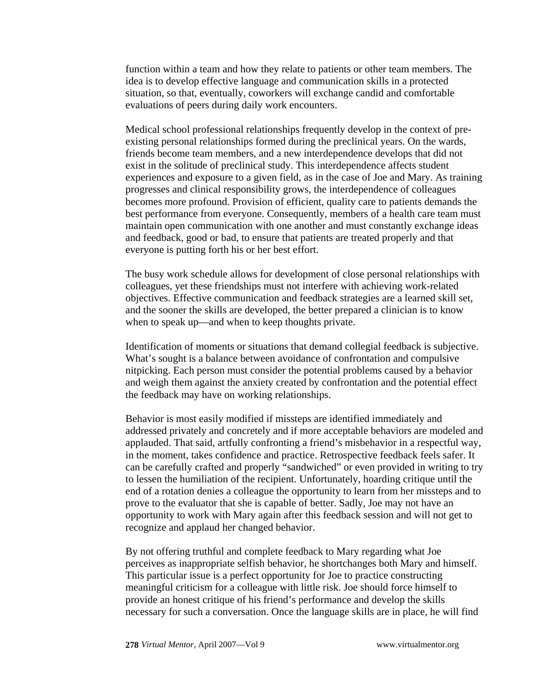function within a team and how they relate to patients or other team members. The idea is to develop effective language and communication skills in a protected situation, so that, eventually, coworkers will exchange candid and comfortable evaluations of peers during daily work encounters.

Medical school professional relationships frequently develop in the context of preexisting personal relationships formed during the preclinical years. On the wards, friends become team members, and a new interdependence develops that did not exist in the solitude of preclinical study. This interdependence affects student experiences and exposure to a given field, as in the case of Joe and Mary. As training progresses and clinical responsibility grows, the interdependence of colleagues becomes more profound. Provision of efficient, quality care to patients demands the best performance from everyone. Consequently, members of a health care team must maintain open communication with one another and must constantly exchange ideas and feedback, good or bad, to ensure that patients are treated properly and that everyone is putting forth his or her best effort.

The busy work schedule allows for development of close personal relationships with colleagues, yet these friendships must not interfere with achieving work-related objectives. Effective communication and feedback strategies are a learned skill set, and the sooner the skills are developed, the better prepared a clinician is to know when to speak up—and when to keep thoughts private.

Identification of moments or situations that demand collegial feedback is subjective. What's sought is a balance between avoidance of confrontation and compulsive nitpicking. Each person must consider the potential problems caused by a behavior and weigh them against the anxiety created by confrontation and the potential effect the feedback may have on working relationships.

Behavior is most easily modified if missteps are identified immediately and addressed privately and concretely and if more acceptable behaviors are modeled and applauded. That said, artfully confronting a friend's misbehavior in a respectful way, in the moment, takes confidence and practice. Retrospective feedback feels safer. It can be carefully crafted and properly "sandwiched" or even provided in writing to try to lessen the humiliation of the recipient. Unfortunately, hoarding critique until the end of a rotation denies a colleague the opportunity to learn from her missteps and to prove to the evaluator that she is capable of better. Sadly, Joe may not have an opportunity to work with Mary again after this feedback session and will not get to recognize and applaud her changed behavior.

By not offering truthful and complete feedback to Mary regarding what Joe perceives as inappropriate selfish behavior, he shortchanges both Mary and himself. This particular issue is a perfect opportunity for Joe to practice constructing meaningful criticism for a colleague with little risk. Joe should force himself to provide an honest critique of his friend's performance and develop the skills necessary for such a conversation. Once the language skills are in place, he will find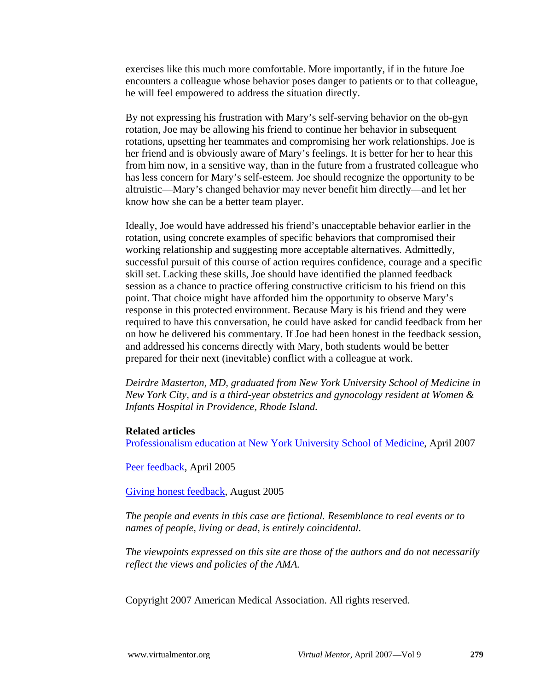exercises like this much more comfortable. More importantly, if in the future Joe encounters a colleague whose behavior poses danger to patients or to that colleague, he will feel empowered to address the situation directly.

By not expressing his frustration with Mary's self-serving behavior on the ob-gyn rotation, Joe may be allowing his friend to continue her behavior in subsequent rotations, upsetting her teammates and compromising her work relationships. Joe is her friend and is obviously aware of Mary's feelings. It is better for her to hear this from him now, in a sensitive way, than in the future from a frustrated colleague who has less concern for Mary's self-esteem. Joe should recognize the opportunity to be altruistic—Mary's changed behavior may never benefit him directly—and let her know how she can be a better team player.

Ideally, Joe would have addressed his friend's unacceptable behavior earlier in the rotation, using concrete examples of specific behaviors that compromised their working relationship and suggesting more acceptable alternatives. Admittedly, successful pursuit of this course of action requires confidence, courage and a specific skill set. Lacking these skills, Joe should have identified the planned feedback session as a chance to practice offering constructive criticism to his friend on this point. That choice might have afforded him the opportunity to observe Mary's response in this protected environment. Because Mary is his friend and they were required to have this conversation, he could have asked for candid feedback from her on how he delivered his commentary. If Joe had been honest in the feedback session, and addressed his concerns directly with Mary, both students would be better prepared for their next (inevitable) conflict with a colleague at work.

*Deirdre Masterton, MD, graduated from New York University School of Medicine in New York City, and is a third-year obstetrics and gynocology resident at Women & Infants Hospital in Providence, Rhode Island.*

### **Related articles**

[Professionalism education at New York University School of Medicine,](http://www.ama-assn.org/ama/pub/category/17402.html) April 2007

[Peer feedback,](http://www.ama-assn.org/ama/pub/category/14864.html) April 2005

[Giving honest feedback,](http://www.ama-assn.org/ama/pub/category/15357.html) August 2005

*The people and events in this case are fictional. Resemblance to real events or to names of people, living or dead, is entirely coincidental.*

*The viewpoints expressed on this site are those of the authors and do not necessarily reflect the views and policies of the AMA.*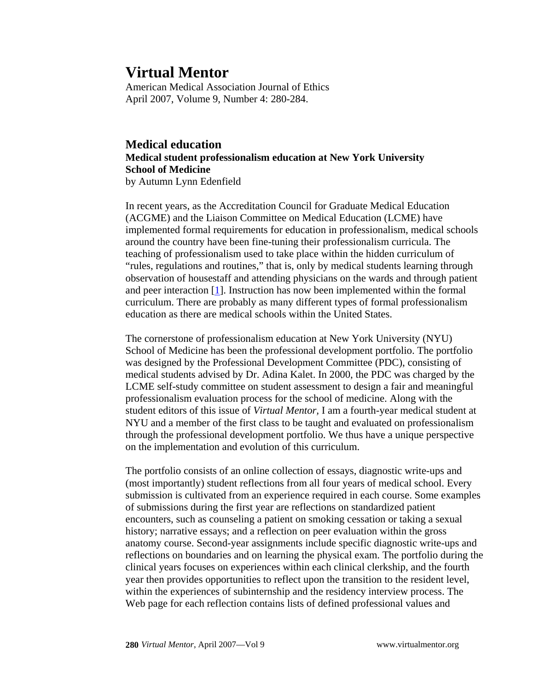**Virtual Mentor**<br>American Medical Association Journal of Ethics April 2007, Volume 9, Number 4: 280-284.

# **Medical education Medical student professionalism education at New York University School of Medicine** by Autumn Lynn Edenfield

In recent years, as the Accreditation Council for Graduate Medical Education (ACGME) and the Liaison Committee on Medical Education (LCME) have implemented formal requirements for education in professionalism, medical schools around the country have been fine-tuning their professionalism curricula. The teaching of professionalism used to take place within the hidden curriculum of "rules, regulations and routines," that is, only by medical students learning through observation of housestaff and attending physicians on the wards and through patient and peer interaction [1]. Instruction has now been implemented within the formal curriculum. There are probably as many different types of formal professionalism education as there are medical schools within the United States.

The cornerstone of professionalism education at New York University (NYU) School of Medicine has been the professional development portfolio. The portfolio was designed by the Professional Development Committee (PDC), consisting of medical students advised by Dr. Adina Kalet. In 2000, the PDC was charged by the LCME self-study committee on student assessment to design a fair and meaningful professionalism evaluation process for the school of medicine. Along with the student editors of this issue of *Virtual Mentor,* I am a fourth-year medical student at NYU and a member of the first class to be taught and evaluated on professionalism through the professional development portfolio. We thus have a unique perspective on the implementation and evolution of this curriculum.

The portfolio consists of an online collection of essays, diagnostic write-ups and (most importantly) student reflections from all four years of medical school. Every submission is cultivated from an experience required in each course. Some examples of submissions during the first year are reflections on standardized patient encounters, such as counseling a patient on smoking cessation or taking a sexual history; narrative essays; and a reflection on peer evaluation within the gross anatomy course. Second-year assignments include specific diagnostic write-ups and reflections on boundaries and on learning the physical exam. The portfolio during the clinical years focuses on experiences within each clinical clerkship, and the fourth year then provides opportunities to reflect upon the transition to the resident level, within the experiences of subinternship and the residency interview process. The Web page for each reflection contains lists of defined professional values and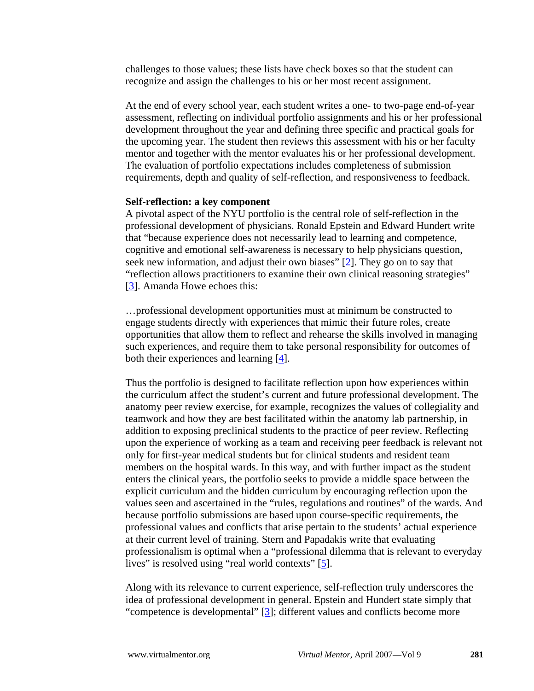challenges to those values; these lists have check boxes so that the student can recognize and assign the challenges to his or her most recent assignment.

At the end of every school year, each student writes a one- to two-page end-of-year assessment, reflecting on individual portfolio assignments and his or her professional development throughout the year and defining three specific and practical goals for the upcoming year. The student then reviews this assessment with his or her faculty mentor and together with the mentor evaluates his or her professional development. The evaluation of portfolio expectations includes completeness of submission requirements, depth and quality of self-reflection, and responsiveness to feedback.

## **Self-reflection: a key component**

A pivotal aspect of the NYU portfolio is the central role of self-reflection in the professional development of physicians. Ronald Epstein and Edward Hundert write that "because experience does not necessarily lead to learning and competence, cognitive and emotional self-awareness is necessary to help physicians question, seek new information, and adjust their own biases" [2]. They go on to say that "reflection allows practitioners to examine their own clinical reasoning strategies" [3]. Amanda Howe echoes this:

…professional development opportunities must at minimum be constructed to engage students directly with experiences that mimic their future roles, create opportunities that allow them to reflect and rehearse the skills involved in managing such experiences, and require them to take personal responsibility for outcomes of both their experiences and learning [4].

Thus the portfolio is designed to facilitate reflection upon how experiences within the curriculum affect the student's current and future professional development. The anatomy peer review exercise, for example, recognizes the values of collegiality and teamwork and how they are best facilitated within the anatomy lab partnership, in addition to exposing preclinical students to the practice of peer review. Reflecting upon the experience of working as a team and receiving peer feedback is relevant not only for first-year medical students but for clinical students and resident team members on the hospital wards. In this way, and with further impact as the student enters the clinical years, the portfolio seeks to provide a middle space between the explicit curriculum and the hidden curriculum by encouraging reflection upon the values seen and ascertained in the "rules, regulations and routines" of the wards. And because portfolio submissions are based upon course-specific requirements, the professional values and conflicts that arise pertain to the students' actual experience at their current level of training. Stern and Papadakis write that evaluating professionalism is optimal when a "professional dilemma that is relevant to everyday lives" is resolved using "real world contexts" [5].

Along with its relevance to current experience, self-reflection truly underscores the idea of professional development in general. Epstein and Hundert state simply that "competence is developmental"  $[3]$ ; different values and conflicts become more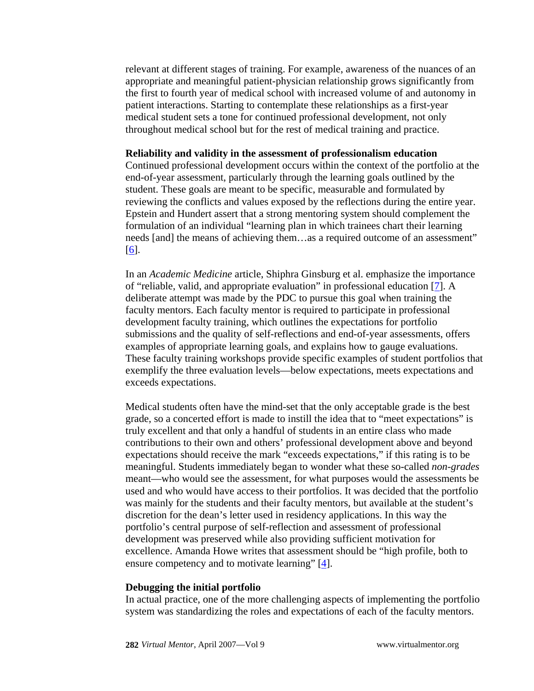relevant at different stages of training. For example, awareness of the nuances of an appropriate and meaningful patient-physician relationship grows significantly from the first to fourth year of medical school with increased volume of and autonomy in patient interactions. Starting to contemplate these relationships as a first-year medical student sets a tone for continued professional development, not only throughout medical school but for the rest of medical training and practice.

## **Reliability and validity in the assessment of professionalism education**

Continued professional development occurs within the context of the portfolio at the end-of-year assessment, particularly through the learning goals outlined by the student. These goals are meant to be specific, measurable and formulated by reviewing the conflicts and values exposed by the reflections during the entire year. Epstein and Hundert assert that a strong mentoring system should complement the formulation of an individual "learning plan in which trainees chart their learning needs [and] the means of achieving them…as a required outcome of an assessment" [6].

In an *Academic Medicine* article, Shiphra Ginsburg et al. emphasize the importance of "reliable, valid, and appropriate evaluation" in professional education [7]. A deliberate attempt was made by the PDC to pursue this goal when training the faculty mentors. Each faculty mentor is required to participate in professional development faculty training, which outlines the expectations for portfolio submissions and the quality of self-reflections and end-of-year assessments, offers examples of appropriate learning goals, and explains how to gauge evaluations. These faculty training workshops provide specific examples of student portfolios that exemplify the three evaluation levels—below expectations, meets expectations and exceeds expectations.

Medical students often have the mind-set that the only acceptable grade is the best grade, so a concerted effort is made to instill the idea that to "meet expectations" is truly excellent and that only a handful of students in an entire class who made contributions to their own and others' professional development above and beyond expectations should receive the mark "exceeds expectations," if this rating is to be meaningful. Students immediately began to wonder what these so-called *non-grades* meant—who would see the assessment, for what purposes would the assessments be used and who would have access to their portfolios. It was decided that the portfolio was mainly for the students and their faculty mentors, but available at the student's discretion for the dean's letter used in residency applications. In this way the portfolio's central purpose of self-reflection and assessment of professional development was preserved while also providing sufficient motivation for excellence. Amanda Howe writes that assessment should be "high profile, both to ensure competency and to motivate learning" [4].

### **Debugging the initial portfolio**

In actual practice, one of the more challenging aspects of implementing the portfolio system was standardizing the roles and expectations of each of the faculty mentors.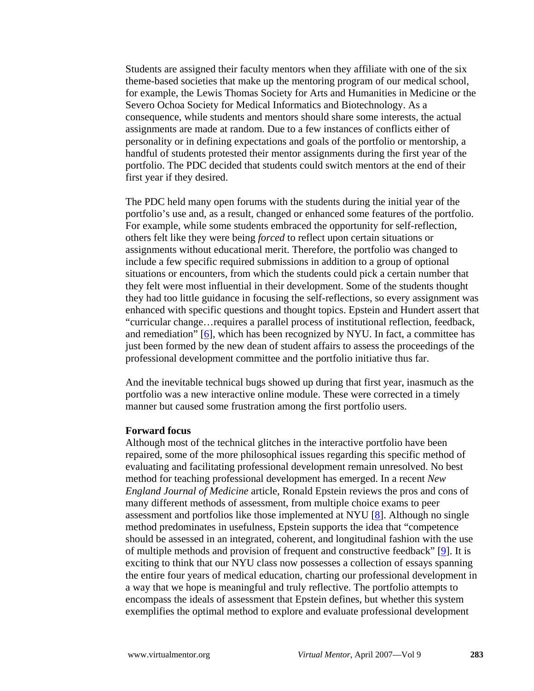Students are assigned their faculty mentors when they affiliate with one of the six theme-based societies that make up the mentoring program of our medical school, for example, the Lewis Thomas Society for Arts and Humanities in Medicine or the Severo Ochoa Society for Medical Informatics and Biotechnology. As a consequence, while students and mentors should share some interests, the actual assignments are made at random. Due to a few instances of conflicts either of personality or in defining expectations and goals of the portfolio or mentorship, a handful of students protested their mentor assignments during the first year of the portfolio. The PDC decided that students could switch mentors at the end of their first year if they desired.

The PDC held many open forums with the students during the initial year of the portfolio's use and, as a result, changed or enhanced some features of the portfolio. For example, while some students embraced the opportunity for self-reflection, others felt like they were being *forced* to reflect upon certain situations or assignments without educational merit. Therefore, the portfolio was changed to include a few specific required submissions in addition to a group of optional situations or encounters, from which the students could pick a certain number that they felt were most influential in their development. Some of the students thought they had too little guidance in focusing the self-reflections, so every assignment was enhanced with specific questions and thought topics. Epstein and Hundert assert that "curricular change…requires a parallel process of institutional reflection, feedback, and remediation"  $[6]$ , which has been recognized by NYU. In fact, a committee has just been formed by the new dean of student affairs to assess the proceedings of the professional development committee and the portfolio initiative thus far.

And the inevitable technical bugs showed up during that first year, inasmuch as the portfolio was a new interactive online module. These were corrected in a timely manner but caused some frustration among the first portfolio users.

### **Forward focus**

Although most of the technical glitches in the interactive portfolio have been repaired, some of the more philosophical issues regarding this specific method of evaluating and facilitating professional development remain unresolved. No best method for teaching professional development has emerged. In a recent *New England Journal of Medicine* article, Ronald Epstein reviews the pros and cons of many different methods of assessment, from multiple choice exams to peer assessment and portfolios like those implemented at NYU [8]. Although no single method predominates in usefulness, Epstein supports the idea that "competence should be assessed in an integrated, coherent, and longitudinal fashion with the use of multiple methods and provision of frequent and constructive feedback" [9]. It is exciting to think that our NYU class now possesses a collection of essays spanning the entire four years of medical education, charting our professional development in a way that we hope is meaningful and truly reflective. The portfolio attempts to encompass the ideals of assessment that Epstein defines, but whether this system exemplifies the optimal method to explore and evaluate professional development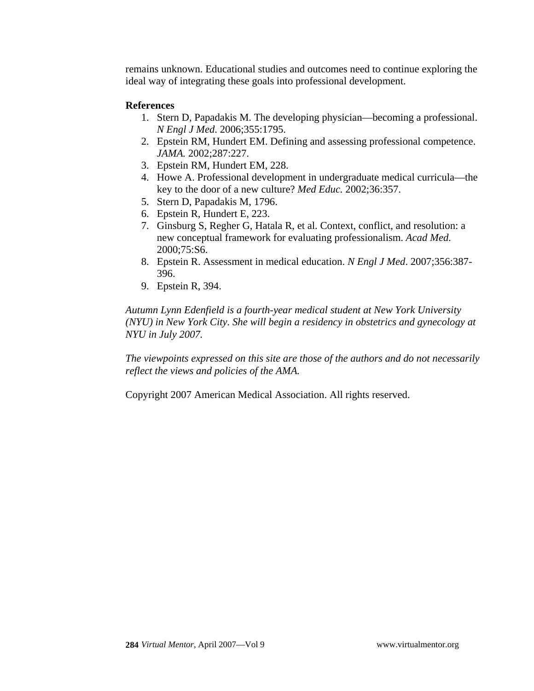remains unknown. Educational studies and outcomes need to continue exploring the ideal way of integrating these goals into professional development.

# **References**

- 1. Stern D, Papadakis M. The developing physician—becoming a professional. *N Engl J Med*. 2006;355:1795.
- 2. Epstein RM, Hundert EM. Defining and assessing professional competence. *JAMA.* 2002;287:227.
- 3. Epstein RM, Hundert EM, 228.
- 4. Howe A. Professional development in undergraduate medical curricula—the key to the door of a new culture? *Med Educ.* 2002;36:357.
- 5. Stern D, Papadakis M, 1796.
- 6. Epstein R, Hundert E, 223.
- 7. Ginsburg S, Regher G, Hatala R, et al. Context, conflict, and resolution: a new conceptual framework for evaluating professionalism. *Acad Med.* 2000;75:S6.
- 8. Epstein R. Assessment in medical education. *N Engl J Med*. 2007;356:387- 396.
- 9. Epstein R, 394.

*Autumn Lynn Edenfield is a fourth-year medical student at New York University (NYU) in New York City. She will begin a residency in obstetrics and gynecology at NYU in July 2007.*

*The viewpoints expressed on this site are those of the authors and do not necessarily reflect the views and policies of the AMA.*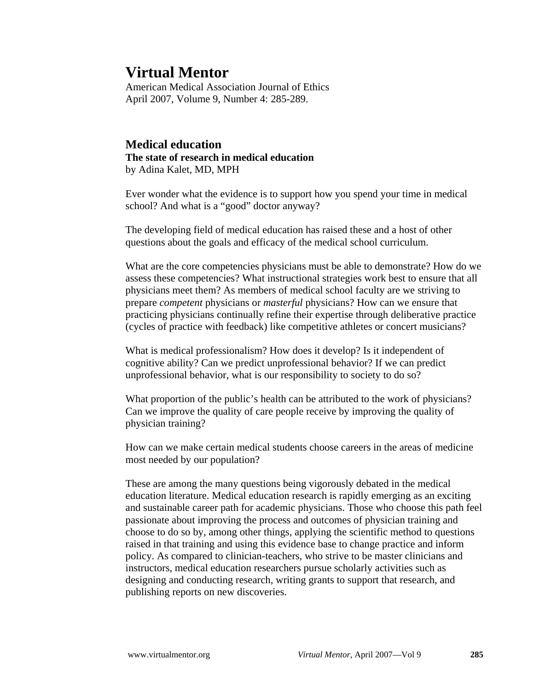**Virtual Mentor**<br>American Medical Association Journal of Ethics April 2007, Volume 9, Number 4: 285-289.

# **Medical education The state of research in medical education** by Adina Kalet, MD, MPH

Ever wonder what the evidence is to support how you spend your time in medical school? And what is a "good" doctor anyway?

The developing field of medical education has raised these and a host of other questions about the goals and efficacy of the medical school curriculum.

What are the core competencies physicians must be able to demonstrate? How do we assess these competencies? What instructional strategies work best to ensure that all physicians meet them? As members of medical school faculty are we striving to prepare *competent* physicians or *masterful* physicians? How can we ensure that practicing physicians continually refine their expertise through deliberative practice (cycles of practice with feedback) like competitive athletes or concert musicians?

What is medical professionalism? How does it develop? Is it independent of cognitive ability? Can we predict unprofessional behavior? If we can predict unprofessional behavior, what is our responsibility to society to do so?

What proportion of the public's health can be attributed to the work of physicians? Can we improve the quality of care people receive by improving the quality of physician training?

How can we make certain medical students choose careers in the areas of medicine most needed by our population?

These are among the many questions being vigorously debated in the medical education literature. Medical education research is rapidly emerging as an exciting and sustainable career path for academic physicians. Those who choose this path feel passionate about improving the process and outcomes of physician training and choose to do so by, among other things, applying the scientific method to questions raised in that training and using this evidence base to change practice and inform policy. As compared to clinician-teachers, who strive to be master clinicians and instructors, medical education researchers pursue scholarly activities such as designing and conducting research, writing grants to support that research, and publishing reports on new discoveries.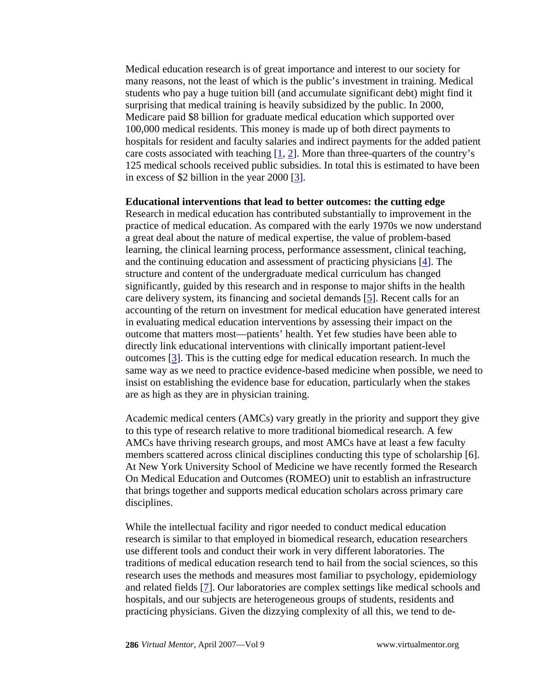Medical education research is of great importance and interest to our society for many reasons, not the least of which is the public's investment in training. Medical students who pay a huge tuition bill (and accumulate significant debt) might find it surprising that medical training is heavily subsidized by the public. In 2000, Medicare paid \$8 billion for graduate medical education which supported over 100,000 medical residents. This money is made up of both direct payments to hospitals for resident and faculty salaries and indirect payments for the added patient care costs associated with teaching  $[1, 2]$ . More than three-quarters of the country's 125 medical schools received public subsidies. In total this is estimated to have been in excess of \$2 billion in the year 2000 [3].

## **Educational interventions that lead to better outcomes: the cutting edge**

Research in medical education has contributed substantially to improvement in the practice of medical education. As compared with the early 1970s we now understand a great deal about the nature of medical expertise, the value of problem-based learning, the clinical learning process, performance assessment, clinical teaching, and the continuing education and assessment of practicing physicians [4]. The structure and content of the undergraduate medical curriculum has changed significantly, guided by this research and in response to major shifts in the health care delivery system, its financing and societal demands [5]. Recent calls for an accounting of the return on investment for medical education have generated interest in evaluating medical education interventions by assessing their impact on the outcome that matters most—patients' health. Yet few studies have been able to directly link educational interventions with clinically important patient-level outcomes [3]. This is the cutting edge for medical education research. In much the same way as we need to practice evidence-based medicine when possible, we need to insist on establishing the evidence base for education, particularly when the stakes are as high as they are in physician training.

Academic medical centers (AMCs) vary greatly in the priority and support they give to this type of research relative to more traditional biomedical research. A few AMCs have thriving research groups, and most AMCs have at least a few faculty members scattered across clinical disciplines conducting this type of scholarship [6]. At New York University School of Medicine we have recently formed the Research On Medical Education and Outcomes (ROMEO) unit to establish an infrastructure that brings together and supports medical education scholars across primary care disciplines.

While the intellectual facility and rigor needed to conduct medical education research is similar to that employed in biomedical research, education researchers use different tools and conduct their work in very different laboratories. The traditions of medical education research tend to hail from the social sciences, so this research uses the methods and measures most familiar to psychology, epidemiology and related fields [7]. Our laboratories are complex settings like medical schools and hospitals, and our subjects are heterogeneous groups of students, residents and practicing physicians. Given the dizzying complexity of all this, we tend to de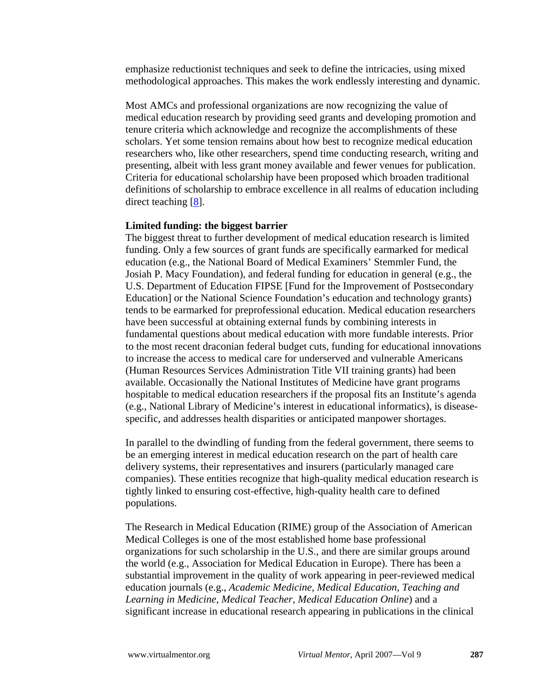emphasize reductionist techniques and seek to define the intricacies, using mixed methodological approaches. This makes the work endlessly interesting and dynamic.

Most AMCs and professional organizations are now recognizing the value of medical education research by providing seed grants and developing promotion and tenure criteria which acknowledge and recognize the accomplishments of these scholars. Yet some tension remains about how best to recognize medical education researchers who, like other researchers, spend time conducting research, writing and presenting, albeit with less grant money available and fewer venues for publication. Criteria for educational scholarship have been proposed which broaden traditional definitions of scholarship to embrace excellence in all realms of education including direct teaching [8].

### **Limited funding: the biggest barrier**

The biggest threat to further development of medical education research is limited funding. Only a few sources of grant funds are specifically earmarked for medical education (e.g., the National Board of Medical Examiners' Stemmler Fund, the Josiah P. Macy Foundation), and federal funding for education in general (e.g., the U.S. Department of Education FIPSE [Fund for the Improvement of Postsecondary Education] or the National Science Foundation's education and technology grants) tends to be earmarked for preprofessional education. Medical education researchers have been successful at obtaining external funds by combining interests in fundamental questions about medical education with more fundable interests. Prior to the most recent draconian federal budget cuts, funding for educational innovations to increase the access to medical care for underserved and vulnerable Americans (Human Resources Services Administration Title VII training grants) had been available. Occasionally the National Institutes of Medicine have grant programs hospitable to medical education researchers if the proposal fits an Institute's agenda (e.g., National Library of Medicine's interest in educational informatics), is diseasespecific, and addresses health disparities or anticipated manpower shortages.

In parallel to the dwindling of funding from the federal government, there seems to be an emerging interest in medical education research on the part of health care delivery systems, their representatives and insurers (particularly managed care companies). These entities recognize that high-quality medical education research is tightly linked to ensuring cost-effective, high-quality health care to defined populations.

The Research in Medical Education (RIME) group of the Association of American Medical Colleges is one of the most established home base professional organizations for such scholarship in the U.S., and there are similar groups around the world (e.g., Association for Medical Education in Europe). There has been a substantial improvement in the quality of work appearing in peer-reviewed medical education journals (e.g., *Academic Medicine, Medical Education, Teaching and Learning in Medicine, Medical Teacher, Medical Education Online*) and a significant increase in educational research appearing in publications in the clinical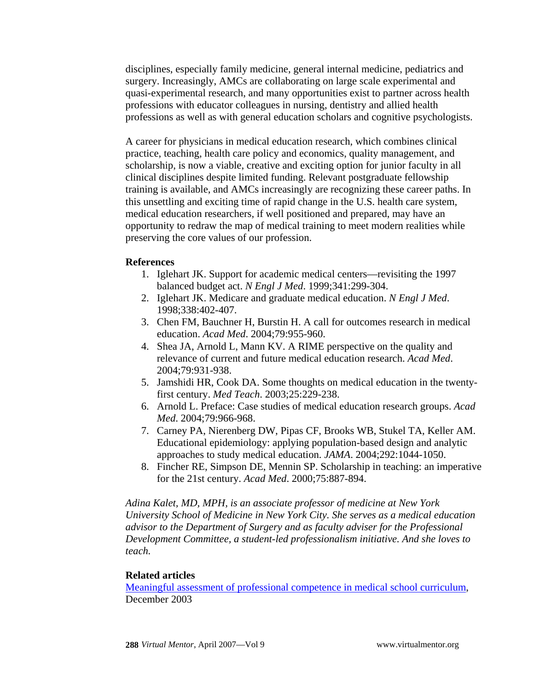disciplines, especially family medicine, general internal medicine, pediatrics and surgery. Increasingly, AMCs are collaborating on large scale experimental and quasi-experimental research, and many opportunities exist to partner across health professions with educator colleagues in nursing, dentistry and allied health professions as well as with general education scholars and cognitive psychologists.

A career for physicians in medical education research, which combines clinical practice, teaching, health care policy and economics, quality management, and scholarship, is now a viable, creative and exciting option for junior faculty in all clinical disciplines despite limited funding. Relevant postgraduate fellowship training is available, and AMCs increasingly are recognizing these career paths. In this unsettling and exciting time of rapid change in the U.S. health care system, medical education researchers, if well positioned and prepared, may have an opportunity to redraw the map of medical training to meet modern realities while preserving the core values of our profession.

## **References**

- 1. Iglehart JK. Support for academic medical centers—revisiting the 1997 balanced budget act. *N Engl J Med*. 1999;341:299-304.
- 2. Iglehart JK. Medicare and graduate medical education. *N Engl J Med*. 1998;338:402-407.
- 3. Chen FM, Bauchner H, Burstin H. A call for outcomes research in medical education. *Acad Med*. 2004;79:955-960.
- 4. Shea JA, Arnold L, Mann KV. A RIME perspective on the quality and relevance of current and future medical education research. *Acad Med*. 2004;79:931-938.
- 5. Jamshidi HR, Cook DA. Some thoughts on medical education in the twentyfirst century. *Med Teach*. 2003;25:229-238.
- 6. Arnold L. Preface: Case studies of medical education research groups. *Acad Med*. 2004;79:966-968.
- 7. Carney PA, Nierenberg DW, Pipas CF, Brooks WB, Stukel TA, Keller AM. Educational epidemiology: applying population-based design and analytic approaches to study medical education. *JAMA*. 2004;292:1044-1050.
- 8. Fincher RE, Simpson DE, Mennin SP. Scholarship in teaching: an imperative for the 21st century. *Acad Med*. 2000;75:887-894.

*Adina Kalet, MD, MPH, is an associate professor of medicine at New York University School of Medicine in New York City. She serves as a medical education advisor to the Department of Surgery and as faculty adviser for the Professional Development Committee, a student-led professionalism initiative. And she loves to teach.*

## **Related articles**

[Meaningful assessment of professional competence in medical school curriculum,](http://www.ama-assn.org/ama/pub/category/11710.html) December 2003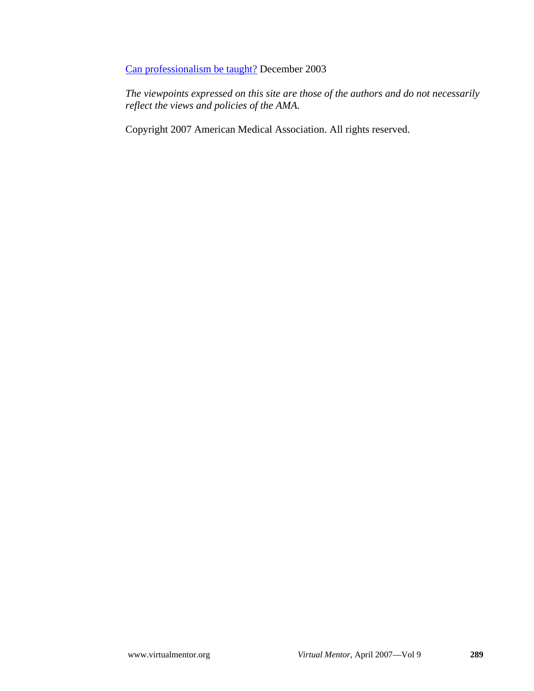[Can professionalism be taught?](http://www.ama-assn.org/ama/pub/category/11716.html) December 2003

*The viewpoints expressed on this site are those of the authors and do not necessarily reflect the views and policies of the AMA.*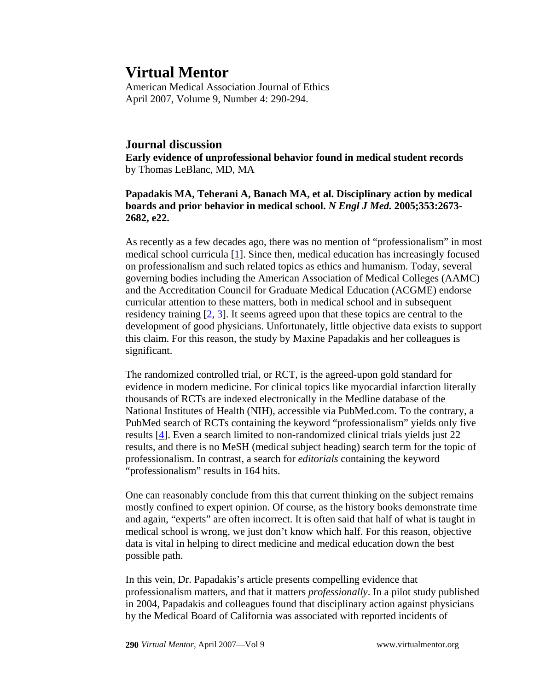**Virtual Mentor**<br>American Medical Association Journal of Ethics April 2007, Volume 9, Number 4: 290-294.

# **Journal discussion**

**Early evidence of unprofessional behavior found in medical student records** by Thomas LeBlanc, MD, MA

## **Papadakis MA, Teherani A, Banach MA, et al. Disciplinary action by medical boards and prior behavior in medical school.** *N Engl J Med.* **2005;353:2673- 2682, e22.**

As recently as a few decades ago, there was no mention of "professionalism" in most medical school curricula [1]. Since then, medical education has increasingly focused on professionalism and such related topics as ethics and humanism. Today, several governing bodies including the American Association of Medical Colleges (AAMC) and the Accreditation Council for Graduate Medical Education (ACGME) endorse curricular attention to these matters, both in medical school and in subsequent residency training [2, 3]. It seems agreed upon that these topics are central to the development of good physicians. Unfortunately, little objective data exists to support this claim. For this reason, the study by Maxine Papadakis and her colleagues is significant.

The randomized controlled trial, or RCT, is the agreed-upon gold standard for evidence in modern medicine. For clinical topics like myocardial infarction literally thousands of RCTs are indexed electronically in the Medline database of the National Institutes of Health (NIH), accessible via PubMed.com. To the contrary, a PubMed search of RCTs containing the keyword "professionalism" yields only five results [4]. Even a search limited to non-randomized clinical trials yields just 22 results, and there is no MeSH (medical subject heading) search term for the topic of professionalism. In contrast, a search for *editorials* containing the keyword "professionalism" results in 164 hits.

One can reasonably conclude from this that current thinking on the subject remains mostly confined to expert opinion. Of course, as the history books demonstrate time and again, "experts" are often incorrect. It is often said that half of what is taught in medical school is wrong, we just don't know which half. For this reason, objective data is vital in helping to direct medicine and medical education down the best possible path.

In this vein, Dr. Papadakis's article presents compelling evidence that professionalism matters, and that it matters *professionally*. In a pilot study published in 2004, Papadakis and colleagues found that disciplinary action against physicians by the Medical Board of California was associated with reported incidents of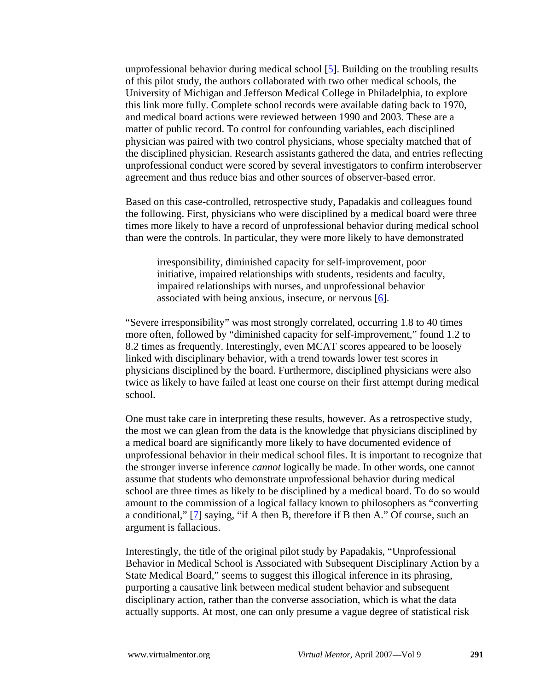unprofessional behavior during medical school [5]. Building on the troubling results of this pilot study, the authors collaborated with two other medical schools, the University of Michigan and Jefferson Medical College in Philadelphia, to explore this link more fully. Complete school records were available dating back to 1970, and medical board actions were reviewed between 1990 and 2003. These are a matter of public record. To control for confounding variables, each disciplined physician was paired with two control physicians, whose specialty matched that of the disciplined physician. Research assistants gathered the data, and entries reflecting unprofessional conduct were scored by several investigators to confirm interobserver agreement and thus reduce bias and other sources of observer-based error.

Based on this case-controlled, retrospective study, Papadakis and colleagues found the following. First, physicians who were disciplined by a medical board were three times more likely to have a record of unprofessional behavior during medical school than were the controls. In particular, they were more likely to have demonstrated

irresponsibility, diminished capacity for self-improvement, poor initiative, impaired relationships with students, residents and faculty, impaired relationships with nurses, and unprofessional behavior associated with being anxious, insecure, or nervous [6].

"Severe irresponsibility" was most strongly correlated, occurring 1.8 to 40 times more often, followed by "diminished capacity for self-improvement," found 1.2 to 8.2 times as frequently. Interestingly, even MCAT scores appeared to be loosely linked with disciplinary behavior, with a trend towards lower test scores in physicians disciplined by the board. Furthermore, disciplined physicians were also twice as likely to have failed at least one course on their first attempt during medical school.

One must take care in interpreting these results, however. As a retrospective study, the most we can glean from the data is the knowledge that physicians disciplined by a medical board are significantly more likely to have documented evidence of unprofessional behavior in their medical school files. It is important to recognize that the stronger inverse inference *cannot* logically be made. In other words, one cannot assume that students who demonstrate unprofessional behavior during medical school are three times as likely to be disciplined by a medical board. To do so would amount to the commission of a logical fallacy known to philosophers as "converting a conditional," [7] saying, "if A then B, therefore if B then A." Of course, such an argument is fallacious.

Interestingly, the title of the original pilot study by Papadakis, "Unprofessional Behavior in Medical School is Associated with Subsequent Disciplinary Action by a State Medical Board," seems to suggest this illogical inference in its phrasing, purporting a causative link between medical student behavior and subsequent disciplinary action, rather than the converse association, which is what the data actually supports. At most, one can only presume a vague degree of statistical risk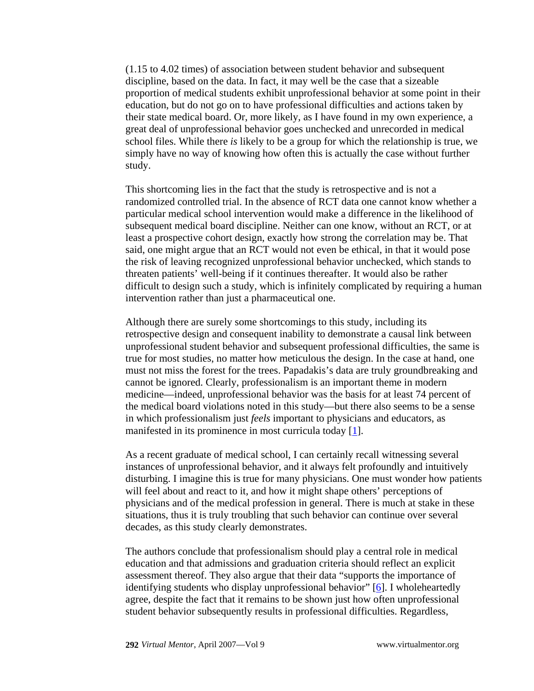(1.15 to 4.02 times) of association between student behavior and subsequent discipline, based on the data. In fact, it may well be the case that a sizeable proportion of medical students exhibit unprofessional behavior at some point in their education, but do not go on to have professional difficulties and actions taken by their state medical board. Or, more likely, as I have found in my own experience, a great deal of unprofessional behavior goes unchecked and unrecorded in medical school files. While there *is* likely to be a group for which the relationship is true, we simply have no way of knowing how often this is actually the case without further study.

This shortcoming lies in the fact that the study is retrospective and is not a randomized controlled trial. In the absence of RCT data one cannot know whether a particular medical school intervention would make a difference in the likelihood of subsequent medical board discipline. Neither can one know, without an RCT, or at least a prospective cohort design, exactly how strong the correlation may be. That said, one might argue that an RCT would not even be ethical, in that it would pose the risk of leaving recognized unprofessional behavior unchecked, which stands to threaten patients' well-being if it continues thereafter. It would also be rather difficult to design such a study, which is infinitely complicated by requiring a human intervention rather than just a pharmaceutical one.

Although there are surely some shortcomings to this study, including its retrospective design and consequent inability to demonstrate a causal link between unprofessional student behavior and subsequent professional difficulties, the same is true for most studies, no matter how meticulous the design. In the case at hand, one must not miss the forest for the trees. Papadakis's data are truly groundbreaking and cannot be ignored. Clearly, professionalism is an important theme in modern medicine—indeed, unprofessional behavior was the basis for at least 74 percent of the medical board violations noted in this study—but there also seems to be a sense in which professionalism just *feels* important to physicians and educators, as manifested in its prominence in most curricula today [1].

As a recent graduate of medical school, I can certainly recall witnessing several instances of unprofessional behavior, and it always felt profoundly and intuitively disturbing. I imagine this is true for many physicians. One must wonder how patients will feel about and react to it, and how it might shape others' perceptions of physicians and of the medical profession in general. There is much at stake in these situations, thus it is truly troubling that such behavior can continue over several decades, as this study clearly demonstrates.

The authors conclude that professionalism should play a central role in medical education and that admissions and graduation criteria should reflect an explicit assessment thereof. They also argue that their data "supports the importance of identifying students who display unprofessional behavior" [6]. I wholeheartedly agree, despite the fact that it remains to be shown just how often unprofessional student behavior subsequently results in professional difficulties. Regardless,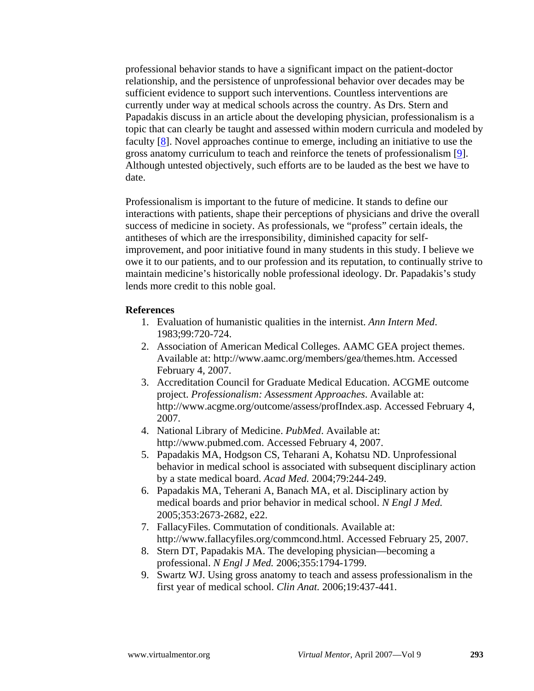professional behavior stands to have a significant impact on the patient-doctor relationship, and the persistence of unprofessional behavior over decades may be sufficient evidence to support such interventions. Countless interventions are currently under way at medical schools across the country. As Drs. Stern and Papadakis discuss in an article about the developing physician, professionalism is a topic that can clearly be taught and assessed within modern curricula and modeled by faculty [8]. Novel approaches continue to emerge, including an initiative to use the gross anatomy curriculum to teach and reinforce the tenets of professionalism [9]. Although untested objectively, such efforts are to be lauded as the best we have to date.

Professionalism is important to the future of medicine. It stands to define our interactions with patients, shape their perceptions of physicians and drive the overall success of medicine in society. As professionals, we "profess" certain ideals, the antitheses of which are the irresponsibility, diminished capacity for selfimprovement, and poor initiative found in many students in this study. I believe we owe it to our patients, and to our profession and its reputation, to continually strive to maintain medicine's historically noble professional ideology. Dr. Papadakis's study lends more credit to this noble goal.

### **References**

- 1. Evaluation of humanistic qualities in the internist. *Ann Intern Med*. 1983;99:720-724.
- 2. Association of American Medical Colleges. AAMC GEA project themes. Available at: http://www.aamc.org/members/gea/themes.htm. Accessed February 4, 2007.
- 3. Accreditation Council for Graduate Medical Education. ACGME outcome project. *Professionalism: Assessment Approaches*. Available at: http://www.acgme.org/outcome/assess/profIndex.asp. Accessed February 4, 2007.
- 4. National Library of Medicine. *PubMed*. Available at: http://www.pubmed.com. Accessed February 4, 2007.
- 5. Papadakis MA, Hodgson CS, Teharani A, Kohatsu ND. Unprofessional behavior in medical school is associated with subsequent disciplinary action by a state medical board. *Acad Med.* 2004;79:244-249.
- 6. Papadakis MA, Teherani A, Banach MA, et al. Disciplinary action by medical boards and prior behavior in medical school. *N Engl J Med.* 2005;353:2673-2682, e22.
- 7. FallacyFiles. Commutation of conditionals. Available at: http://www.fallacyfiles.org/commcond.html. Accessed February 25, 2007.
- 8. Stern DT, Papadakis MA. The developing physician—becoming a professional. *N Engl J Med.* 2006;355:1794-1799.
- 9. Swartz WJ. Using gross anatomy to teach and assess professionalism in the first year of medical school. *Clin Anat.* 2006;19:437-441.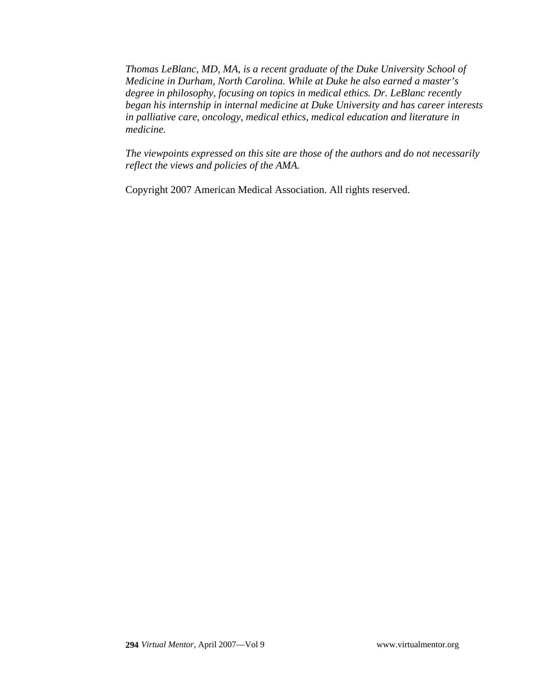*Thomas LeBlanc, MD, MA, is a recent graduate of the Duke University School of Medicine in Durham, North Carolina. While at Duke he also earned a master's degree in philosophy, focusing on topics in medical ethics. Dr. LeBlanc recently began his internship in internal medicine at Duke University and has career interests in palliative care, oncology, medical ethics, medical education and literature in medicine.*

*The viewpoints expressed on this site are those of the authors and do not necessarily reflect the views and policies of the AMA.*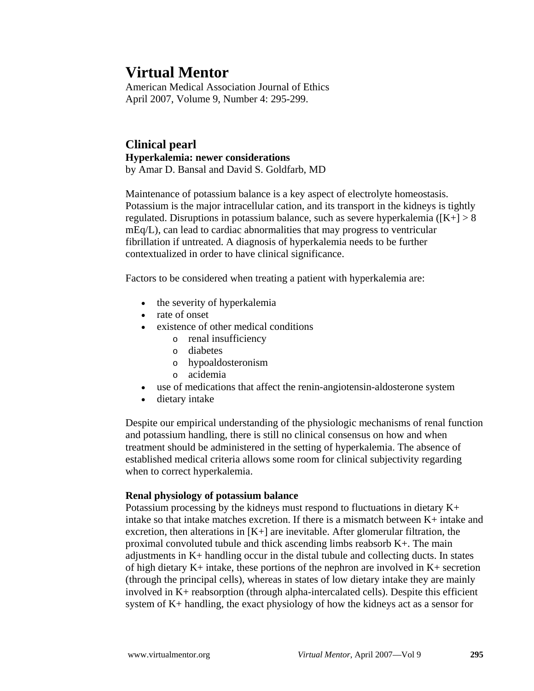**Virtual Mentor**<br>American Medical Association Journal of Ethics April 2007, Volume 9, Number 4: 295-299.

# **Clinical pearl Hyperkalemia: newer considerations** by Amar D. Bansal and David S. Goldfarb, MD

Maintenance of potassium balance is a key aspect of electrolyte homeostasis. Potassium is the major intracellular cation, and its transport in the kidneys is tightly regulated. Disruptions in potassium balance, such as severe hyperkalemia ( $[K+] > 8$ mEq/L), can lead to cardiac abnormalities that may progress to ventricular fibrillation if untreated. A diagnosis of hyperkalemia needs to be further contextualized in order to have clinical significance.

Factors to be considered when treating a patient with hyperkalemia are:

- the severity of hyperkalemia
- rate of onset
- existence of other medical conditions
	- o renal insufficiency
	- o diabetes
	- o hypoaldosteronism
	- o acidemia
- use of medications that affect the renin-angiotensin-aldosterone system
- dietary intake

Despite our empirical understanding of the physiologic mechanisms of renal function and potassium handling, there is still no clinical consensus on how and when treatment should be administered in the setting of hyperkalemia. The absence of established medical criteria allows some room for clinical subjectivity regarding when to correct hyperkalemia.

## **Renal physiology of potassium balance**

Potassium processing by the kidneys must respond to fluctuations in dietary K+ intake so that intake matches excretion. If there is a mismatch between K+ intake and excretion, then alterations in [K+] are inevitable. After glomerular filtration, the proximal convoluted tubule and thick ascending limbs reabsorb K+. The main adjustments in K+ handling occur in the distal tubule and collecting ducts. In states of high dietary  $K<sub>+</sub>$  intake, these portions of the nephron are involved in  $K<sub>+</sub>$  secretion (through the principal cells), whereas in states of low dietary intake they are mainly involved in K+ reabsorption (through alpha-intercalated cells). Despite this efficient system of K+ handling, the exact physiology of how the kidneys act as a sensor for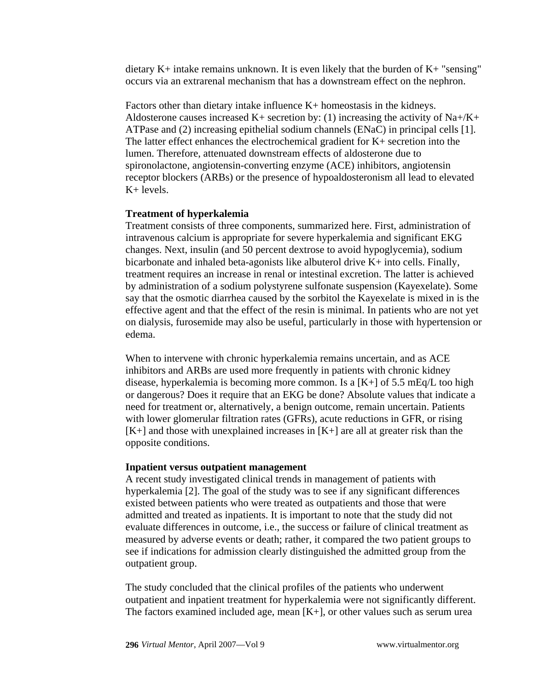dietary K+ intake remains unknown. It is even likely that the burden of K+ "sensing" occurs via an extrarenal mechanism that has a downstream effect on the nephron.

Factors other than dietary intake influence K+ homeostasis in the kidneys. Aldosterone causes increased K+ secretion by: (1) increasing the activity of  $Na+/K+$ ATPase and (2) increasing epithelial sodium channels (ENaC) in principal cells [1]. The latter effect enhances the electrochemical gradient for K+ secretion into the lumen. Therefore, attenuated downstream effects of aldosterone due to spironolactone, angiotensin-converting enzyme (ACE) inhibitors, angiotensin receptor blockers (ARBs) or the presence of hypoaldosteronism all lead to elevated  $K+$  levels.

#### **Treatment of hyperkalemia**

Treatment consists of three components, summarized here. First, administration of intravenous calcium is appropriate for severe hyperkalemia and significant EKG changes. Next, insulin (and 50 percent dextrose to avoid hypoglycemia), sodium bicarbonate and inhaled beta-agonists like albuterol drive K+ into cells. Finally, treatment requires an increase in renal or intestinal excretion. The latter is achieved by administration of a sodium polystyrene sulfonate suspension (Kayexelate). Some say that the osmotic diarrhea caused by the sorbitol the Kayexelate is mixed in is the effective agent and that the effect of the resin is minimal. In patients who are not yet on dialysis, furosemide may also be useful, particularly in those with hypertension or edema.

When to intervene with chronic hyperkalemia remains uncertain, and as ACE inhibitors and ARBs are used more frequently in patients with chronic kidney disease, hyperkalemia is becoming more common. Is a [K+] of 5.5 mEq/L too high or dangerous? Does it require that an EKG be done? Absolute values that indicate a need for treatment or, alternatively, a benign outcome, remain uncertain. Patients with lower glomerular filtration rates (GFRs), acute reductions in GFR, or rising  $[K+]$  and those with unexplained increases in  $[K+]$  are all at greater risk than the opposite conditions.

#### **Inpatient versus outpatient management**

A recent study investigated clinical trends in management of patients with hyperkalemia [2]. The goal of the study was to see if any significant differences existed between patients who were treated as outpatients and those that were admitted and treated as inpatients. It is important to note that the study did not evaluate differences in outcome, i.e., the success or failure of clinical treatment as measured by adverse events or death; rather, it compared the two patient groups to see if indications for admission clearly distinguished the admitted group from the outpatient group.

The study concluded that the clinical profiles of the patients who underwent outpatient and inpatient treatment for hyperkalemia were not significantly different. The factors examined included age, mean  $[K+]$ , or other values such as serum urea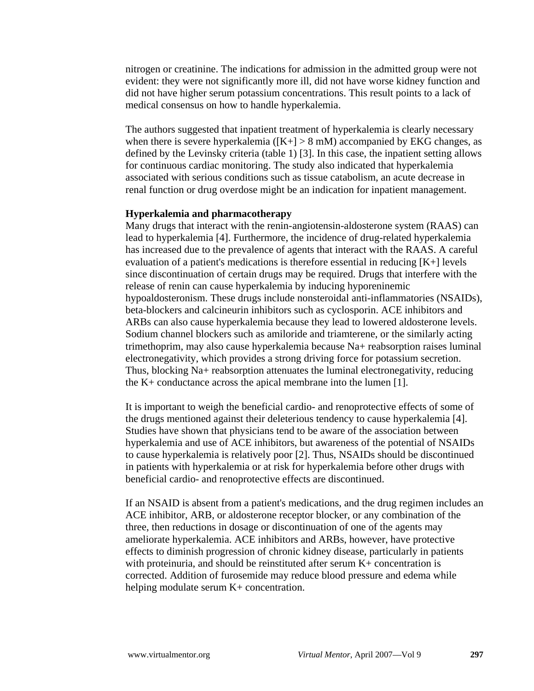nitrogen or creatinine. The indications for admission in the admitted group were not evident: they were not significantly more ill, did not have worse kidney function and did not have higher serum potassium concentrations. This result points to a lack of medical consensus on how to handle hyperkalemia.

The authors suggested that inpatient treatment of hyperkalemia is clearly necessary when there is severe hyperkalemia ( $[K+] > 8$  mM) accompanied by EKG changes, as defined by the Levinsky criteria (table 1) [3]. In this case, the inpatient setting allows for continuous cardiac monitoring. The study also indicated that hyperkalemia associated with serious conditions such as tissue catabolism, an acute decrease in renal function or drug overdose might be an indication for inpatient management.

### **Hyperkalemia and pharmacotherapy**

Many drugs that interact with the renin-angiotensin-aldosterone system (RAAS) can lead to hyperkalemia [4]. Furthermore, the incidence of drug-related hyperkalemia has increased due to the prevalence of agents that interact with the RAAS. A careful evaluation of a patient's medications is therefore essential in reducing [K+] levels since discontinuation of certain drugs may be required. Drugs that interfere with the release of renin can cause hyperkalemia by inducing hyporeninemic hypoaldosteronism. These drugs include nonsteroidal anti-inflammatories (NSAIDs), beta-blockers and calcineurin inhibitors such as cyclosporin. ACE inhibitors and ARBs can also cause hyperkalemia because they lead to lowered aldosterone levels. Sodium channel blockers such as amiloride and triamterene, or the similarly acting trimethoprim, may also cause hyperkalemia because Na+ reabsorption raises luminal electronegativity, which provides a strong driving force for potassium secretion. Thus, blocking Na+ reabsorption attenuates the luminal electronegativity, reducing the K+ conductance across the apical membrane into the lumen [1].

It is important to weigh the beneficial cardio- and renoprotective effects of some of the drugs mentioned against their deleterious tendency to cause hyperkalemia [4]. Studies have shown that physicians tend to be aware of the association between hyperkalemia and use of ACE inhibitors, but awareness of the potential of NSAIDs to cause hyperkalemia is relatively poor [2]. Thus, NSAIDs should be discontinued in patients with hyperkalemia or at risk for hyperkalemia before other drugs with beneficial cardio- and renoprotective effects are discontinued.

If an NSAID is absent from a patient's medications, and the drug regimen includes an ACE inhibitor, ARB, or aldosterone receptor blocker, or any combination of the three, then reductions in dosage or discontinuation of one of the agents may ameliorate hyperkalemia. ACE inhibitors and ARBs, however, have protective effects to diminish progression of chronic kidney disease, particularly in patients with proteinuria, and should be reinstituted after serum K+ concentration is corrected. Addition of furosemide may reduce blood pressure and edema while helping modulate serum K+ concentration.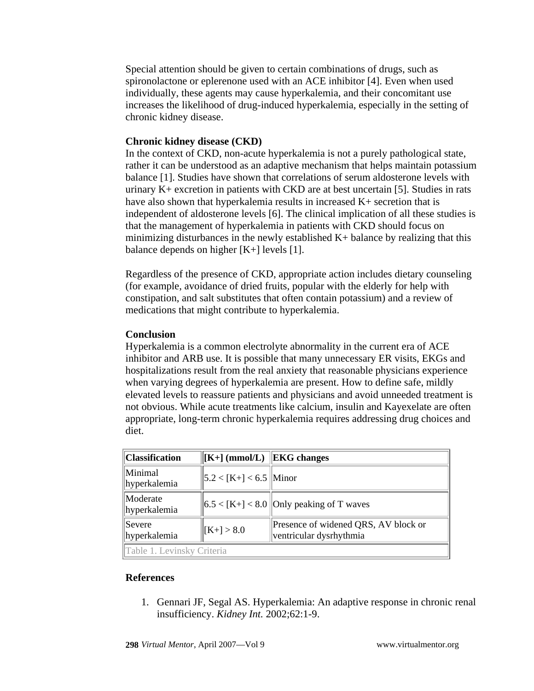Special attention should be given to certain combinations of drugs, such as spironolactone or eplerenone used with an ACE inhibitor [4]. Even when used individually, these agents may cause hyperkalemia, and their concomitant use increases the likelihood of drug-induced hyperkalemia, especially in the setting of chronic kidney disease.

## **Chronic kidney disease (CKD)**

In the context of CKD, non-acute hyperkalemia is not a purely pathological state, rather it can be understood as an adaptive mechanism that helps maintain potassium balance [1]. Studies have shown that correlations of serum aldosterone levels with urinary K+ excretion in patients with CKD are at best uncertain [5]. Studies in rats have also shown that hyperkalemia results in increased K+ secretion that is independent of aldosterone levels [6]. The clinical implication of all these studies is that the management of hyperkalemia in patients with CKD should focus on minimizing disturbances in the newly established K+ balance by realizing that this balance depends on higher [K+] levels [1].

Regardless of the presence of CKD, appropriate action includes dietary counseling (for example, avoidance of dried fruits, popular with the elderly for help with constipation, and salt substitutes that often contain potassium) and a review of medications that might contribute to hyperkalemia.

## **Conclusion**

Hyperkalemia is a common electrolyte abnormality in the current era of ACE inhibitor and ARB use. It is possible that many unnecessary ER visits, EKGs and hospitalizations result from the real anxiety that reasonable physicians experience when varying degrees of hyperkalemia are present. How to define safe, mildly elevated levels to reassure patients and physicians and avoid unneeded treatment is not obvious. While acute treatments like calcium, insulin and Kayexelate are often appropriate, long-term chronic hyperkalemia requires addressing drug choices and diet.

| Classification                 | $[K+]$ (mmol/L)                     | $ EKG$ changes                                                  |
|--------------------------------|-------------------------------------|-----------------------------------------------------------------|
| <b>Minimal</b><br>hyperkalemia | $ 5.2 \times [K+] \times 6.5$ Minor |                                                                 |
| Moderate<br>hyperkalemia       |                                     | $ 6.5 \times [K+] \times 8.0$ Only peaking of T waves           |
| <i>Severe</i><br>hyperkalemia  | $ [K+]>8.0$                         | Presence of widened QRS, AV block or<br>ventricular dysrhythmia |
| Table 1. Levinsky Criteria     |                                     |                                                                 |

## **References**

1. Gennari JF, Segal AS. Hyperkalemia: An adaptive response in chronic renal insufficiency. *Kidney Int.* 2002;62:1-9.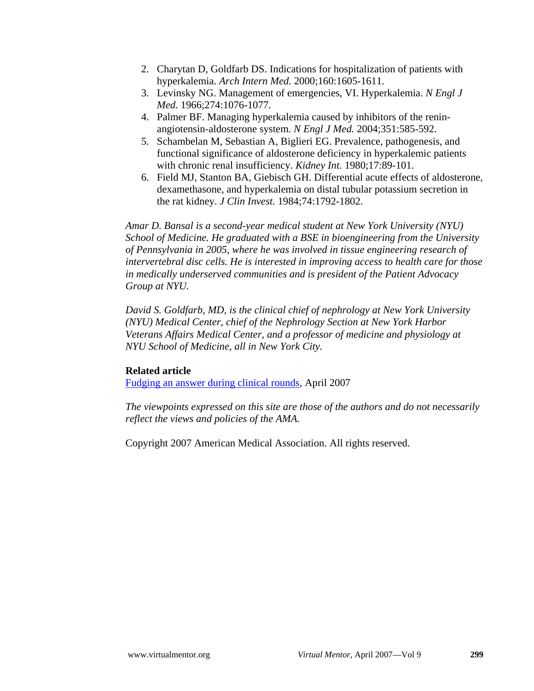- 2. Charytan D, Goldfarb DS. Indications for hospitalization of patients with hyperkalemia. *Arch Intern Med.* 2000;160:1605-1611.
- 3. Levinsky NG. Management of emergencies, VI. Hyperkalemia. *N Engl J Med.* 1966;274:1076-1077.
- 4. Palmer BF. Managing hyperkalemia caused by inhibitors of the reninangiotensin-aldosterone system. *N Engl J Med.* 2004;351:585-592.
- 5. Schambelan M, Sebastian A, Biglieri EG. Prevalence, pathogenesis, and functional significance of aldosterone deficiency in hyperkalemic patients with chronic renal insufficiency. *Kidney Int.* 1980;17:89-101.
- 6. Field MJ, Stanton BA, Giebisch GH. Differential acute effects of aldosterone, dexamethasone, and hyperkalemia on distal tubular potassium secretion in the rat kidney. *J Clin Invest.* 1984;74:1792-1802.

*Amar D. Bansal is a second-year medical student at New York University (NYU) School of Medicine. He graduated with a BSE in bioengineering from the University of Pennsylvania in 2005, where he was involved in tissue engineering research of intervertebral disc cells. He is interested in improving access to health care for those in medically underserved communities and is president of the Patient Advocacy Group at NYU.*

*David S. Goldfarb, MD, is the clinical chief of nephrology at New York University (NYU) Medical Center, chief of the Nephrology Section at New York Harbor Veterans Affairs Medical Center, and a professor of medicine and physiology at NYU School of Medicine, all in New York City.*

# **Related article**

[Fudging an answer during clinical rounds,](http://www.ama-assn.org/ama/pub/category/17397.html) April 2007

*The viewpoints expressed on this site are those of the authors and do not necessarily reflect the views and policies of the AMA.*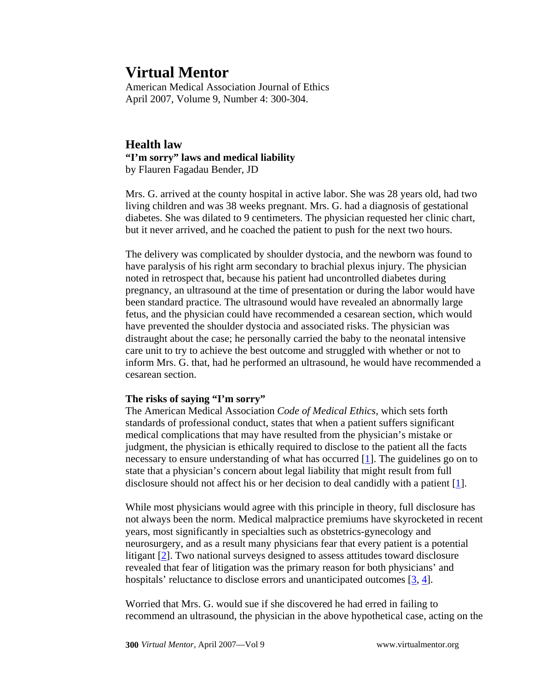**Virtual Mentor**<br>American Medical Association Journal of Ethics April 2007, Volume 9, Number 4: 300-304.

# **Health law "I'm sorry" laws and medical liability** by Flauren Fagadau Bender, JD

Mrs. G. arrived at the county hospital in active labor. She was 28 years old, had two living children and was 38 weeks pregnant. Mrs. G. had a diagnosis of gestational diabetes. She was dilated to 9 centimeters. The physician requested her clinic chart, but it never arrived, and he coached the patient to push for the next two hours.

The delivery was complicated by shoulder dystocia, and the newborn was found to have paralysis of his right arm secondary to brachial plexus injury. The physician noted in retrospect that, because his patient had uncontrolled diabetes during pregnancy, an ultrasound at the time of presentation or during the labor would have been standard practice. The ultrasound would have revealed an abnormally large fetus, and the physician could have recommended a cesarean section, which would have prevented the shoulder dystocia and associated risks. The physician was distraught about the case; he personally carried the baby to the neonatal intensive care unit to try to achieve the best outcome and struggled with whether or not to inform Mrs. G. that, had he performed an ultrasound, he would have recommended a cesarean section.

## **The risks of saying "I'm sorry"**

The American Medical Association *Code of Medical Ethics*, which sets forth standards of professional conduct, states that when a patient suffers significant medical complications that may have resulted from the physician's mistake or judgment, the physician is ethically required to disclose to the patient all the facts necessary to ensure understanding of what has occurred [1]. The guidelines go on to state that a physician's concern about legal liability that might result from full disclosure should not affect his or her decision to deal candidly with a patient [1].

While most physicians would agree with this principle in theory, full disclosure has not always been the norm. Medical malpractice premiums have skyrocketed in recent years, most significantly in specialties such as obstetrics-gynecology and neurosurgery, and as a result many physicians fear that every patient is a potential litigant [2]. Two national surveys designed to assess attitudes toward disclosure revealed that fear of litigation was the primary reason for both physicians' and hospitals' reluctance to disclose errors and unanticipated outcomes  $[3, 4]$ .

Worried that Mrs. G. would sue if she discovered he had erred in failing to recommend an ultrasound, the physician in the above hypothetical case, acting on the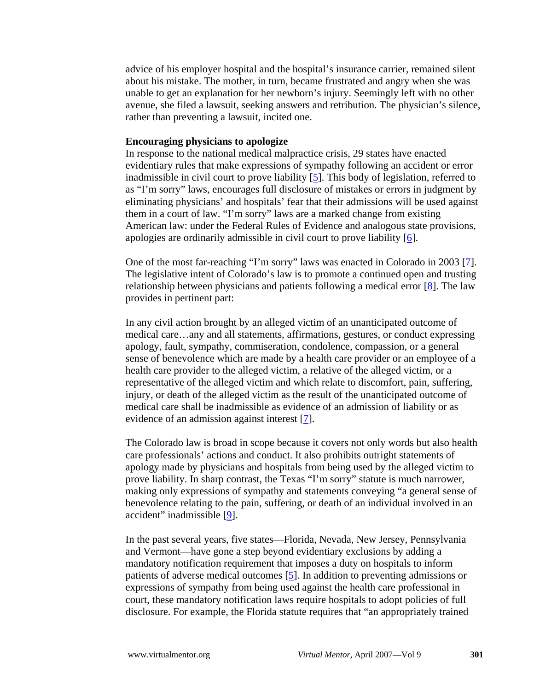advice of his employer hospital and the hospital's insurance carrier, remained silent about his mistake. The mother, in turn, became frustrated and angry when she was unable to get an explanation for her newborn's injury. Seemingly left with no other avenue, she filed a lawsuit, seeking answers and retribution. The physician's silence, rather than preventing a lawsuit, incited one.

### **Encouraging physicians to apologize**

In response to the national medical malpractice crisis, 29 states have enacted evidentiary rules that make expressions of sympathy following an accident or error inadmissible in civil court to prove liability [5]. This body of legislation, referred to as "I'm sorry" laws, encourages full disclosure of mistakes or errors in judgment by eliminating physicians' and hospitals' fear that their admissions will be used against them in a court of law. "I'm sorry" laws are a marked change from existing American law: under the Federal Rules of Evidence and analogous state provisions, apologies are ordinarily admissible in civil court to prove liability [6].

One of the most far-reaching "I'm sorry" laws was enacted in Colorado in 2003 [7]. The legislative intent of Colorado's law is to promote a continued open and trusting relationship between physicians and patients following a medical error [8]. The law provides in pertinent part:

In any civil action brought by an alleged victim of an unanticipated outcome of medical care…any and all statements, affirmations, gestures, or conduct expressing apology, fault, sympathy, commiseration, condolence, compassion, or a general sense of benevolence which are made by a health care provider or an employee of a health care provider to the alleged victim, a relative of the alleged victim, or a representative of the alleged victim and which relate to discomfort, pain, suffering, injury, or death of the alleged victim as the result of the unanticipated outcome of medical care shall be inadmissible as evidence of an admission of liability or as evidence of an admission against interest [7].

The Colorado law is broad in scope because it covers not only words but also health care professionals' actions and conduct. It also prohibits outright statements of apology made by physicians and hospitals from being used by the alleged victim to prove liability. In sharp contrast, the Texas "I'm sorry" statute is much narrower, making only expressions of sympathy and statements conveying "a general sense of benevolence relating to the pain, suffering, or death of an individual involved in an accident" inadmissible [9].

In the past several years, five states—Florida, Nevada, New Jersey, Pennsylvania and Vermont—have gone a step beyond evidentiary exclusions by adding a mandatory notification requirement that imposes a duty on hospitals to inform patients of adverse medical outcomes  $[5]$ . In addition to preventing admissions or expressions of sympathy from being used against the health care professional in court, these mandatory notification laws require hospitals to adopt policies of full disclosure. For example, the Florida statute requires that "an appropriately trained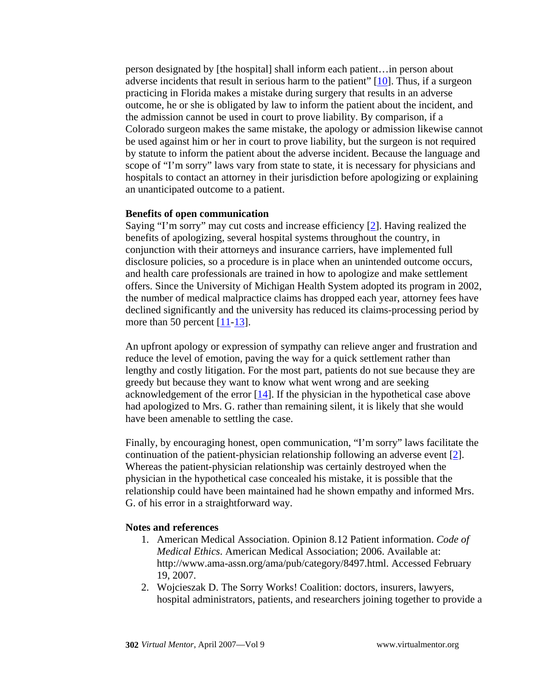person designated by [the hospital] shall inform each patient…in person about adverse incidents that result in serious harm to the patient" [10]. Thus, if a surgeon practicing in Florida makes a mistake during surgery that results in an adverse outcome, he or she is obligated by law to inform the patient about the incident, and the admission cannot be used in court to prove liability. By comparison, if a Colorado surgeon makes the same mistake, the apology or admission likewise cannot be used against him or her in court to prove liability, but the surgeon is not required by statute to inform the patient about the adverse incident. Because the language and scope of "I'm sorry" laws vary from state to state, it is necessary for physicians and hospitals to contact an attorney in their jurisdiction before apologizing or explaining an unanticipated outcome to a patient.

#### **Benefits of open communication**

Saying "I'm sorry" may cut costs and increase efficiency [2]. Having realized the benefits of apologizing, several hospital systems throughout the country, in conjunction with their attorneys and insurance carriers, have implemented full disclosure policies, so a procedure is in place when an unintended outcome occurs, and health care professionals are trained in how to apologize and make settlement offers. Since the University of Michigan Health System adopted its program in 2002, the number of medical malpractice claims has dropped each year, attorney fees have declined significantly and the university has reduced its claims-processing period by more than 50 percent [11-13].

An upfront apology or expression of sympathy can relieve anger and frustration and reduce the level of emotion, paving the way for a quick settlement rather than lengthy and costly litigation. For the most part, patients do not sue because they are greedy but because they want to know what went wrong and are seeking acknowledgement of the error [14]. If the physician in the hypothetical case above had apologized to Mrs. G. rather than remaining silent, it is likely that she would have been amenable to settling the case.

Finally, by encouraging honest, open communication, "I'm sorry" laws facilitate the continuation of the patient-physician relationship following an adverse event [2]. Whereas the patient-physician relationship was certainly destroyed when the physician in the hypothetical case concealed his mistake, it is possible that the relationship could have been maintained had he shown empathy and informed Mrs. G. of his error in a straightforward way.

#### **Notes and references**

- 1. American Medical Association. Opinion 8.12 Patient information. *Code of Medical Ethics*. American Medical Association; 2006. Available at: http://www.ama-assn.org/ama/pub/category/8497.html. Accessed February 19, 2007.
- 2. Wojcieszak D. The Sorry Works! Coalition: doctors, insurers, lawyers, hospital administrators, patients, and researchers joining together to provide a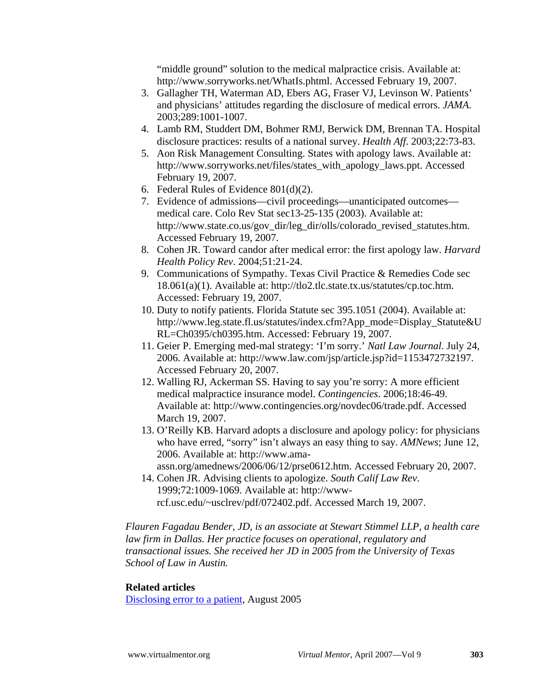"middle ground" solution to the medical malpractice crisis. Available at: http://www.sorryworks.net/WhatIs.phtml. Accessed February 19, 2007.

- 3. Gallagher TH, Waterman AD, Ebers AG, Fraser VJ, Levinson W. Patients' and physicians' attitudes regarding the disclosure of medical errors. *JAMA*. 2003;289:1001-1007.
- 4. Lamb RM, Studdert DM, Bohmer RMJ, Berwick DM, Brennan TA. Hospital disclosure practices: results of a national survey. *Health Aff*. 2003;22:73-83.
- 5. Aon Risk Management Consulting. States with apology laws. Available at: http://www.sorryworks.net/files/states\_with\_apology\_laws.ppt. Accessed February 19, 2007.
- 6. Federal Rules of Evidence 801(d)(2).
- 7. Evidence of admissions—civil proceedings—unanticipated outcomes medical care. Colo Rev Stat sec13-25-135 (2003). Available at: http://www.state.co.us/gov\_dir/leg\_dir/olls/colorado\_revised\_statutes.htm. Accessed February 19, 2007.
- 8. Cohen JR. Toward candor after medical error: the first apology law. *Harvard Health Policy Rev*. 2004;51:21-24.
- 9. Communications of Sympathy. Texas Civil Practice & Remedies Code sec 18.061(a)(1). Available at: http://tlo2.tlc.state.tx.us/statutes/cp.toc.htm. Accessed: February 19, 2007.
- 10. Duty to notify patients. Florida Statute sec 395.1051 (2004). Available at: http://www.leg.state.fl.us/statutes/index.cfm?App\_mode=Display\_Statute&U RL=Ch0395/ch0395.htm. Accessed: February 19, 2007.
- 11. Geier P. Emerging med-mal strategy: 'I'm sorry.' *Natl Law Journal*. July 24, 2006. Available at: http://www.law.com/jsp/article.jsp?id=1153472732197. Accessed February 20, 2007.
- 12. Walling RJ, Ackerman SS. Having to say you're sorry: A more efficient medical malpractice insurance model. *Contingencies*. 2006;18:46-49. Available at: http://www.contingencies.org/novdec06/trade.pdf. Accessed March 19, 2007.
- 13. O'Reilly KB. Harvard adopts a disclosure and apology policy: for physicians who have erred, "sorry" isn't always an easy thing to say. *AMNews*; June 12, 2006. Available at: http://www.ama-

assn.org/amednews/2006/06/12/prse0612.htm. Accessed February 20, 2007.

14. Cohen JR. Advising clients to apologize. *South Calif Law Rev*. 1999;72:1009-1069. Available at: http://wwwrcf.usc.edu/~usclrev/pdf/072402.pdf. Accessed March 19, 2007.

*Flauren Fagadau Bender, JD, is an associate at Stewart Stimmel LLP, a health care law firm in Dallas. Her practice focuses on operational, regulatory and transactional issues. She received her JD in 2005 from the University of Texas School of Law in Austin.*

### **Related articles**

[Disclosing error to a patient,](http://www.ama-assn.org/ama/pub/category/15237.html) August 2005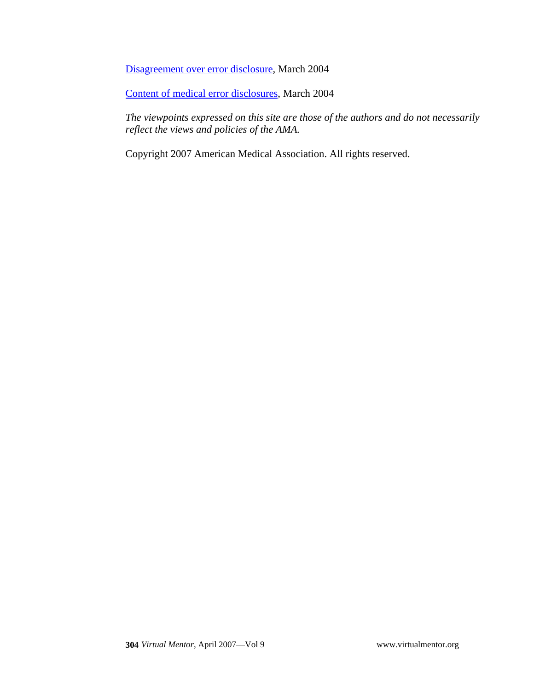[Disagreement over error disclosure,](http://www.ama-assn.org/ama/pub/category/12043.html) March 2004

[Content of medical error disclosures,](http://www.ama-assn.org/ama/pub/category/12053.html) March 2004

*The viewpoints expressed on this site are those of the authors and do not necessarily reflect the views and policies of the AMA.*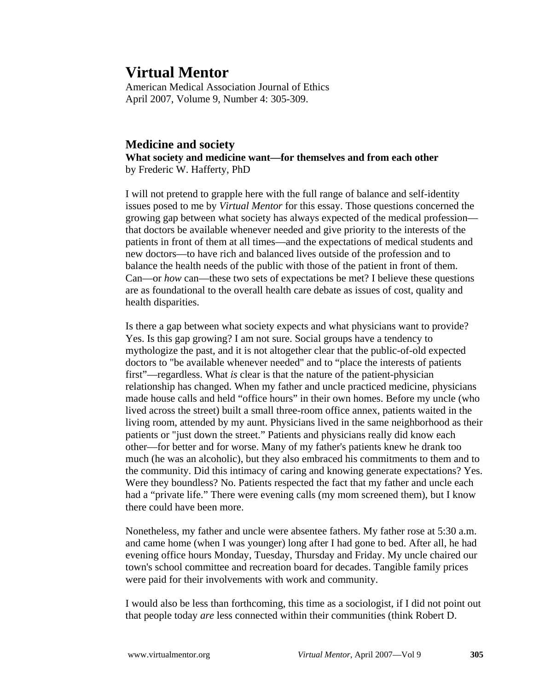**Virtual Mentor**<br>American Medical Association Journal of Ethics April 2007, Volume 9, Number 4: 305-309.

# **Medicine and society**

**What society and medicine want—for themselves and from each other** by Frederic W. Hafferty, PhD

I will not pretend to grapple here with the full range of balance and self-identity issues posed to me by *Virtual Mentor* for this essay. Those questions concerned the growing gap between what society has always expected of the medical profession that doctors be available whenever needed and give priority to the interests of the patients in front of them at all times—and the expectations of medical students and new doctors—to have rich and balanced lives outside of the profession and to balance the health needs of the public with those of the patient in front of them. Can—or *how* can—these two sets of expectations be met? I believe these questions are as foundational to the overall health care debate as issues of cost, quality and health disparities.

Is there a gap between what society expects and what physicians want to provide? Yes. Is this gap growing? I am not sure. Social groups have a tendency to mythologize the past, and it is not altogether clear that the public-of-old expected doctors to "be available whenever needed" and to "place the interests of patients first"—regardless. What *is* clear is that the nature of the patient-physician relationship has changed. When my father and uncle practiced medicine, physicians made house calls and held "office hours" in their own homes. Before my uncle (who lived across the street) built a small three-room office annex, patients waited in the living room, attended by my aunt. Physicians lived in the same neighborhood as their patients or "just down the street." Patients and physicians really did know each other—for better and for worse. Many of my father's patients knew he drank too much (he was an alcoholic), but they also embraced his commitments to them and to the community. Did this intimacy of caring and knowing generate expectations? Yes. Were they boundless? No. Patients respected the fact that my father and uncle each had a "private life." There were evening calls (my mom screened them), but I know there could have been more.

Nonetheless, my father and uncle were absentee fathers. My father rose at 5:30 a.m. and came home (when I was younger) long after I had gone to bed. After all, he had evening office hours Monday, Tuesday, Thursday and Friday. My uncle chaired our town's school committee and recreation board for decades. Tangible family prices were paid for their involvements with work and community.

I would also be less than forthcoming, this time as a sociologist, if I did not point out that people today *are* less connected within their communities (think Robert D.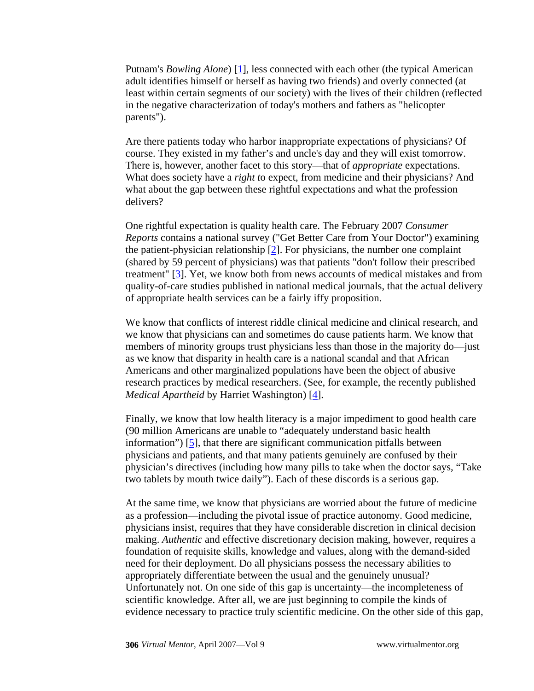Putnam's *Bowling Alone*) [1], less connected with each other (the typical American adult identifies himself or herself as having two friends) and overly connected (at least within certain segments of our society) with the lives of their children (reflected in the negative characterization of today's mothers and fathers as "helicopter parents").

Are there patients today who harbor inappropriate expectations of physicians? Of course. They existed in my father's and uncle's day and they will exist tomorrow. There is, however, another facet to this story—that of *appropriate* expectations. What does society have a *right t*o expect, from medicine and their physicians? And what about the gap between these rightful expectations and what the profession delivers?

One rightful expectation is quality health care. The February 2007 *Consumer Reports* contains a national survey ("Get Better Care from Your Doctor") examining the patient-physician relationship [2]. For physicians, the number one complaint (shared by 59 percent of physicians) was that patients "don't follow their prescribed treatment" [3]. Yet, we know both from news accounts of medical mistakes and from quality-of-care studies published in national medical journals, that the actual delivery of appropriate health services can be a fairly iffy proposition.

We know that conflicts of interest riddle clinical medicine and clinical research, and we know that physicians can and sometimes do cause patients harm. We know that members of minority groups trust physicians less than those in the majority do—just as we know that disparity in health care is a national scandal and that African Americans and other marginalized populations have been the object of abusive research practices by medical researchers. (See, for example, the recently published *Medical Apartheid* by Harriet Washington) [4].

Finally, we know that low health literacy is a major impediment to good health care (90 million Americans are unable to "adequately understand basic health information") [5], that there are significant communication pitfalls between physicians and patients, and that many patients genuinely are confused by their physician's directives (including how many pills to take when the doctor says, "Take two tablets by mouth twice daily"). Each of these discords is a serious gap.

At the same time, we know that physicians are worried about the future of medicine as a profession—including the pivotal issue of practice autonomy. Good medicine, physicians insist, requires that they have considerable discretion in clinical decision making. *Authentic* and effective discretionary decision making, however, requires a foundation of requisite skills, knowledge and values, along with the demand-sided need for their deployment. Do all physicians possess the necessary abilities to appropriately differentiate between the usual and the genuinely unusual? Unfortunately not. On one side of this gap is uncertainty—the incompleteness of scientific knowledge. After all, we are just beginning to compile the kinds of evidence necessary to practice truly scientific medicine. On the other side of this gap,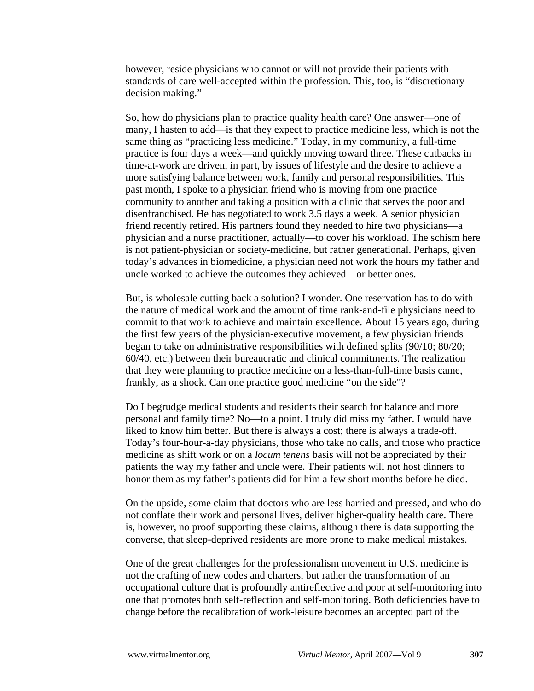however, reside physicians who cannot or will not provide their patients with standards of care well-accepted within the profession. This, too, is "discretionary decision making."

So, how do physicians plan to practice quality health care? One answer—one of many, I hasten to add—is that they expect to practice medicine less, which is not the same thing as "practicing less medicine." Today, in my community, a full-time practice is four days a week—and quickly moving toward three. These cutbacks in time-at-work are driven, in part, by issues of lifestyle and the desire to achieve a more satisfying balance between work, family and personal responsibilities. This past month, I spoke to a physician friend who is moving from one practice community to another and taking a position with a clinic that serves the poor and disenfranchised. He has negotiated to work 3.5 days a week. A senior physician friend recently retired. His partners found they needed to hire two physicians—a physician and a nurse practitioner, actually—to cover his workload. The schism here is not patient-physician or society-medicine, but rather generational. Perhaps, given today's advances in biomedicine, a physician need not work the hours my father and uncle worked to achieve the outcomes they achieved—or better ones.

But, is wholesale cutting back a solution? I wonder. One reservation has to do with the nature of medical work and the amount of time rank-and-file physicians need to commit to that work to achieve and maintain excellence. About 15 years ago, during the first few years of the physician-executive movement, a few physician friends began to take on administrative responsibilities with defined splits (90/10; 80/20; 60/40, etc.) between their bureaucratic and clinical commitments. The realization that they were planning to practice medicine on a less-than-full-time basis came, frankly, as a shock. Can one practice good medicine "on the side"?

Do I begrudge medical students and residents their search for balance and more personal and family time? No—to a point. I truly did miss my father. I would have liked to know him better. But there is always a cost; there is always a trade-off. Today's four-hour-a-day physicians, those who take no calls, and those who practice medicine as shift work or on a *locum tenens* basis will not be appreciated by their patients the way my father and uncle were. Their patients will not host dinners to honor them as my father's patients did for him a few short months before he died.

On the upside, some claim that doctors who are less harried and pressed, and who do not conflate their work and personal lives, deliver higher-quality health care. There is, however, no proof supporting these claims, although there is data supporting the converse, that sleep-deprived residents are more prone to make medical mistakes.

One of the great challenges for the professionalism movement in U.S. medicine is not the crafting of new codes and charters, but rather the transformation of an occupational culture that is profoundly antireflective and poor at self-monitoring into one that promotes both self-reflection and self-monitoring. Both deficiencies have to change before the recalibration of work-leisure becomes an accepted part of the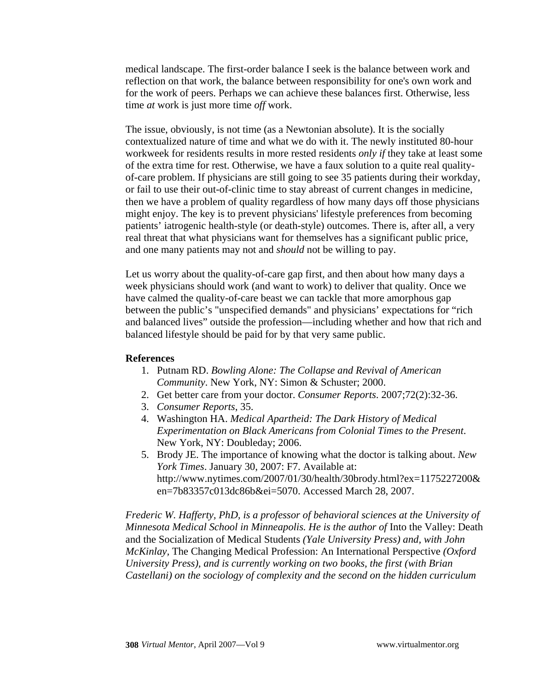medical landscape. The first-order balance I seek is the balance between work and reflection on that work, the balance between responsibility for one's own work and for the work of peers. Perhaps we can achieve these balances first. Otherwise, less time *at* work is just more time *off* work.

The issue, obviously, is not time (as a Newtonian absolute). It is the socially contextualized nature of time and what we do with it. The newly instituted 80-hour workweek for residents results in more rested residents *only if* they take at least some of the extra time for rest. Otherwise, we have a faux solution to a quite real qualityof-care problem. If physicians are still going to see 35 patients during their workday, or fail to use their out-of-clinic time to stay abreast of current changes in medicine, then we have a problem of quality regardless of how many days off those physicians might enjoy. The key is to prevent physicians' lifestyle preferences from becoming patients' iatrogenic health-style (or death-style) outcomes. There is, after all, a very real threat that what physicians want for themselves has a significant public price, and one many patients may not and *should* not be willing to pay.

Let us worry about the quality-of-care gap first, and then about how many days a week physicians should work (and want to work) to deliver that quality. Once we have calmed the quality-of-care beast we can tackle that more amorphous gap between the public's "unspecified demands" and physicians' expectations for "rich and balanced lives" outside the profession—including whether and how that rich and balanced lifestyle should be paid for by that very same public.

### **References**

- 1. Putnam RD. *Bowling Alone: The Collapse and Revival of American Community*. New York, NY: Simon & Schuster; 2000.
- 2. Get better care from your doctor. *Consumer Reports*. 2007;72(2):32-36.
- 3. *Consumer Reports*, 35.
- 4. Washington HA. *Medical Apartheid: The Dark History of Medical Experimentation on Black Americans from Colonial Times to the Present*. New York, NY: Doubleday; 2006.
- 5. Brody JE. The importance of knowing what the doctor is talking about. *New York Times*. January 30, 2007: F7. Available at: http://www.nytimes.com/2007/01/30/health/30brody.html?ex=1175227200& en=7b83357c013dc86b&ei=5070. Accessed March 28, 2007.

*Frederic W. Hafferty, PhD, is a professor of behavioral sciences at the University of Minnesota Medical School in Minneapolis. He is the author of* Into the Valley: Death and the Socialization of Medical Students *(Yale University Press) and, with John McKinlay,* The Changing Medical Profession: An International Perspective *(Oxford University Press), and is currently working on two books, the first (with Brian Castellani) on the sociology of complexity and the second on the hidden curriculum*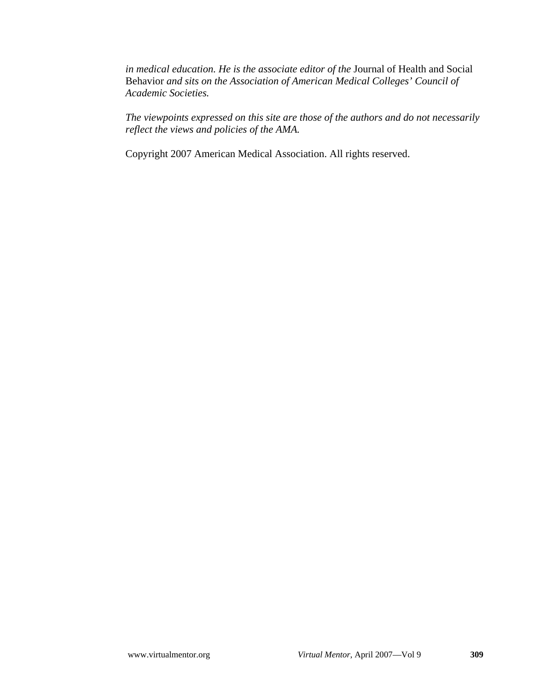*in medical education. He is the associate editor of the* Journal of Health and Social Behavior *and sits on the Association of American Medical Colleges' Council of Academic Societies.*

*The viewpoints expressed on this site are those of the authors and do not necessarily reflect the views and policies of the AMA.*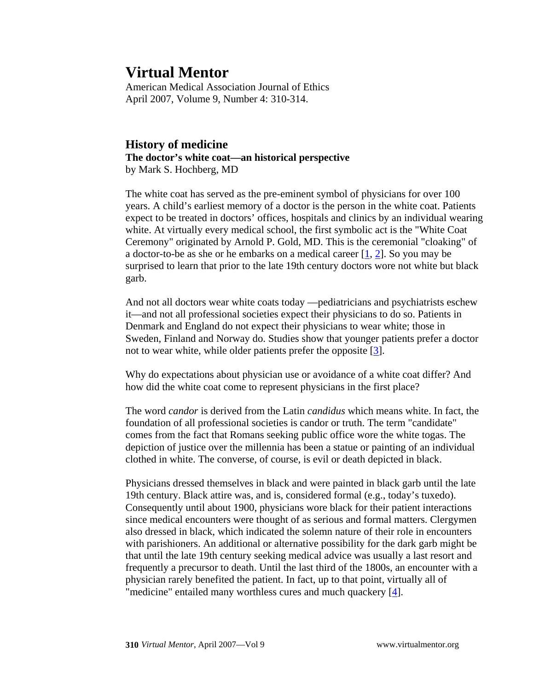**Virtual Mentor**<br>American Medical Association Journal of Ethics April 2007, Volume 9, Number 4: 310-314.

# **History of medicine The doctor's white coat—an historical perspective** by Mark S. Hochberg, MD

The white coat has served as the pre-eminent symbol of physicians for over 100 years. A child's earliest memory of a doctor is the person in the white coat. Patients expect to be treated in doctors' offices, hospitals and clinics by an individual wearing white. At virtually every medical school, the first symbolic act is the "White Coat Ceremony" originated by Arnold P. Gold, MD. This is the ceremonial "cloaking" of a doctor-to-be as she or he embarks on a medical career [1, 2]. So you may be surprised to learn that prior to the late 19th century doctors wore not white but black garb.

And not all doctors wear white coats today —pediatricians and psychiatrists eschew it—and not all professional societies expect their physicians to do so. Patients in Denmark and England do not expect their physicians to wear white; those in Sweden, Finland and Norway do. Studies show that younger patients prefer a doctor not to wear white, while older patients prefer the opposite [3].

Why do expectations about physician use or avoidance of a white coat differ? And how did the white coat come to represent physicians in the first place?

The word *candor* is derived from the Latin *candidus* which means white. In fact, the foundation of all professional societies is candor or truth. The term "candidate" comes from the fact that Romans seeking public office wore the white togas. The depiction of justice over the millennia has been a statue or painting of an individual clothed in white. The converse, of course, is evil or death depicted in black.

Physicians dressed themselves in black and were painted in black garb until the late 19th century. Black attire was, and is, considered formal (e.g., today's tuxedo). Consequently until about 1900, physicians wore black for their patient interactions since medical encounters were thought of as serious and formal matters. Clergymen also dressed in black, which indicated the solemn nature of their role in encounters with parishioners. An additional or alternative possibility for the dark garb might be that until the late 19th century seeking medical advice was usually a last resort and frequently a precursor to death. Until the last third of the 1800s, an encounter with a physician rarely benefited the patient. In fact, up to that point, virtually all of "medicine" entailed many worthless cures and much quackery [4].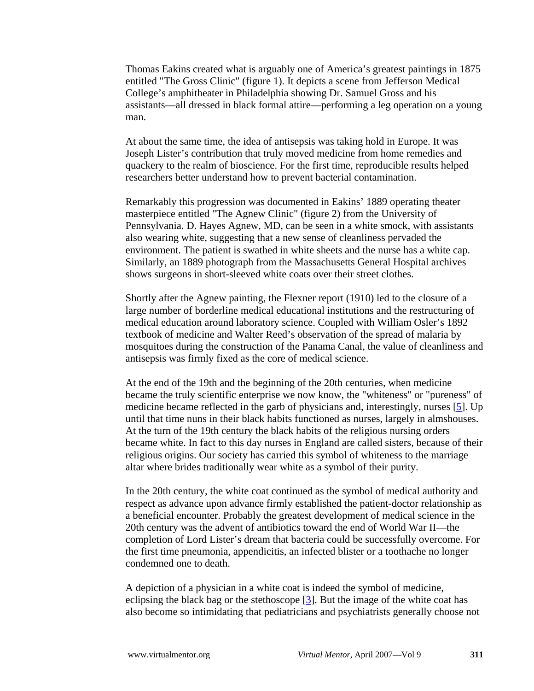Thomas Eakins created what is arguably one of America's greatest paintings in 1875 entitled "The Gross Clinic" (figure 1). It depicts a scene from Jefferson Medical College's amphitheater in Philadelphia showing Dr. Samuel Gross and his assistants—all dressed in black formal attire—performing a leg operation on a young man.

At about the same time, the idea of antisepsis was taking hold in Europe. It was Joseph Lister's contribution that truly moved medicine from home remedies and quackery to the realm of bioscience. For the first time, reproducible results helped researchers better understand how to prevent bacterial contamination.

Remarkably this progression was documented in Eakins' 1889 operating theater masterpiece entitled "The Agnew Clinic" (figure 2) from the University of Pennsylvania. D. Hayes Agnew, MD, can be seen in a white smock, with assistants also wearing white, suggesting that a new sense of cleanliness pervaded the environment. The patient is swathed in white sheets and the nurse has a white cap. Similarly, an 1889 photograph from the Massachusetts General Hospital archives shows surgeons in short-sleeved white coats over their street clothes.

Shortly after the Agnew painting, the Flexner report (1910) led to the closure of a large number of borderline medical educational institutions and the restructuring of medical education around laboratory science. Coupled with William Osler's 1892 textbook of medicine and Walter Reed's observation of the spread of malaria by mosquitoes during the construction of the Panama Canal, the value of cleanliness and antisepsis was firmly fixed as the core of medical science.

At the end of the 19th and the beginning of the 20th centuries, when medicine became the truly scientific enterprise we now know, the "whiteness" or "pureness" of medicine became reflected in the garb of physicians and, interestingly, nurses [5]. Up until that time nuns in their black habits functioned as nurses, largely in almshouses. At the turn of the 19th century the black habits of the religious nursing orders became white. In fact to this day nurses in England are called sisters, because of their religious origins. Our society has carried this symbol of whiteness to the marriage altar where brides traditionally wear white as a symbol of their purity.

In the 20th century, the white coat continued as the symbol of medical authority and respect as advance upon advance firmly established the patient-doctor relationship as a beneficial encounter. Probably the greatest development of medical science in the 20th century was the advent of antibiotics toward the end of World War II—the completion of Lord Lister's dream that bacteria could be successfully overcome. For the first time pneumonia, appendicitis, an infected blister or a toothache no longer condemned one to death.

A depiction of a physician in a white coat is indeed the symbol of medicine, eclipsing the black bag or the stethoscope [3]. But the image of the white coat has also become so intimidating that pediatricians and psychiatrists generally choose not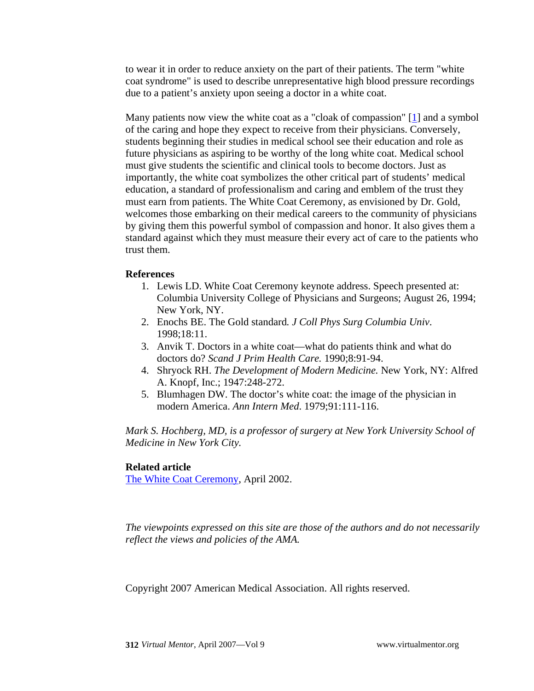to wear it in order to reduce anxiety on the part of their patients. The term "white coat syndrome" is used to describe unrepresentative high blood pressure recordings due to a patient's anxiety upon seeing a doctor in a white coat.

Many patients now view the white coat as a "cloak of compassion" [1] and a symbol of the caring and hope they expect to receive from their physicians. Conversely, students beginning their studies in medical school see their education and role as future physicians as aspiring to be worthy of the long white coat. Medical school must give students the scientific and clinical tools to become doctors. Just as importantly, the white coat symbolizes the other critical part of students' medical education, a standard of professionalism and caring and emblem of the trust they must earn from patients. The White Coat Ceremony, as envisioned by Dr. Gold, welcomes those embarking on their medical careers to the community of physicians by giving them this powerful symbol of compassion and honor. It also gives them a standard against which they must measure their every act of care to the patients who trust them.

## **References**

- 1. Lewis LD. White Coat Ceremony keynote address. Speech presented at: Columbia University College of Physicians and Surgeons; August 26, 1994; New York, NY.
- 2. Enochs BE. The Gold standard*. J Coll Phys Surg Columbia Univ*. 1998;18:11.
- 3. Anvik T. Doctors in a white coat—what do patients think and what do doctors do? *Scand J Prim Health Care.* 1990;8:91-94.
- 4. Shryock RH. *The Development of Modern Medicine.* New York, NY: Alfred A. Knopf, Inc.; 1947:248-272.
- 5. Blumhagen DW. The doctor's white coat: the image of the physician in modern America. *Ann Intern Med*. 1979;91:111-116.

*Mark S. Hochberg, MD, is a professor of surgery at New York University School of Medicine in New York City.*

### **Related article**

[The White Coat Ceremony,](http://www.ama-assn.org/ama/pub/category/7684.html) April 2002.

*The viewpoints expressed on this site are those of the authors and do not necessarily reflect the views and policies of the AMA.*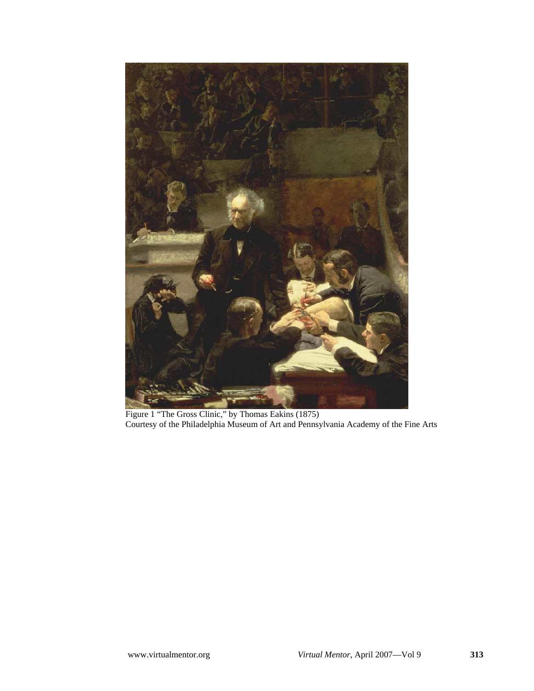

Figure 1 "The Gross Clinic," by Thomas Eakins (1875) Courtesy of the Philadelphia Museum of Art and Pennsylvania Academy of the Fine Arts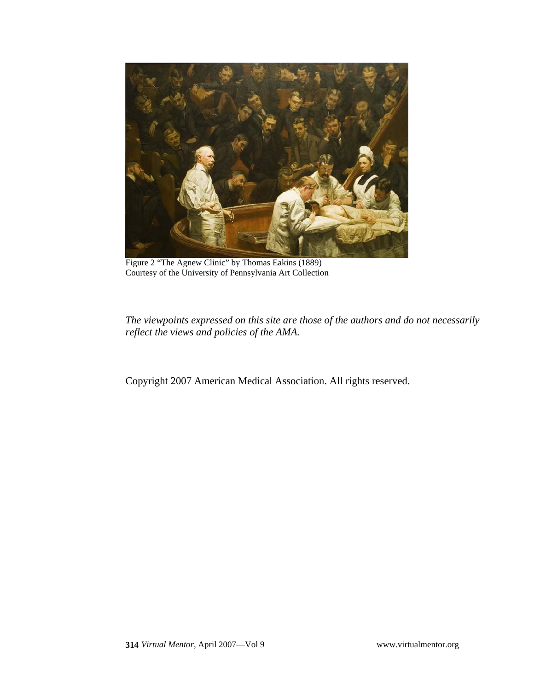

Figure 2 "The Agnew Clinic" by Thomas Eakins (1889) Courtesy of the University of Pennsylvania Art Collection

*The viewpoints expressed on this site are those of the authors and do not necessarily reflect the views and policies of the AMA.*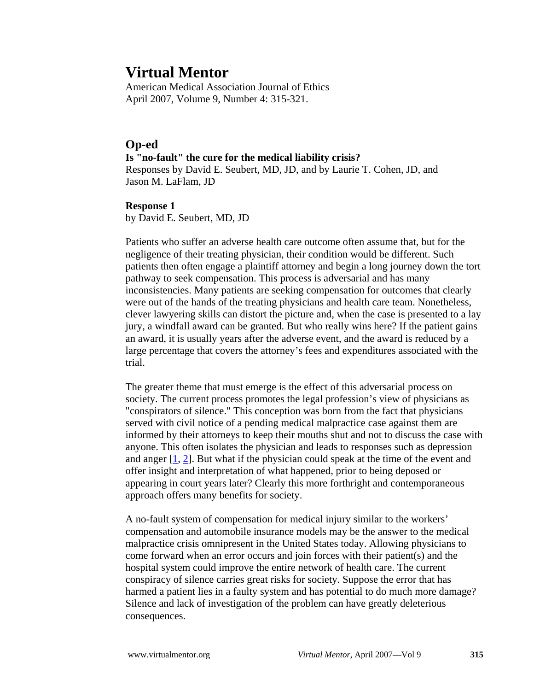**Virtual Mentor**<br>American Medical Association Journal of Ethics April 2007, Volume 9, Number 4: 315-321.

# **Op-ed**

**Is "no-fault" the cure for the medical liability crisis?**

Responses by David E. Seubert, MD, JD, and by Laurie T. Cohen, JD, and Jason M. LaFlam, JD

# **Response 1**

by David E. Seubert, MD, JD

Patients who suffer an adverse health care outcome often assume that, but for the negligence of their treating physician, their condition would be different. Such patients then often engage a plaintiff attorney and begin a long journey down the tort pathway to seek compensation. This process is adversarial and has many inconsistencies. Many patients are seeking compensation for outcomes that clearly were out of the hands of the treating physicians and health care team. Nonetheless, clever lawyering skills can distort the picture and, when the case is presented to a lay jury, a windfall award can be granted. But who really wins here? If the patient gains an award, it is usually years after the adverse event, and the award is reduced by a large percentage that covers the attorney's fees and expenditures associated with the trial.

The greater theme that must emerge is the effect of this adversarial process on society. The current process promotes the legal profession's view of physicians as "conspirators of silence." This conception was born from the fact that physicians served with civil notice of a pending medical malpractice case against them are informed by their attorneys to keep their mouths shut and not to discuss the case with anyone. This often isolates the physician and leads to responses such as depression and anger  $[1, 2]$ . But what if the physician could speak at the time of the event and offer insight and interpretation of what happened, prior to being deposed or appearing in court years later? Clearly this more forthright and contemporaneous approach offers many benefits for society.

A no-fault system of compensation for medical injury similar to the workers' compensation and automobile insurance models may be the answer to the medical malpractice crisis omnipresent in the United States today. Allowing physicians to come forward when an error occurs and join forces with their patient(s) and the hospital system could improve the entire network of health care. The current conspiracy of silence carries great risks for society. Suppose the error that has harmed a patient lies in a faulty system and has potential to do much more damage? Silence and lack of investigation of the problem can have greatly deleterious consequences.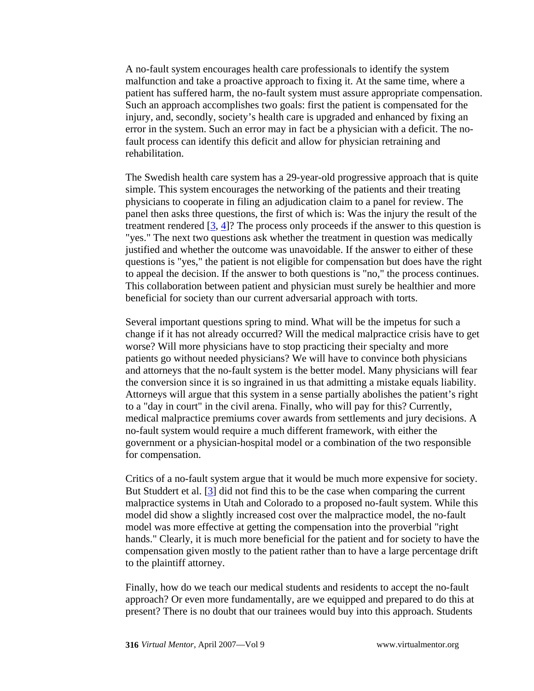A no-fault system encourages health care professionals to identify the system malfunction and take a proactive approach to fixing it. At the same time, where a patient has suffered harm, the no-fault system must assure appropriate compensation. Such an approach accomplishes two goals: first the patient is compensated for the injury, and, secondly, society's health care is upgraded and enhanced by fixing an error in the system. Such an error may in fact be a physician with a deficit. The nofault process can identify this deficit and allow for physician retraining and rehabilitation.

The Swedish health care system has a 29-year-old progressive approach that is quite simple. This system encourages the networking of the patients and their treating physicians to cooperate in filing an adjudication claim to a panel for review. The panel then asks three questions, the first of which is: Was the injury the result of the treatment rendered [3, 4]? The process only proceeds if the answer to this question is "yes." The next two questions ask whether the treatment in question was medically justified and whether the outcome was unavoidable. If the answer to either of these questions is "yes," the patient is not eligible for compensation but does have the right to appeal the decision. If the answer to both questions is "no," the process continues. This collaboration between patient and physician must surely be healthier and more beneficial for society than our current adversarial approach with torts.

Several important questions spring to mind. What will be the impetus for such a change if it has not already occurred? Will the medical malpractice crisis have to get worse? Will more physicians have to stop practicing their specialty and more patients go without needed physicians? We will have to convince both physicians and attorneys that the no-fault system is the better model. Many physicians will fear the conversion since it is so ingrained in us that admitting a mistake equals liability. Attorneys will argue that this system in a sense partially abolishes the patient's right to a "day in court" in the civil arena. Finally, who will pay for this? Currently, medical malpractice premiums cover awards from settlements and jury decisions. A no-fault system would require a much different framework, with either the government or a physician-hospital model or a combination of the two responsible for compensation.

Critics of a no-fault system argue that it would be much more expensive for society. But Studdert et al. [3] did not find this to be the case when comparing the current malpractice systems in Utah and Colorado to a proposed no-fault system. While this model did show a slightly increased cost over the malpractice model, the no-fault model was more effective at getting the compensation into the proverbial "right hands." Clearly, it is much more beneficial for the patient and for society to have the compensation given mostly to the patient rather than to have a large percentage drift to the plaintiff attorney.

Finally, how do we teach our medical students and residents to accept the no-fault approach? Or even more fundamentally, are we equipped and prepared to do this at present? There is no doubt that our trainees would buy into this approach. Students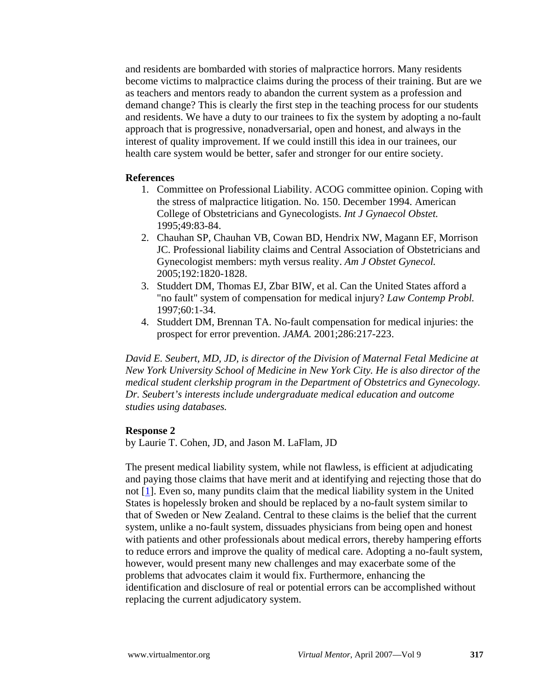and residents are bombarded with stories of malpractice horrors. Many residents become victims to malpractice claims during the process of their training. But are we as teachers and mentors ready to abandon the current system as a profession and demand change? This is clearly the first step in the teaching process for our students and residents. We have a duty to our trainees to fix the system by adopting a no-fault approach that is progressive, nonadversarial, open and honest, and always in the interest of quality improvement. If we could instill this idea in our trainees, our health care system would be better, safer and stronger for our entire society.

### **References**

- 1. Committee on Professional Liability. ACOG committee opinion. Coping with the stress of malpractice litigation. No. 150. December 1994. American College of Obstetricians and Gynecologists. *Int J Gynaecol Obstet.* 1995;49:83-84.
- 2. Chauhan SP, Chauhan VB, Cowan BD, Hendrix NW, Magann EF, Morrison JC. Professional liability claims and Central Association of Obstetricians and Gynecologist members: myth versus reality. *Am J Obstet Gynecol.* 2005;192:1820-1828.
- 3. Studdert DM, Thomas EJ, Zbar BIW, et al. Can the United States afford a "no fault" system of compensation for medical injury? *Law Contemp Probl.* 1997;60:1-34.
- 4. Studdert DM, Brennan TA. No-fault compensation for medical injuries: the prospect for error prevention. *JAMA.* 2001;286:217-223.

*David E. Seubert, MD, JD, is director of the Division of Maternal Fetal Medicine at New York University School of Medicine in New York City. He is also director of the medical student clerkship program in the Department of Obstetrics and Gynecology. Dr. Seubert's interests include undergraduate medical education and outcome studies using databases.*

### **Response 2**

by Laurie T. Cohen, JD, and Jason M. LaFlam, JD

The present medical liability system, while not flawless, is efficient at adjudicating and paying those claims that have merit and at identifying and rejecting those that do not [1]. Even so, many pundits claim that the medical liability system in the United States is hopelessly broken and should be replaced by a no-fault system similar to that of Sweden or New Zealand. Central to these claims is the belief that the current system, unlike a no-fault system, dissuades physicians from being open and honest with patients and other professionals about medical errors, thereby hampering efforts to reduce errors and improve the quality of medical care. Adopting a no-fault system, however, would present many new challenges and may exacerbate some of the problems that advocates claim it would fix. Furthermore, enhancing the identification and disclosure of real or potential errors can be accomplished without replacing the current adjudicatory system.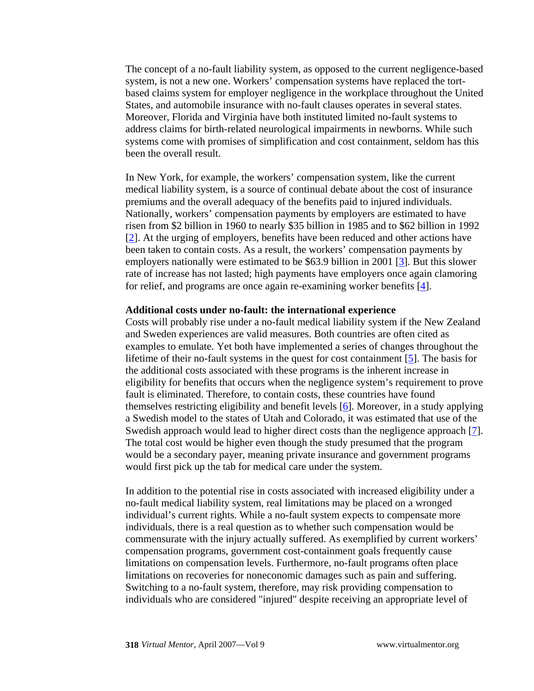The concept of a no-fault liability system, as opposed to the current negligence-based system, is not a new one. Workers' compensation systems have replaced the tortbased claims system for employer negligence in the workplace throughout the United States, and automobile insurance with no-fault clauses operates in several states. Moreover, Florida and Virginia have both instituted limited no-fault systems to address claims for birth-related neurological impairments in newborns. While such systems come with promises of simplification and cost containment, seldom has this been the overall result.

In New York, for example, the workers' compensation system, like the current medical liability system, is a source of continual debate about the cost of insurance premiums and the overall adequacy of the benefits paid to injured individuals. Nationally, workers' compensation payments by employers are estimated to have risen from \$2 billion in 1960 to nearly \$35 billion in 1985 and to \$62 billion in 1992 [2]. At the urging of employers, benefits have been reduced and other actions have been taken to contain costs. As a result, the workers' compensation payments by employers nationally were estimated to be \$63.9 billion in 2001 [3]. But this slower rate of increase has not lasted; high payments have employers once again clamoring for relief, and programs are once again re-examining worker benefits [4].

### **Additional costs under no-fault: the international experience**

Costs will probably rise under a no-fault medical liability system if the New Zealand and Sweden experiences are valid measures. Both countries are often cited as examples to emulate. Yet both have implemented a series of changes throughout the lifetime of their no-fault systems in the quest for cost containment [5]. The basis for the additional costs associated with these programs is the inherent increase in eligibility for benefits that occurs when the negligence system's requirement to prove fault is eliminated. Therefore, to contain costs, these countries have found themselves restricting eligibility and benefit levels [6]. Moreover, in a study applying a Swedish model to the states of Utah and Colorado, it was estimated that use of the Swedish approach would lead to higher direct costs than the negligence approach [7]. The total cost would be higher even though the study presumed that the program would be a secondary payer, meaning private insurance and government programs would first pick up the tab for medical care under the system.

In addition to the potential rise in costs associated with increased eligibility under a no-fault medical liability system, real limitations may be placed on a wronged individual's current rights. While a no-fault system expects to compensate more individuals, there is a real question as to whether such compensation would be commensurate with the injury actually suffered. As exemplified by current workers' compensation programs, government cost-containment goals frequently cause limitations on compensation levels. Furthermore, no-fault programs often place limitations on recoveries for noneconomic damages such as pain and suffering. Switching to a no-fault system, therefore, may risk providing compensation to individuals who are considered "injured" despite receiving an appropriate level of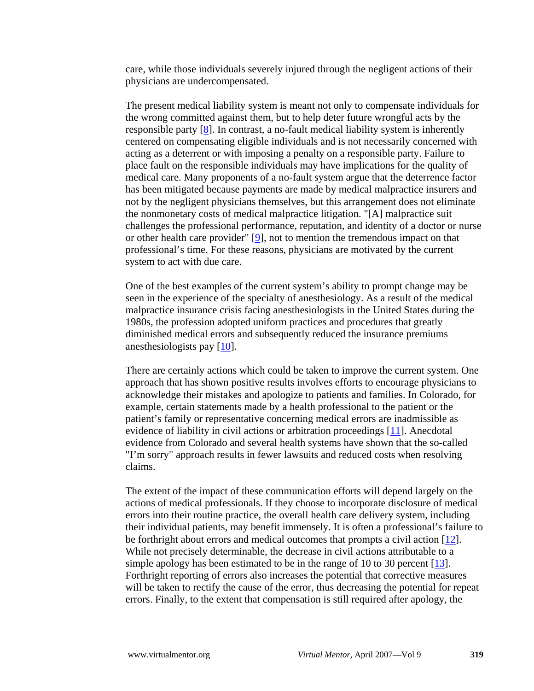care, while those individuals severely injured through the negligent actions of their physicians are undercompensated.

The present medical liability system is meant not only to compensate individuals for the wrong committed against them, but to help deter future wrongful acts by the responsible party  $[8]$ . In contrast, a no-fault medical liability system is inherently centered on compensating eligible individuals and is not necessarily concerned with acting as a deterrent or with imposing a penalty on a responsible party. Failure to place fault on the responsible individuals may have implications for the quality of medical care. Many proponents of a no-fault system argue that the deterrence factor has been mitigated because payments are made by medical malpractice insurers and not by the negligent physicians themselves, but this arrangement does not eliminate the nonmonetary costs of medical malpractice litigation. "[A] malpractice suit challenges the professional performance, reputation, and identity of a doctor or nurse or other health care provider" [9], not to mention the tremendous impact on that professional's time. For these reasons, physicians are motivated by the current system to act with due care.

One of the best examples of the current system's ability to prompt change may be seen in the experience of the specialty of anesthesiology. As a result of the medical malpractice insurance crisis facing anesthesiologists in the United States during the 1980s, the profession adopted uniform practices and procedures that greatly diminished medical errors and subsequently reduced the insurance premiums anesthesiologists pay [10].

There are certainly actions which could be taken to improve the current system. One approach that has shown positive results involves efforts to encourage physicians to acknowledge their mistakes and apologize to patients and families. In Colorado, for example, certain statements made by a health professional to the patient or the patient's family or representative concerning medical errors are inadmissible as evidence of liability in civil actions or arbitration proceedings [11]. Anecdotal evidence from Colorado and several health systems have shown that the so-called "I'm sorry" approach results in fewer lawsuits and reduced costs when resolving claims.

The extent of the impact of these communication efforts will depend largely on the actions of medical professionals. If they choose to incorporate disclosure of medical errors into their routine practice, the overall health care delivery system, including their individual patients, may benefit immensely. It is often a professional's failure to be forthright about errors and medical outcomes that prompts a civil action [12]. While not precisely determinable, the decrease in civil actions attributable to a simple apology has been estimated to be in the range of 10 to 30 percent [13]. Forthright reporting of errors also increases the potential that corrective measures will be taken to rectify the cause of the error, thus decreasing the potential for repeat errors. Finally, to the extent that compensation is still required after apology, the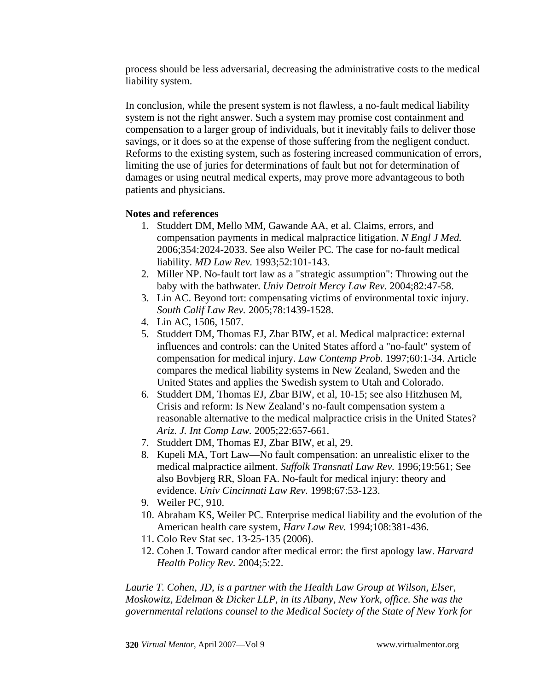process should be less adversarial, decreasing the administrative costs to the medical liability system.

In conclusion, while the present system is not flawless, a no-fault medical liability system is not the right answer. Such a system may promise cost containment and compensation to a larger group of individuals, but it inevitably fails to deliver those savings, or it does so at the expense of those suffering from the negligent conduct. Reforms to the existing system, such as fostering increased communication of errors, limiting the use of juries for determinations of fault but not for determination of damages or using neutral medical experts, may prove more advantageous to both patients and physicians.

# **Notes and references**

- 1. Studdert DM, Mello MM, Gawande AA, et al. Claims, errors, and compensation payments in medical malpractice litigation. *N Engl J Med.* 2006;354:2024-2033. See also Weiler PC. The case for no-fault medical liability. *MD Law Rev.* 1993;52:101-143.
- 2. Miller NP. No-fault tort law as a "strategic assumption": Throwing out the baby with the bathwater. *Univ Detroit Mercy Law Rev.* 2004;82:47-58.
- 3. Lin AC. Beyond tort: compensating victims of environmental toxic injury. *South Calif Law Rev.* 2005;78:1439-1528.
- 4. Lin AC, 1506, 1507.
- 5. Studdert DM, Thomas EJ, Zbar BIW, et al. Medical malpractice: external influences and controls: can the United States afford a "no-fault" system of compensation for medical injury. *Law Contemp Prob.* 1997;60:1-34. Article compares the medical liability systems in New Zealand, Sweden and the United States and applies the Swedish system to Utah and Colorado.
- 6. Studdert DM, Thomas EJ, Zbar BIW, et al, 10-15; see also Hitzhusen M, Crisis and reform: Is New Zealand's no-fault compensation system a reasonable alternative to the medical malpractice crisis in the United States? *Ariz. J. Int Comp Law.* 2005;22:657-661.
- 7. Studdert DM, Thomas EJ, Zbar BIW, et al, 29.
- 8. Kupeli MA, Tort Law—No fault compensation: an unrealistic elixer to the medical malpractice ailment. *Suffolk Transnatl Law Rev.* 1996;19:561; See also Bovbjerg RR, Sloan FA. No-fault for medical injury: theory and evidence. *Univ Cincinnati Law Rev.* 1998;67:53-123.
- 9. Weiler PC, 910.
- 10. Abraham KS, Weiler PC. Enterprise medical liability and the evolution of the American health care system, *Harv Law Rev.* 1994;108:381-436.
- 11. Colo Rev Stat sec. 13-25-135 (2006).
- 12. Cohen J. Toward candor after medical error: the first apology law. *Harvard Health Policy Rev.* 2004;5:22.

*Laurie T. Cohen, JD, is a partner with the Health Law Group at Wilson, Elser, Moskowitz, Edelman & Dicker LLP, in its Albany, New York, office. She was the governmental relations counsel to the Medical Society of the State of New York for*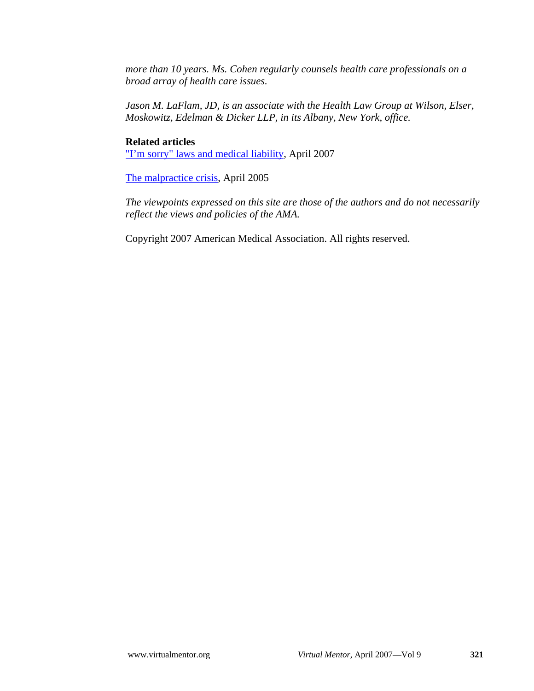*more than 10 years. Ms. Cohen regularly counsels health care professionals on a broad array of health care issues.*

*Jason M. LaFlam, JD, is an associate with the Health Law Group at Wilson, Elser, Moskowitz, Edelman & Dicker LLP, in its Albany, New York, office.*

### **Related articles**

["I'm sorry" laws and medical liability](http://www.ama-assn.org/ama/pub/category/17405.html), April 2007

[The malpractice crisis,](http://www.ama-assn.org/ama/pub/category/14861.html) April 2005

*The viewpoints expressed on this site are those of the authors and do not necessarily reflect the views and policies of the AMA.*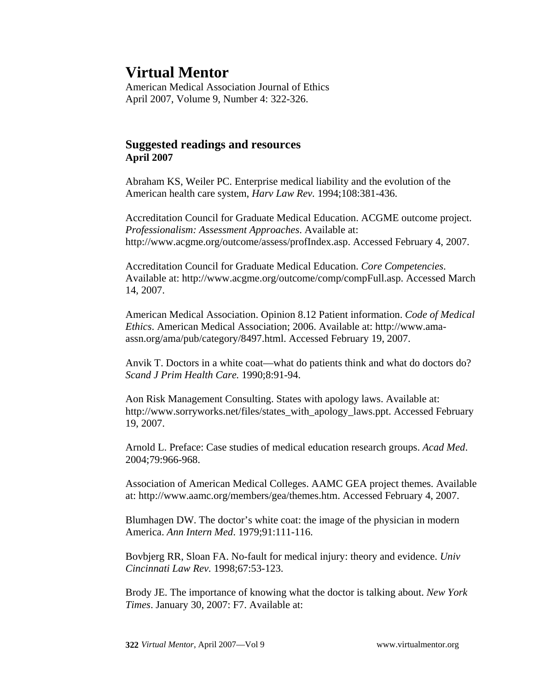**Virtual Mentor**<br>American Medical Association Journal of Ethics April 2007, Volume 9, Number 4: 322-326.

# **Suggested readings and resources April 2007**

Abraham KS, Weiler PC. Enterprise medical liability and the evolution of the American health care system, *Harv Law Rev.* 1994;108:381-436.

Accreditation Council for Graduate Medical Education. ACGME outcome project. *Professionalism: Assessment Approaches*. Available at: http://www.acgme.org/outcome/assess/profIndex.asp. Accessed February 4, 2007.

Accreditation Council for Graduate Medical Education. *Core Competencies*. Available at: http://www.acgme.org/outcome/comp/compFull.asp. Accessed March 14, 2007.

American Medical Association. Opinion 8.12 Patient information. *Code of Medical Ethics*. American Medical Association; 2006. Available at: http://www.amaassn.org/ama/pub/category/8497.html. Accessed February 19, 2007.

Anvik T. Doctors in a white coat—what do patients think and what do doctors do? *Scand J Prim Health Care.* 1990;8:91-94.

Aon Risk Management Consulting. States with apology laws. Available at: http://www.sorryworks.net/files/states\_with\_apology\_laws.ppt. Accessed February 19, 2007.

Arnold L. Preface: Case studies of medical education research groups. *Acad Med*. 2004;79:966-968.

Association of American Medical Colleges. AAMC GEA project themes. Available at: http://www.aamc.org/members/gea/themes.htm. Accessed February 4, 2007.

Blumhagen DW. The doctor's white coat: the image of the physician in modern America. *Ann Intern Med*. 1979;91:111-116.

Bovbjerg RR, Sloan FA. No-fault for medical injury: theory and evidence. *Univ Cincinnati Law Rev.* 1998;67:53-123.

Brody JE. The importance of knowing what the doctor is talking about. *New York Times*. January 30, 2007: F7. Available at: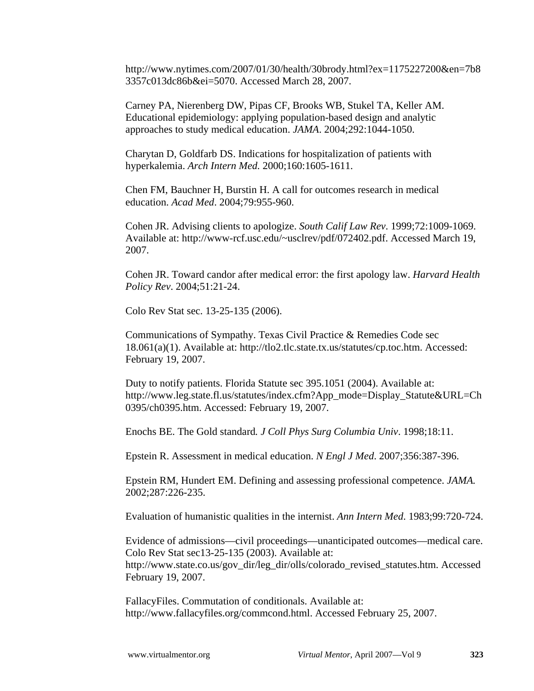http://www.nytimes.com/2007/01/30/health/30brody.html?ex=1175227200&en=7b8 3357c013dc86b&ei=5070. Accessed March 28, 2007.

Carney PA, Nierenberg DW, Pipas CF, Brooks WB, Stukel TA, Keller AM. Educational epidemiology: applying population-based design and analytic approaches to study medical education. *JAMA*. 2004;292:1044-1050.

Charytan D, Goldfarb DS. Indications for hospitalization of patients with hyperkalemia. *Arch Intern Med.* 2000;160:1605-1611.

Chen FM, Bauchner H, Burstin H. A call for outcomes research in medical education. *Acad Med*. 2004;79:955-960.

Cohen JR. Advising clients to apologize. *South Calif Law Rev*. 1999;72:1009-1069. Available at: http://www-rcf.usc.edu/~usclrev/pdf/072402.pdf. Accessed March 19, 2007.

Cohen JR. Toward candor after medical error: the first apology law. *Harvard Health Policy Rev*. 2004;51:21-24.

Colo Rev Stat sec. 13-25-135 (2006).

Communications of Sympathy. Texas Civil Practice & Remedies Code sec 18.061(a)(1). Available at: http://tlo2.tlc.state.tx.us/statutes/cp.toc.htm. Accessed: February 19, 2007.

Duty to notify patients. Florida Statute sec 395.1051 (2004). Available at: http://www.leg.state.fl.us/statutes/index.cfm?App\_mode=Display\_Statute&URL=Ch 0395/ch0395.htm. Accessed: February 19, 2007.

Enochs BE. The Gold standard*. J Coll Phys Surg Columbia Univ*. 1998;18:11.

Epstein R. Assessment in medical education. *N Engl J Med*. 2007;356:387-396.

Epstein RM, Hundert EM. Defining and assessing professional competence. *JAMA.* 2002;287:226-235.

Evaluation of humanistic qualities in the internist. *Ann Intern Med*. 1983;99:720-724.

Evidence of admissions—civil proceedings—unanticipated outcomes—medical care. Colo Rev Stat sec13-25-135 (2003). Available at: http://www.state.co.us/gov\_dir/leg\_dir/olls/colorado\_revised\_statutes.htm. Accessed February 19, 2007.

FallacyFiles. Commutation of conditionals. Available at: http://www.fallacyfiles.org/commcond.html. Accessed February 25, 2007.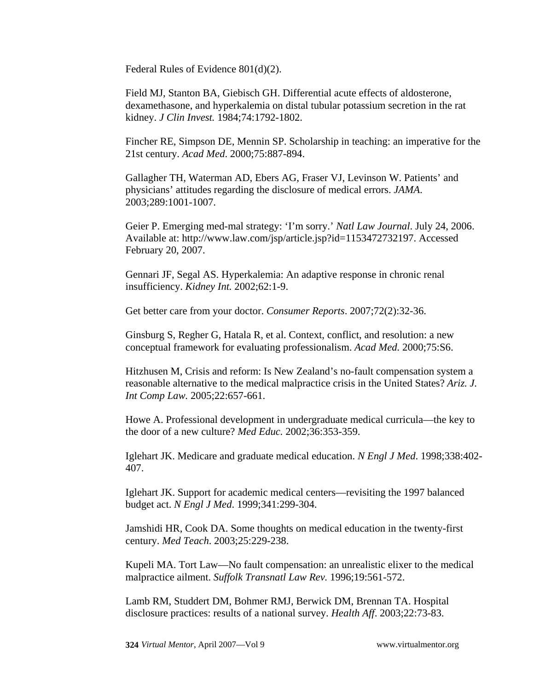Federal Rules of Evidence 801(d)(2).

Field MJ, Stanton BA, Giebisch GH. Differential acute effects of aldosterone, dexamethasone, and hyperkalemia on distal tubular potassium secretion in the rat kidney. *J Clin Invest.* 1984;74:1792-1802.

Fincher RE, Simpson DE, Mennin SP. Scholarship in teaching: an imperative for the 21st century. *Acad Med*. 2000;75:887-894.

Gallagher TH, Waterman AD, Ebers AG, Fraser VJ, Levinson W. Patients' and physicians' attitudes regarding the disclosure of medical errors. *JAMA*. 2003;289:1001-1007.

Geier P. Emerging med-mal strategy: 'I'm sorry.' *Natl Law Journal*. July 24, 2006. Available at: http://www.law.com/jsp/article.jsp?id=1153472732197. Accessed February 20, 2007.

Gennari JF, Segal AS. Hyperkalemia: An adaptive response in chronic renal insufficiency. *Kidney Int.* 2002;62:1-9.

Get better care from your doctor. *Consumer Reports*. 2007;72(2):32-36.

Ginsburg S, Regher G, Hatala R, et al. Context, conflict, and resolution: a new conceptual framework for evaluating professionalism. *Acad Med.* 2000;75:S6.

Hitzhusen M, Crisis and reform: Is New Zealand's no-fault compensation system a reasonable alternative to the medical malpractice crisis in the United States? *Ariz. J. Int Comp Law.* 2005;22:657-661.

Howe A. Professional development in undergraduate medical curricula—the key to the door of a new culture? *Med Educ.* 2002;36:353-359.

Iglehart JK. Medicare and graduate medical education. *N Engl J Med*. 1998;338:402- 407.

Iglehart JK. Support for academic medical centers—revisiting the 1997 balanced budget act. *N Engl J Med*. 1999;341:299-304.

Jamshidi HR, Cook DA. Some thoughts on medical education in the twenty-first century. *Med Teach*. 2003;25:229-238.

Kupeli MA. Tort Law—No fault compensation: an unrealistic elixer to the medical malpractice ailment. *Suffolk Transnatl Law Rev.* 1996;19:561-572.

Lamb RM, Studdert DM, Bohmer RMJ, Berwick DM, Brennan TA. Hospital disclosure practices: results of a national survey. *Health Aff*. 2003;22:73-83.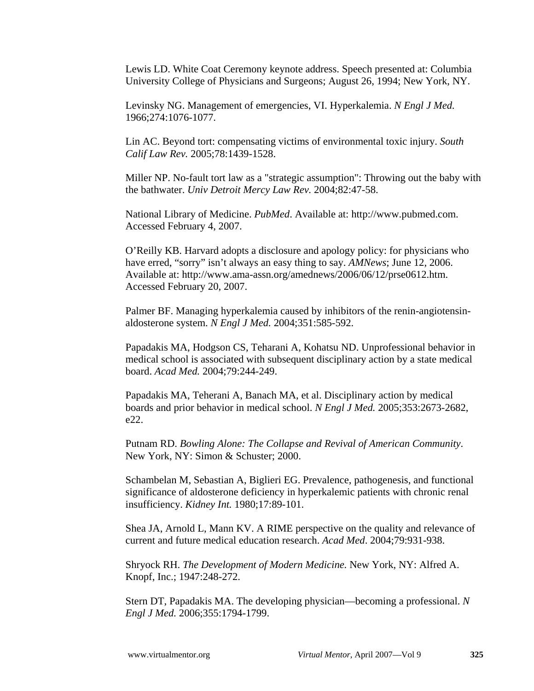Lewis LD. White Coat Ceremony keynote address. Speech presented at: Columbia University College of Physicians and Surgeons; August 26, 1994; New York, NY.

Levinsky NG. Management of emergencies, VI. Hyperkalemia. *N Engl J Med.* 1966;274:1076-1077.

Lin AC. Beyond tort: compensating victims of environmental toxic injury. *South Calif Law Rev.* 2005;78:1439-1528.

Miller NP. No-fault tort law as a "strategic assumption": Throwing out the baby with the bathwater. *Univ Detroit Mercy Law Rev.* 2004;82:47-58.

National Library of Medicine. *PubMed*. Available at: http://www.pubmed.com. Accessed February 4, 2007.

O'Reilly KB. Harvard adopts a disclosure and apology policy: for physicians who have erred, "sorry" isn't always an easy thing to say. *AMNews*; June 12, 2006. Available at: http://www.ama-assn.org/amednews/2006/06/12/prse0612.htm. Accessed February 20, 2007.

Palmer BF. Managing hyperkalemia caused by inhibitors of the renin-angiotensinaldosterone system. *N Engl J Med.* 2004;351:585-592.

Papadakis MA, Hodgson CS, Teharani A, Kohatsu ND. Unprofessional behavior in medical school is associated with subsequent disciplinary action by a state medical board. *Acad Med.* 2004;79:244-249.

Papadakis MA, Teherani A, Banach MA, et al. Disciplinary action by medical boards and prior behavior in medical school. *N Engl J Med.* 2005;353:2673-2682, e22.

Putnam RD. *Bowling Alone: The Collapse and Revival of American Community*. New York, NY: Simon & Schuster; 2000.

Schambelan M, Sebastian A, Biglieri EG. Prevalence, pathogenesis, and functional significance of aldosterone deficiency in hyperkalemic patients with chronic renal insufficiency. *Kidney Int.* 1980;17:89-101.

Shea JA, Arnold L, Mann KV. A RIME perspective on the quality and relevance of current and future medical education research. *Acad Med*. 2004;79:931-938.

Shryock RH. *The Development of Modern Medicine.* New York, NY: Alfred A. Knopf, Inc.; 1947:248-272.

Stern DT, Papadakis MA. The developing physician—becoming a professional. *N Engl J Med.* 2006;355:1794-1799.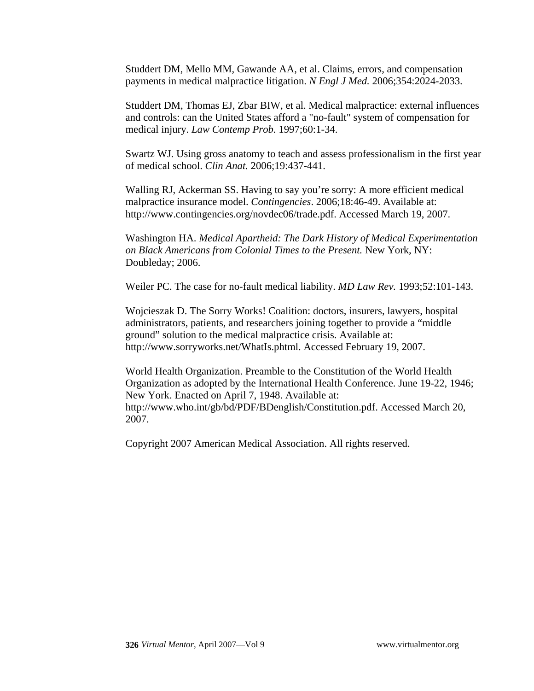Studdert DM, Mello MM, Gawande AA, et al. Claims, errors, and compensation payments in medical malpractice litigation. *N Engl J Med.* 2006;354:2024-2033.

Studdert DM, Thomas EJ, Zbar BIW, et al. Medical malpractice: external influences and controls: can the United States afford a "no-fault" system of compensation for medical injury. *Law Contemp Prob.* 1997;60:1-34.

Swartz WJ. Using gross anatomy to teach and assess professionalism in the first year of medical school. *Clin Anat.* 2006;19:437-441.

Walling RJ, Ackerman SS. Having to say you're sorry: A more efficient medical malpractice insurance model. *Contingencies*. 2006;18:46-49. Available at: http://www.contingencies.org/novdec06/trade.pdf. Accessed March 19, 2007.

Washington HA. *Medical Apartheid: The Dark History of Medical Experimentation on Black Americans from Colonial Times to the Present.* New York, NY: Doubleday; 2006.

Weiler PC. The case for no-fault medical liability. *MD Law Rev.* 1993;52:101-143.

Wojcieszak D. The Sorry Works! Coalition: doctors, insurers, lawyers, hospital administrators, patients, and researchers joining together to provide a "middle ground" solution to the medical malpractice crisis. Available at: http://www.sorryworks.net/WhatIs.phtml. Accessed February 19, 2007.

World Health Organization. Preamble to the Constitution of the World Health Organization as adopted by the International Health Conference. June 19-22, 1946; New York. Enacted on April 7, 1948. Available at: http://www.who.int/gb/bd/PDF/BDenglish/Constitution.pdf. Accessed March 20, 2007.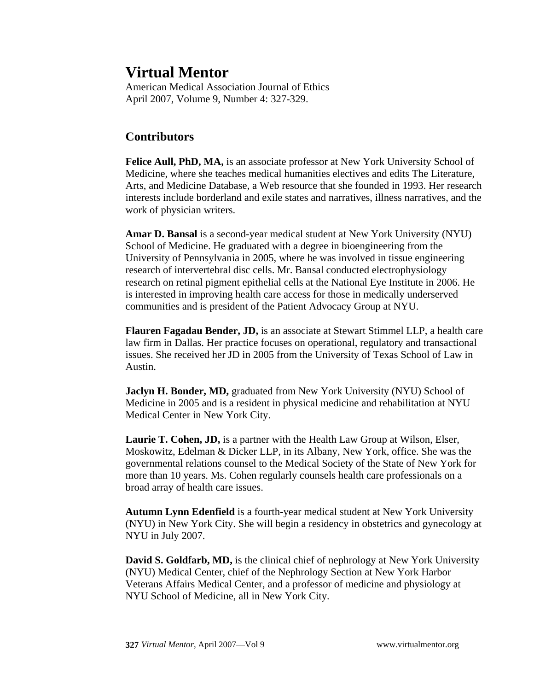**Virtual Mentor**<br>American Medical Association Journal of Ethics April 2007, Volume 9, Number 4: 327-329.

# **Contributors**

**Felice Aull, PhD, MA,** is an associate professor at New York University School of Medicine, where she teaches medical humanities electives and edits The Literature, Arts, and Medicine Database, a Web resource that she founded in 1993. Her research interests include borderland and exile states and narratives, illness narratives, and the work of physician writers.

**Amar D. Bansal** is a second-year medical student at New York University (NYU) School of Medicine. He graduated with a degree in bioengineering from the University of Pennsylvania in 2005, where he was involved in tissue engineering research of intervertebral disc cells. Mr. Bansal conducted electrophysiology research on retinal pigment epithelial cells at the National Eye Institute in 2006. He is interested in improving health care access for those in medically underserved communities and is president of the Patient Advocacy Group at NYU.

**Flauren Fagadau Bender, JD,** is an associate at Stewart Stimmel LLP, a health care law firm in Dallas. Her practice focuses on operational, regulatory and transactional issues. She received her JD in 2005 from the University of Texas School of Law in Austin.

**Jaclyn H. Bonder, MD,** graduated from New York University (NYU) School of Medicine in 2005 and is a resident in physical medicine and rehabilitation at NYU Medical Center in New York City.

**Laurie T. Cohen, JD,** is a partner with the Health Law Group at Wilson, Elser, Moskowitz, Edelman & Dicker LLP, in its Albany, New York, office. She was the governmental relations counsel to the Medical Society of the State of New York for more than 10 years. Ms. Cohen regularly counsels health care professionals on a broad array of health care issues.

**Autumn Lynn Edenfield** is a fourth-year medical student at New York University (NYU) in New York City. She will begin a residency in obstetrics and gynecology at NYU in July 2007.

**David S. Goldfarb, MD,** is the clinical chief of nephrology at New York University (NYU) Medical Center, chief of the Nephrology Section at New York Harbor Veterans Affairs Medical Center, and a professor of medicine and physiology at NYU School of Medicine, all in New York City.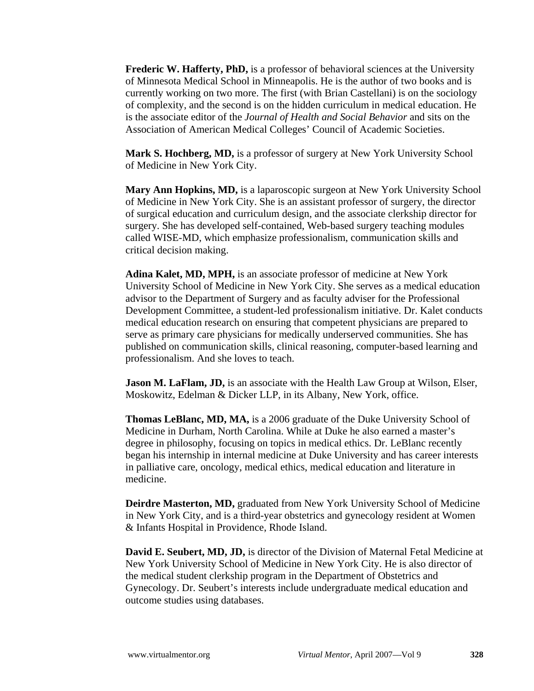**Frederic W. Hafferty, PhD,** is a professor of behavioral sciences at the University of Minnesota Medical School in Minneapolis. He is the author of two books and is currently working on two more. The first (with Brian Castellani) is on the sociology of complexity, and the second is on the hidden curriculum in medical education. He is the associate editor of the *Journal of Health and Social Behavior* and sits on the Association of American Medical Colleges' Council of Academic Societies.

**Mark S. Hochberg, MD,** is a professor of surgery at New York University School of Medicine in New York City.

**Mary Ann Hopkins, MD,** is a laparoscopic surgeon at New York University School of Medicine in New York City. She is an assistant professor of surgery, the director of surgical education and curriculum design, and the associate clerkship director for surgery. She has developed self-contained, Web-based surgery teaching modules called WISE-MD, which emphasize professionalism, communication skills and critical decision making.

**Adina Kalet, MD, MPH,** is an associate professor of medicine at New York University School of Medicine in New York City. She serves as a medical education advisor to the Department of Surgery and as faculty adviser for the Professional Development Committee, a student-led professionalism initiative. Dr. Kalet conducts medical education research on ensuring that competent physicians are prepared to serve as primary care physicians for medically underserved communities. She has published on communication skills, clinical reasoning, computer-based learning and professionalism. And she loves to teach.

**Jason M. LaFlam, JD,** is an associate with the Health Law Group at Wilson, Elser, Moskowitz, Edelman & Dicker LLP, in its Albany, New York, office.

**Thomas LeBlanc, MD, MA,** is a 2006 graduate of the Duke University School of Medicine in Durham, North Carolina. While at Duke he also earned a master's degree in philosophy, focusing on topics in medical ethics. Dr. LeBlanc recently began his internship in internal medicine at Duke University and has career interests in palliative care, oncology, medical ethics, medical education and literature in medicine.

**Deirdre Masterton, MD,** graduated from New York University School of Medicine in New York City, and is a third-year obstetrics and gynecology resident at Women & Infants Hospital in Providence, Rhode Island.

**David E. Seubert, MD, JD,** is director of the Division of Maternal Fetal Medicine at New York University School of Medicine in New York City. He is also director of the medical student clerkship program in the Department of Obstetrics and Gynecology. Dr. Seubert's interests include undergraduate medical education and outcome studies using databases.